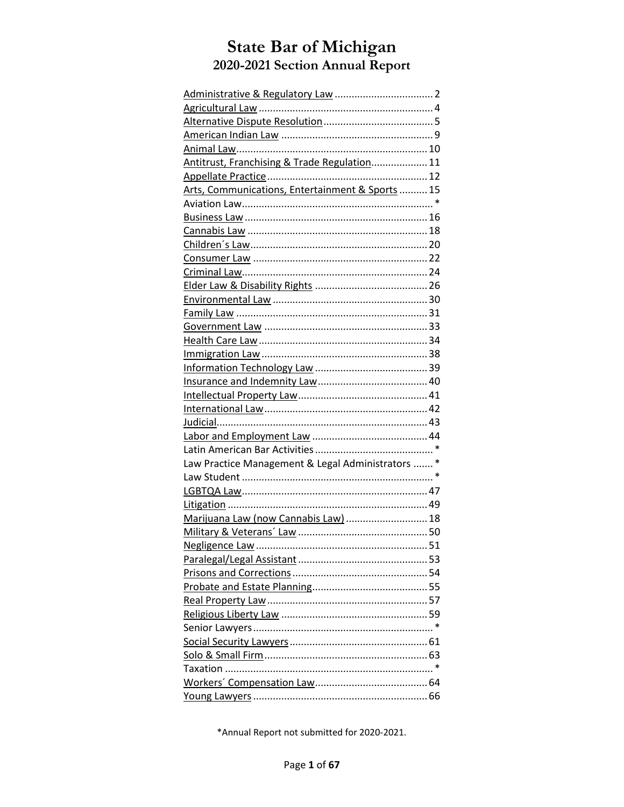| Antitrust, Franchising & Trade Regulation 11     |  |
|--------------------------------------------------|--|
|                                                  |  |
| Arts, Communications, Entertainment & Sports  15 |  |
|                                                  |  |
|                                                  |  |
|                                                  |  |
|                                                  |  |
|                                                  |  |
|                                                  |  |
|                                                  |  |
|                                                  |  |
|                                                  |  |
|                                                  |  |
|                                                  |  |
|                                                  |  |
|                                                  |  |
|                                                  |  |
|                                                  |  |
|                                                  |  |
|                                                  |  |
|                                                  |  |
|                                                  |  |
| Law Practice Management & Legal Administrators * |  |
|                                                  |  |
|                                                  |  |
|                                                  |  |
| Marijuana Law (now Cannabis Law)  18             |  |
|                                                  |  |
|                                                  |  |
|                                                  |  |
|                                                  |  |
|                                                  |  |
|                                                  |  |
|                                                  |  |
|                                                  |  |
|                                                  |  |
|                                                  |  |
|                                                  |  |
|                                                  |  |
|                                                  |  |

\*Annual Report not submitted for 2020-2021.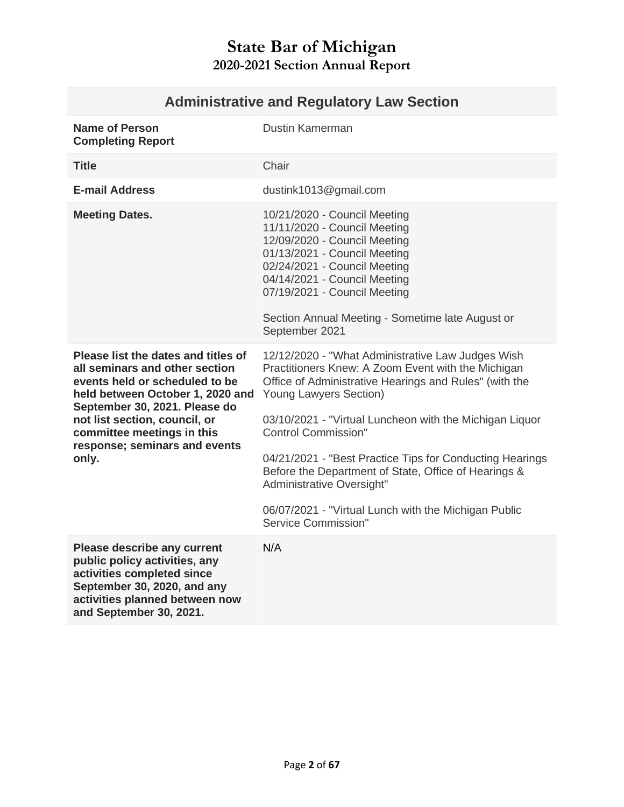<span id="page-1-0"></span>

| <b>Name of Person</b><br><b>Completing Report</b>                                                                                                                                                                                                                                     | <b>Dustin Kamerman</b>                                                                                                                                                                                                                                                                                                                                                                                                                                                                                                      |
|---------------------------------------------------------------------------------------------------------------------------------------------------------------------------------------------------------------------------------------------------------------------------------------|-----------------------------------------------------------------------------------------------------------------------------------------------------------------------------------------------------------------------------------------------------------------------------------------------------------------------------------------------------------------------------------------------------------------------------------------------------------------------------------------------------------------------------|
| <b>Title</b>                                                                                                                                                                                                                                                                          | Chair                                                                                                                                                                                                                                                                                                                                                                                                                                                                                                                       |
| <b>E-mail Address</b>                                                                                                                                                                                                                                                                 | dustink1013@gmail.com                                                                                                                                                                                                                                                                                                                                                                                                                                                                                                       |
| <b>Meeting Dates.</b>                                                                                                                                                                                                                                                                 | 10/21/2020 - Council Meeting<br>11/11/2020 - Council Meeting<br>12/09/2020 - Council Meeting<br>01/13/2021 - Council Meeting<br>02/24/2021 - Council Meeting<br>04/14/2021 - Council Meeting<br>07/19/2021 - Council Meeting<br>Section Annual Meeting - Sometime late August or<br>September 2021                                                                                                                                                                                                                          |
| Please list the dates and titles of<br>all seminars and other section<br>events held or scheduled to be<br>held between October 1, 2020 and<br>September 30, 2021. Please do<br>not list section, council, or<br>committee meetings in this<br>response; seminars and events<br>only. | 12/12/2020 - "What Administrative Law Judges Wish<br>Practitioners Knew: A Zoom Event with the Michigan<br>Office of Administrative Hearings and Rules" (with the<br>Young Lawyers Section)<br>03/10/2021 - "Virtual Luncheon with the Michigan Liquor<br><b>Control Commission"</b><br>04/21/2021 - "Best Practice Tips for Conducting Hearings<br>Before the Department of State, Office of Hearings &<br>Administrative Oversight"<br>06/07/2021 - "Virtual Lunch with the Michigan Public<br><b>Service Commission"</b> |
| Please describe any current<br>public policy activities, any<br>activities completed since<br>September 30, 2020, and any<br>activities planned between now<br>and September 30, 2021.                                                                                                | N/A                                                                                                                                                                                                                                                                                                                                                                                                                                                                                                                         |

# **Administrative and Regulatory Law Section**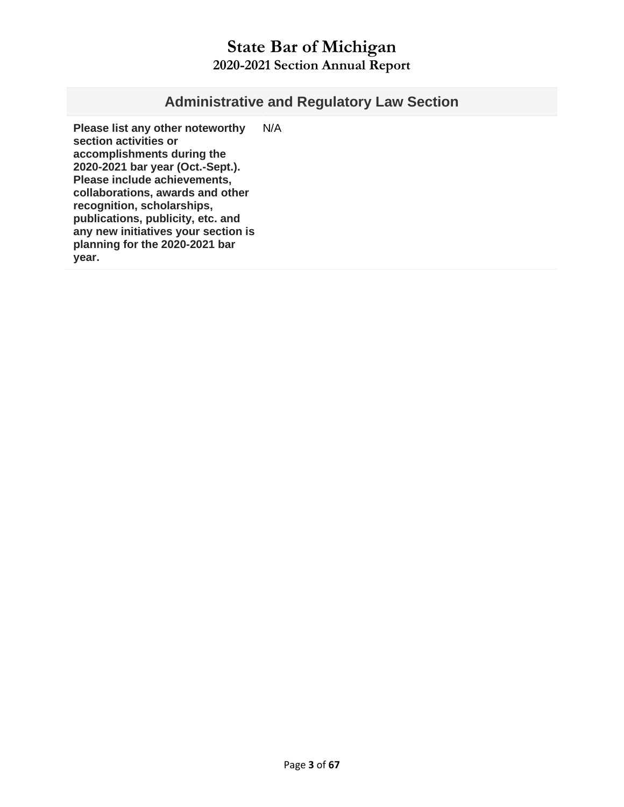#### **Administrative and Regulatory Law Section**

**Please list any other noteworthy section activities or accomplishments during the 2020-2021 bar year (Oct.-Sept.). Please include achievements, collaborations, awards and other recognition, scholarships, publications, publicity, etc. and any new initiatives your section is planning for the 2020-2021 bar year.**  N/A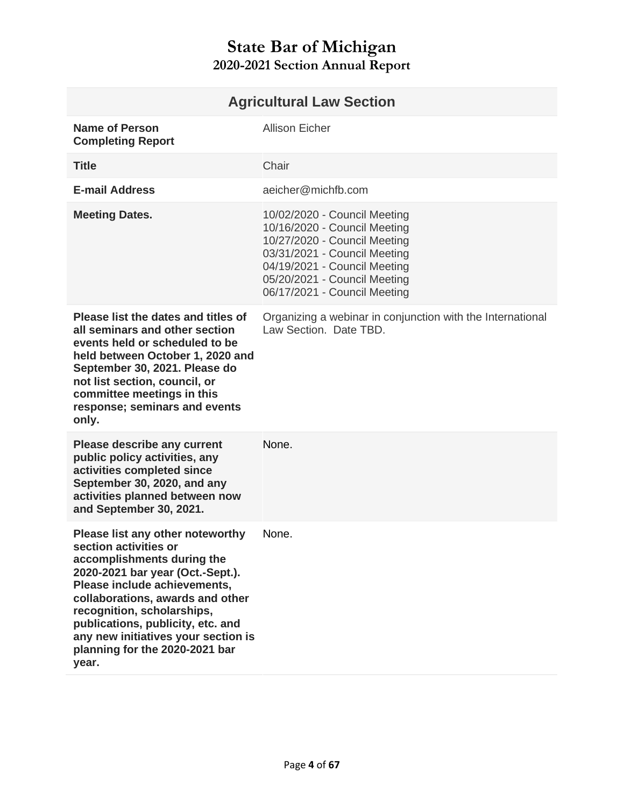<span id="page-3-0"></span>

| <b>Agricultural Law Section</b>                                                                                                                                                                                                                                                                                                                      |                                                                                                                                                                                                                              |  |
|------------------------------------------------------------------------------------------------------------------------------------------------------------------------------------------------------------------------------------------------------------------------------------------------------------------------------------------------------|------------------------------------------------------------------------------------------------------------------------------------------------------------------------------------------------------------------------------|--|
| <b>Name of Person</b><br><b>Completing Report</b>                                                                                                                                                                                                                                                                                                    | <b>Allison Eicher</b>                                                                                                                                                                                                        |  |
| <b>Title</b>                                                                                                                                                                                                                                                                                                                                         | Chair                                                                                                                                                                                                                        |  |
| <b>E-mail Address</b>                                                                                                                                                                                                                                                                                                                                | aeicher@michfb.com                                                                                                                                                                                                           |  |
| <b>Meeting Dates.</b>                                                                                                                                                                                                                                                                                                                                | 10/02/2020 - Council Meeting<br>10/16/2020 - Council Meeting<br>10/27/2020 - Council Meeting<br>03/31/2021 - Council Meeting<br>04/19/2021 - Council Meeting<br>05/20/2021 - Council Meeting<br>06/17/2021 - Council Meeting |  |
| Please list the dates and titles of<br>all seminars and other section<br>events held or scheduled to be<br>held between October 1, 2020 and<br>September 30, 2021. Please do<br>not list section, council, or<br>committee meetings in this<br>response; seminars and events<br>only.                                                                | Organizing a webinar in conjunction with the International<br>Law Section. Date TBD.                                                                                                                                         |  |
| <b>Please describe any current</b><br>public policy activities, any<br>activities completed since<br>September 30, 2020, and any<br>activities planned between now<br>and September 30, 2021.                                                                                                                                                        | None.                                                                                                                                                                                                                        |  |
| Please list any other noteworthy<br>section activities or<br>accomplishments during the<br>2020-2021 bar year (Oct.-Sept.).<br>Please include achievements,<br>collaborations, awards and other<br>recognition, scholarships,<br>publications, publicity, etc. and<br>any new initiatives your section is<br>planning for the 2020-2021 bar<br>year. | None.                                                                                                                                                                                                                        |  |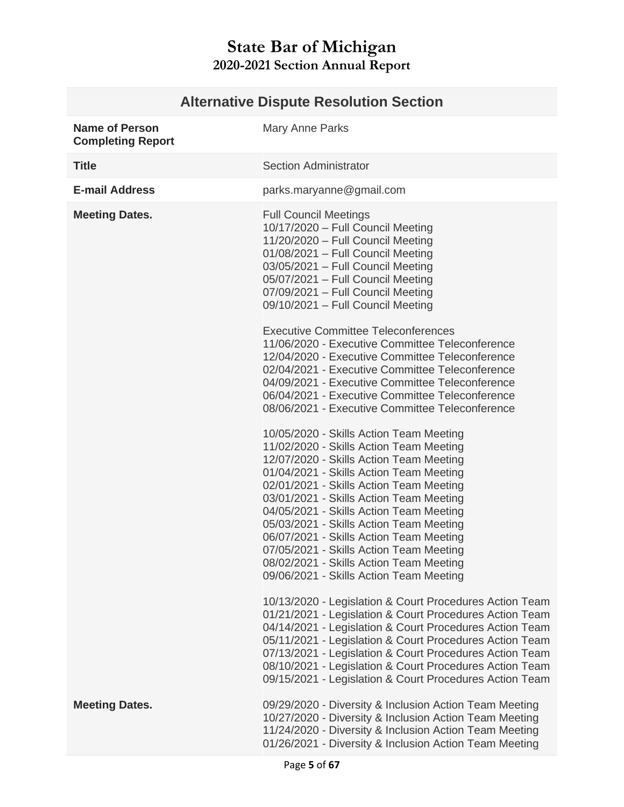#### <span id="page-4-0"></span>**Alternative Dispute Resolution Section Name of Person Completing Report** Mary Anne Parks

| <b>Title</b>          | <b>Section Administrator</b>                                                                                                                                                                                                                                                                                                                                                                                                                                                                                                     |
|-----------------------|----------------------------------------------------------------------------------------------------------------------------------------------------------------------------------------------------------------------------------------------------------------------------------------------------------------------------------------------------------------------------------------------------------------------------------------------------------------------------------------------------------------------------------|
| <b>E-mail Address</b> | parks.maryanne@gmail.com                                                                                                                                                                                                                                                                                                                                                                                                                                                                                                         |
| <b>Meeting Dates.</b> | <b>Full Council Meetings</b><br>10/17/2020 - Full Council Meeting<br>11/20/2020 - Full Council Meeting<br>01/08/2021 - Full Council Meeting<br>03/05/2021 - Full Council Meeting<br>05/07/2021 - Full Council Meeting<br>07/09/2021 - Full Council Meeting<br>09/10/2021 - Full Council Meeting                                                                                                                                                                                                                                  |
|                       | <b>Executive Committee Teleconferences</b><br>11/06/2020 - Executive Committee Teleconference<br>12/04/2020 - Executive Committee Teleconference<br>02/04/2021 - Executive Committee Teleconference<br>04/09/2021 - Executive Committee Teleconference<br>06/04/2021 - Executive Committee Teleconference<br>08/06/2021 - Executive Committee Teleconference                                                                                                                                                                     |
|                       | 10/05/2020 - Skills Action Team Meeting<br>11/02/2020 - Skills Action Team Meeting<br>12/07/2020 - Skills Action Team Meeting<br>01/04/2021 - Skills Action Team Meeting<br>02/01/2021 - Skills Action Team Meeting<br>03/01/2021 - Skills Action Team Meeting<br>04/05/2021 - Skills Action Team Meeting<br>05/03/2021 - Skills Action Team Meeting<br>06/07/2021 - Skills Action Team Meeting<br>07/05/2021 - Skills Action Team Meeting<br>08/02/2021 - Skills Action Team Meeting<br>09/06/2021 - Skills Action Team Meeting |
|                       | 10/13/2020 - Legislation & Court Procedures Action Team<br>01/21/2021 - Legislation & Court Procedures Action Team<br>04/14/2021 - Legislation & Court Procedures Action Team<br>05/11/2021 - Legislation & Court Procedures Action Team<br>07/13/2021 - Legislation & Court Procedures Action Team<br>08/10/2021 - Legislation & Court Procedures Action Team<br>09/15/2021 - Legislation & Court Procedures Action Team                                                                                                        |
| <b>Meeting Dates.</b> | 09/29/2020 - Diversity & Inclusion Action Team Meeting<br>10/27/2020 - Diversity & Inclusion Action Team Meeting<br>11/24/2020 - Diversity & Inclusion Action Team Meeting<br>01/26/2021 - Diversity & Inclusion Action Team Meeting                                                                                                                                                                                                                                                                                             |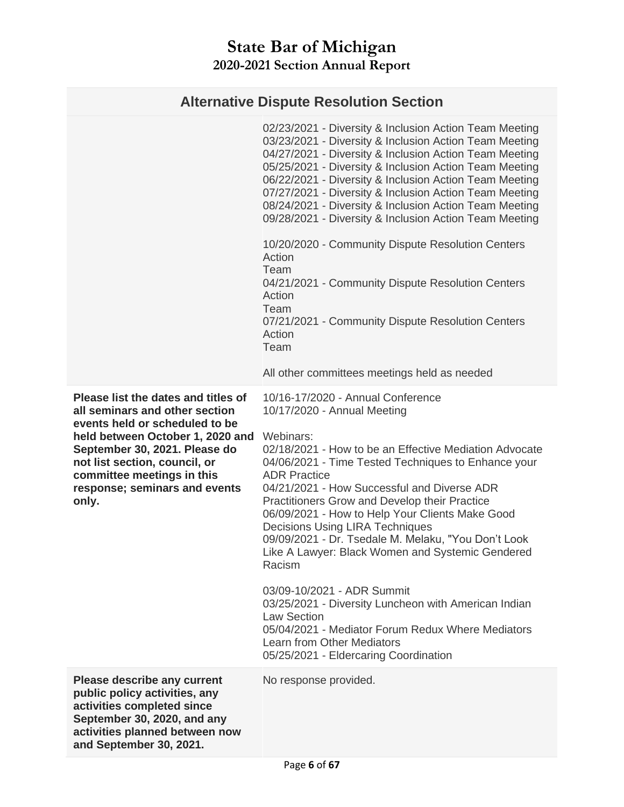## **Alternative Dispute Resolution Section**

|                                                                                                                                                                                                                                                                                       | 02/23/2021 - Diversity & Inclusion Action Team Meeting<br>03/23/2021 - Diversity & Inclusion Action Team Meeting<br>04/27/2021 - Diversity & Inclusion Action Team Meeting                                                                                                                                                                                                                                                                                                                                                                                                                                                                                                                                                                                                      |
|---------------------------------------------------------------------------------------------------------------------------------------------------------------------------------------------------------------------------------------------------------------------------------------|---------------------------------------------------------------------------------------------------------------------------------------------------------------------------------------------------------------------------------------------------------------------------------------------------------------------------------------------------------------------------------------------------------------------------------------------------------------------------------------------------------------------------------------------------------------------------------------------------------------------------------------------------------------------------------------------------------------------------------------------------------------------------------|
|                                                                                                                                                                                                                                                                                       | 05/25/2021 - Diversity & Inclusion Action Team Meeting<br>06/22/2021 - Diversity & Inclusion Action Team Meeting<br>07/27/2021 - Diversity & Inclusion Action Team Meeting<br>08/24/2021 - Diversity & Inclusion Action Team Meeting<br>09/28/2021 - Diversity & Inclusion Action Team Meeting                                                                                                                                                                                                                                                                                                                                                                                                                                                                                  |
|                                                                                                                                                                                                                                                                                       | 10/20/2020 - Community Dispute Resolution Centers<br>Action<br>Team<br>04/21/2021 - Community Dispute Resolution Centers<br>Action<br>Team<br>07/21/2021 - Community Dispute Resolution Centers<br>Action<br>Team                                                                                                                                                                                                                                                                                                                                                                                                                                                                                                                                                               |
|                                                                                                                                                                                                                                                                                       | All other committees meetings held as needed                                                                                                                                                                                                                                                                                                                                                                                                                                                                                                                                                                                                                                                                                                                                    |
| Please list the dates and titles of<br>all seminars and other section<br>events held or scheduled to be<br>held between October 1, 2020 and<br>September 30, 2021. Please do<br>not list section, council, or<br>committee meetings in this<br>response; seminars and events<br>only. | 10/16-17/2020 - Annual Conference<br>10/17/2020 - Annual Meeting<br>Webinars:<br>02/18/2021 - How to be an Effective Mediation Advocate<br>04/06/2021 - Time Tested Techniques to Enhance your<br><b>ADR Practice</b><br>04/21/2021 - How Successful and Diverse ADR<br>Practitioners Grow and Develop their Practice<br>06/09/2021 - How to Help Your Clients Make Good<br><b>Decisions Using LIRA Techniques</b><br>09/09/2021 - Dr. Tsedale M. Melaku, "You Don't Look<br>Like A Lawyer: Black Women and Systemic Gendered<br>Racism<br>03/09-10/2021 - ADR Summit<br>03/25/2021 - Diversity Luncheon with American Indian<br><b>Law Section</b><br>05/04/2021 - Mediator Forum Redux Where Mediators<br>Learn from Other Mediators<br>05/25/2021 - Eldercaring Coordination |
| <b>Please describe any current</b><br>public policy activities, any<br>activities completed since<br>September 30, 2020, and any<br>activities planned between now<br>and September 30, 2021.                                                                                         | No response provided.                                                                                                                                                                                                                                                                                                                                                                                                                                                                                                                                                                                                                                                                                                                                                           |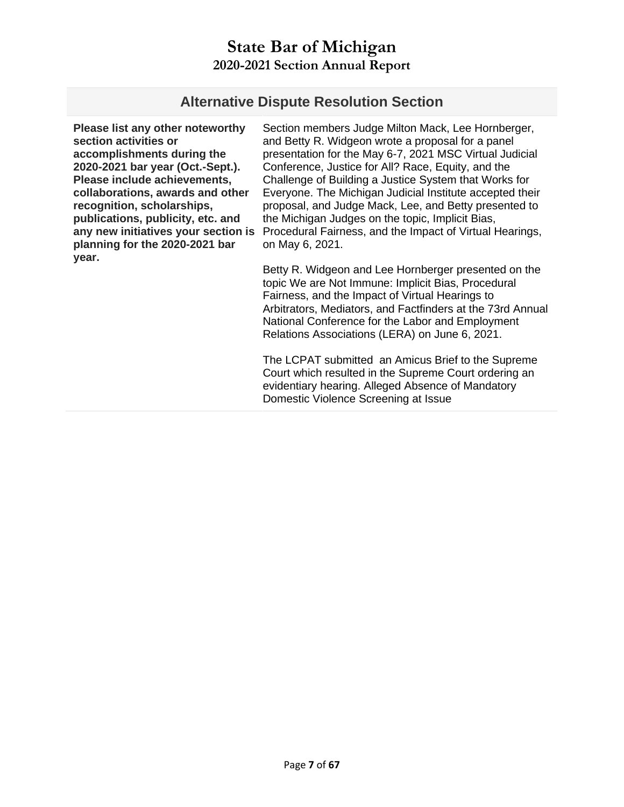#### **Alternative Dispute Resolution Section**

**Please list any other noteworthy section activities or accomplishments during the 2020-2021 bar year (Oct.-Sept.). Please include achievements, collaborations, awards and other recognition, scholarships, publications, publicity, etc. and any new initiatives your section is planning for the 2020-2021 bar year.** 

Section members Judge Milton Mack, Lee Hornberger, and Betty R. Widgeon wrote a proposal for a panel presentation for the May 6-7, 2021 MSC Virtual Judicial Conference, Justice for All? Race, Equity, and the Challenge of Building a Justice System that Works for Everyone. The Michigan Judicial Institute accepted their proposal, and Judge Mack, Lee, and Betty presented to the Michigan Judges on the topic, Implicit Bias, Procedural Fairness, and the Impact of Virtual Hearings, on May 6, 2021.

Betty R. Widgeon and Lee Hornberger presented on the topic We are Not Immune: Implicit Bias, Procedural Fairness, and the Impact of Virtual Hearings to Arbitrators, Mediators, and Factfinders at the 73rd Annual National Conference for the Labor and Employment Relations Associations (LERA) on June 6, 2021.

The LCPAT submitted an Amicus Brief to the Supreme Court which resulted in the Supreme Court ordering an evidentiary hearing. Alleged Absence of Mandatory Domestic Violence Screening at Issue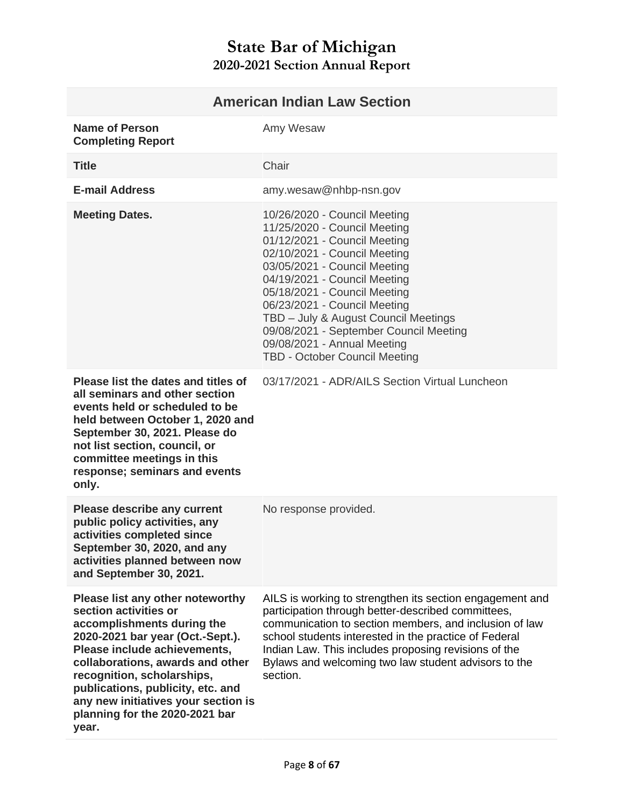<span id="page-7-0"></span>

| <b>American Indian Law Section</b>                                                                                                                                                                                                                                                                                                          |                                                                                                                                                                                                                                                                                                                                                                                                                       |
|---------------------------------------------------------------------------------------------------------------------------------------------------------------------------------------------------------------------------------------------------------------------------------------------------------------------------------------------|-----------------------------------------------------------------------------------------------------------------------------------------------------------------------------------------------------------------------------------------------------------------------------------------------------------------------------------------------------------------------------------------------------------------------|
| <b>Name of Person</b><br><b>Completing Report</b>                                                                                                                                                                                                                                                                                           | Amy Wesaw                                                                                                                                                                                                                                                                                                                                                                                                             |
| <b>Title</b>                                                                                                                                                                                                                                                                                                                                | Chair                                                                                                                                                                                                                                                                                                                                                                                                                 |
| <b>E-mail Address</b>                                                                                                                                                                                                                                                                                                                       | amy.wesaw@nhbp-nsn.gov                                                                                                                                                                                                                                                                                                                                                                                                |
| <b>Meeting Dates.</b>                                                                                                                                                                                                                                                                                                                       | 10/26/2020 - Council Meeting<br>11/25/2020 - Council Meeting<br>01/12/2021 - Council Meeting<br>02/10/2021 - Council Meeting<br>03/05/2021 - Council Meeting<br>04/19/2021 - Council Meeting<br>05/18/2021 - Council Meeting<br>06/23/2021 - Council Meeting<br>TBD - July & August Council Meetings<br>09/08/2021 - September Council Meeting<br>09/08/2021 - Annual Meeting<br><b>TBD - October Council Meeting</b> |
| Please list the dates and titles of<br>all seminars and other section<br>events held or scheduled to be<br>held between October 1, 2020 and<br>September 30, 2021. Please do<br>not list section, council, or<br>committee meetings in this<br>response; seminars and events<br>only.                                                       | 03/17/2021 - ADR/AILS Section Virtual Luncheon                                                                                                                                                                                                                                                                                                                                                                        |
| <b>Please describe any current</b><br>public policy activities, any<br>activities completed since<br>September 30, 2020, and any<br>activities planned between now<br>and September 30, 2021.                                                                                                                                               | No response provided.                                                                                                                                                                                                                                                                                                                                                                                                 |
| Please list any other noteworthy<br>section activities or<br>accomplishments during the<br>2020-2021 bar year (Oct.-Sept.).<br>Please include achievements,<br>collaborations, awards and other<br>recognition, scholarships,<br>publications, publicity, etc. and<br>any new initiatives your section is<br>planning for the 2020-2021 bar | AILS is working to strengthen its section engagement and<br>participation through better-described committees,<br>communication to section members, and inclusion of law<br>school students interested in the practice of Federal<br>Indian Law. This includes proposing revisions of the<br>Bylaws and welcoming two law student advisors to the<br>section.                                                         |

**year.**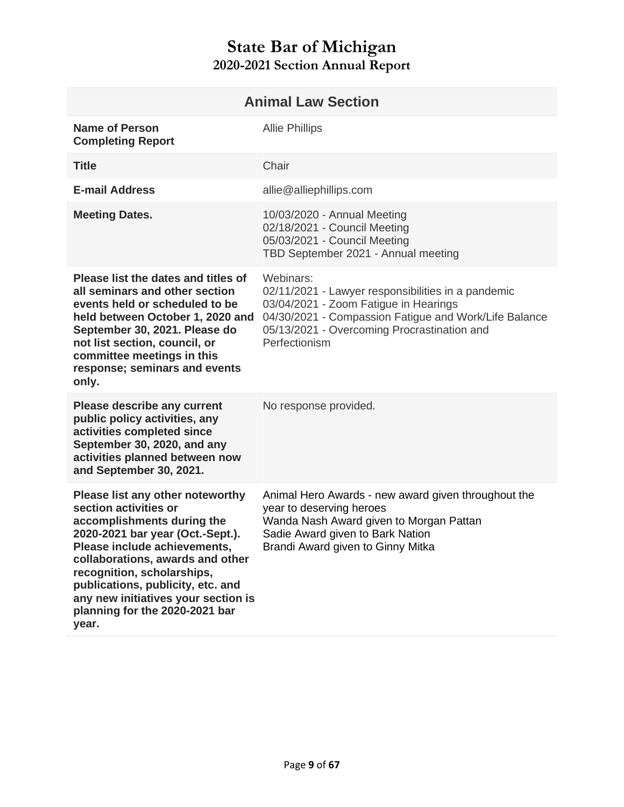<span id="page-8-0"></span>

| <b>Animal Law Section</b>                                                                                                                                                                                                                                                                                                                            |                                                                                                                                                                                                                                   |
|------------------------------------------------------------------------------------------------------------------------------------------------------------------------------------------------------------------------------------------------------------------------------------------------------------------------------------------------------|-----------------------------------------------------------------------------------------------------------------------------------------------------------------------------------------------------------------------------------|
| <b>Name of Person</b><br><b>Completing Report</b>                                                                                                                                                                                                                                                                                                    | <b>Allie Phillips</b>                                                                                                                                                                                                             |
| <b>Title</b>                                                                                                                                                                                                                                                                                                                                         | Chair                                                                                                                                                                                                                             |
| <b>E-mail Address</b>                                                                                                                                                                                                                                                                                                                                | allie@alliephillips.com                                                                                                                                                                                                           |
| <b>Meeting Dates.</b>                                                                                                                                                                                                                                                                                                                                | 10/03/2020 - Annual Meeting<br>02/18/2021 - Council Meeting<br>05/03/2021 - Council Meeting<br>TBD September 2021 - Annual meeting                                                                                                |
| Please list the dates and titles of<br>all seminars and other section<br>events held or scheduled to be<br>held between October 1, 2020 and<br>September 30, 2021. Please do<br>not list section, council, or<br>committee meetings in this<br>response; seminars and events<br>only.                                                                | Webinars:<br>02/11/2021 - Lawyer responsibilities in a pandemic<br>03/04/2021 - Zoom Fatigue in Hearings<br>04/30/2021 - Compassion Fatigue and Work/Life Balance<br>05/13/2021 - Overcoming Procrastination and<br>Perfectionism |
| Please describe any current<br>public policy activities, any<br>activities completed since<br>September 30, 2020, and any<br>activities planned between now<br>and September 30, 2021.                                                                                                                                                               | No response provided.                                                                                                                                                                                                             |
| Please list any other noteworthy<br>section activities or<br>accomplishments during the<br>2020-2021 bar year (Oct.-Sept.).<br>Please include achievements,<br>collaborations, awards and other<br>recognition, scholarships,<br>publications, publicity, etc. and<br>any new initiatives your section is<br>planning for the 2020-2021 bar<br>year. | Animal Hero Awards - new award given throughout the<br>year to deserving heroes<br>Wanda Nash Award given to Morgan Pattan<br>Sadie Award given to Bark Nation<br>Brandi Award given to Ginny Mitka                               |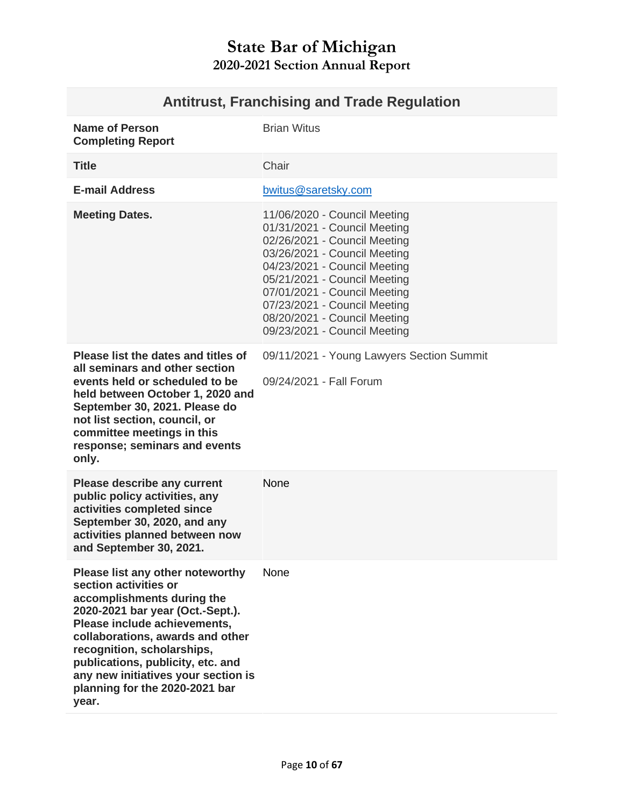# **Antitrust, Franchising and Trade Regulation**

<span id="page-9-0"></span>

| <b>Name of Person</b><br><b>Completing Report</b>                                                                                                                                                                                                                                                                                                    | <b>Brian Witus</b>                                                                                                                                                                                                                                                                                                           |
|------------------------------------------------------------------------------------------------------------------------------------------------------------------------------------------------------------------------------------------------------------------------------------------------------------------------------------------------------|------------------------------------------------------------------------------------------------------------------------------------------------------------------------------------------------------------------------------------------------------------------------------------------------------------------------------|
| <b>Title</b>                                                                                                                                                                                                                                                                                                                                         | Chair                                                                                                                                                                                                                                                                                                                        |
| <b>E-mail Address</b>                                                                                                                                                                                                                                                                                                                                | bwitus@saretsky.com                                                                                                                                                                                                                                                                                                          |
| <b>Meeting Dates.</b>                                                                                                                                                                                                                                                                                                                                | 11/06/2020 - Council Meeting<br>01/31/2021 - Council Meeting<br>02/26/2021 - Council Meeting<br>03/26/2021 - Council Meeting<br>04/23/2021 - Council Meeting<br>05/21/2021 - Council Meeting<br>07/01/2021 - Council Meeting<br>07/23/2021 - Council Meeting<br>08/20/2021 - Council Meeting<br>09/23/2021 - Council Meeting |
| Please list the dates and titles of<br>all seminars and other section<br>events held or scheduled to be<br>held between October 1, 2020 and<br>September 30, 2021. Please do<br>not list section, council, or<br>committee meetings in this<br>response; seminars and events<br>only.                                                                | 09/11/2021 - Young Lawyers Section Summit<br>09/24/2021 - Fall Forum                                                                                                                                                                                                                                                         |
| <b>Please describe any current</b><br>public policy activities, any<br>activities completed since<br>September 30, 2020, and any<br>activities planned between now<br>and September 30, 2021.                                                                                                                                                        | None                                                                                                                                                                                                                                                                                                                         |
| Please list any other noteworthy<br>section activities or<br>accomplishments during the<br>2020-2021 bar year (Oct.-Sept.).<br>Please include achievements,<br>collaborations, awards and other<br>recognition, scholarships,<br>publications, publicity, etc. and<br>any new initiatives your section is<br>planning for the 2020-2021 bar<br>year. | None                                                                                                                                                                                                                                                                                                                         |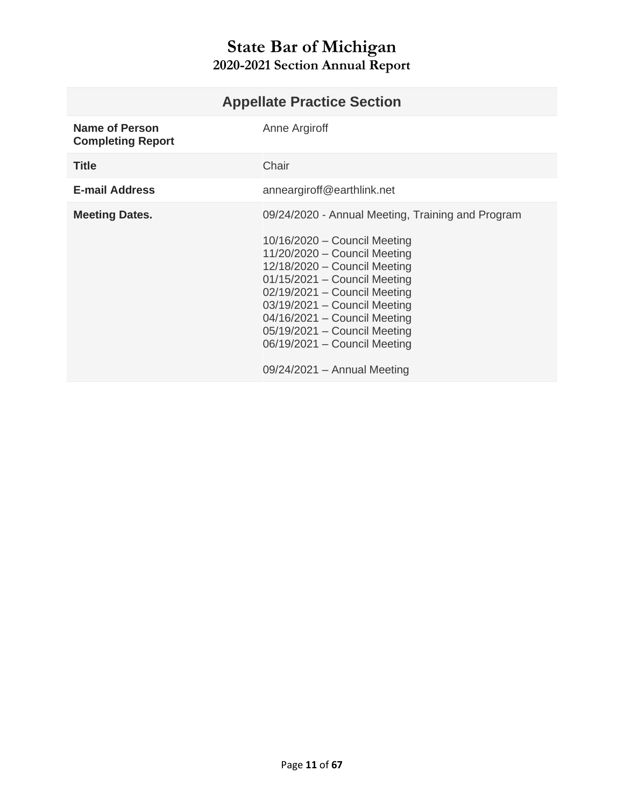<span id="page-10-0"></span>

| <b>Appellate Practice Section</b>                 |                                                                                                                                                                                                                                                                                                                                                                                            |
|---------------------------------------------------|--------------------------------------------------------------------------------------------------------------------------------------------------------------------------------------------------------------------------------------------------------------------------------------------------------------------------------------------------------------------------------------------|
| <b>Name of Person</b><br><b>Completing Report</b> | Anne Argiroff                                                                                                                                                                                                                                                                                                                                                                              |
| <b>Title</b>                                      | Chair                                                                                                                                                                                                                                                                                                                                                                                      |
| <b>E-mail Address</b>                             | anneargiroff@earthlink.net                                                                                                                                                                                                                                                                                                                                                                 |
| <b>Meeting Dates.</b>                             | 09/24/2020 - Annual Meeting, Training and Program<br>$10/16/2020$ – Council Meeting<br>11/20/2020 - Council Meeting<br>$12/18/2020 -$ Council Meeting<br>$01/15/2021$ - Council Meeting<br>02/19/2021 - Council Meeting<br>$03/19/2021 -$ Council Meeting<br>04/16/2021 - Council Meeting<br>05/19/2021 - Council Meeting<br>06/19/2021 - Council Meeting<br>$09/24/2021 -$ Annual Meeting |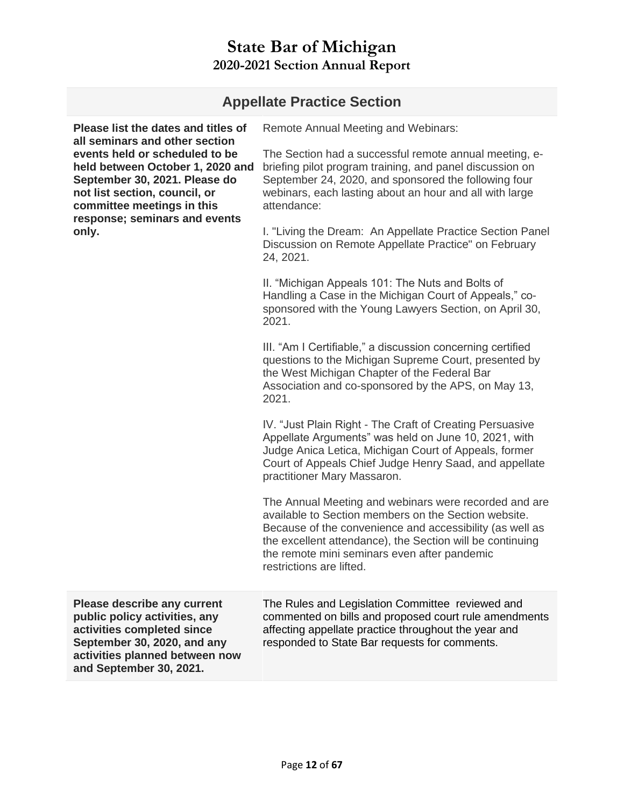| <b>Appellate Practice Section</b>                                                                                                                                                                                                                                                     |                                                                                                                                                                                                                                                                                                                    |  |
|---------------------------------------------------------------------------------------------------------------------------------------------------------------------------------------------------------------------------------------------------------------------------------------|--------------------------------------------------------------------------------------------------------------------------------------------------------------------------------------------------------------------------------------------------------------------------------------------------------------------|--|
| Please list the dates and titles of<br>all seminars and other section<br>events held or scheduled to be<br>held between October 1, 2020 and<br>September 30, 2021. Please do<br>not list section, council, or<br>committee meetings in this<br>response; seminars and events<br>only. | <b>Remote Annual Meeting and Webinars:</b>                                                                                                                                                                                                                                                                         |  |
|                                                                                                                                                                                                                                                                                       | The Section had a successful remote annual meeting, e-<br>briefing pilot program training, and panel discussion on<br>September 24, 2020, and sponsored the following four<br>webinars, each lasting about an hour and all with large<br>attendance:                                                               |  |
|                                                                                                                                                                                                                                                                                       | I. "Living the Dream: An Appellate Practice Section Panel<br>Discussion on Remote Appellate Practice" on February<br>24, 2021.                                                                                                                                                                                     |  |
|                                                                                                                                                                                                                                                                                       | II. "Michigan Appeals 101: The Nuts and Bolts of<br>Handling a Case in the Michigan Court of Appeals," co-<br>sponsored with the Young Lawyers Section, on April 30,<br>2021.                                                                                                                                      |  |
|                                                                                                                                                                                                                                                                                       | III. "Am I Certifiable," a discussion concerning certified<br>questions to the Michigan Supreme Court, presented by<br>the West Michigan Chapter of the Federal Bar<br>Association and co-sponsored by the APS, on May 13,<br>2021.                                                                                |  |
|                                                                                                                                                                                                                                                                                       | IV. "Just Plain Right - The Craft of Creating Persuasive<br>Appellate Arguments" was held on June 10, 2021, with<br>Judge Anica Letica, Michigan Court of Appeals, former<br>Court of Appeals Chief Judge Henry Saad, and appellate<br>practitioner Mary Massaron.                                                 |  |
|                                                                                                                                                                                                                                                                                       | The Annual Meeting and webinars were recorded and are<br>available to Section members on the Section website.<br>Because of the convenience and accessibility (as well as<br>the excellent attendance), the Section will be continuing<br>the remote mini seminars even after pandemic<br>restrictions are lifted. |  |
| <b>Please describe any current</b><br>public policy activities, any<br>activities completed since<br>September 30, 2020, and any<br>activities planned between now<br>and September 30, 2021.                                                                                         | The Rules and Legislation Committee reviewed and<br>commented on bills and proposed court rule amendments<br>affecting appellate practice throughout the year and<br>responded to State Bar requests for comments.                                                                                                 |  |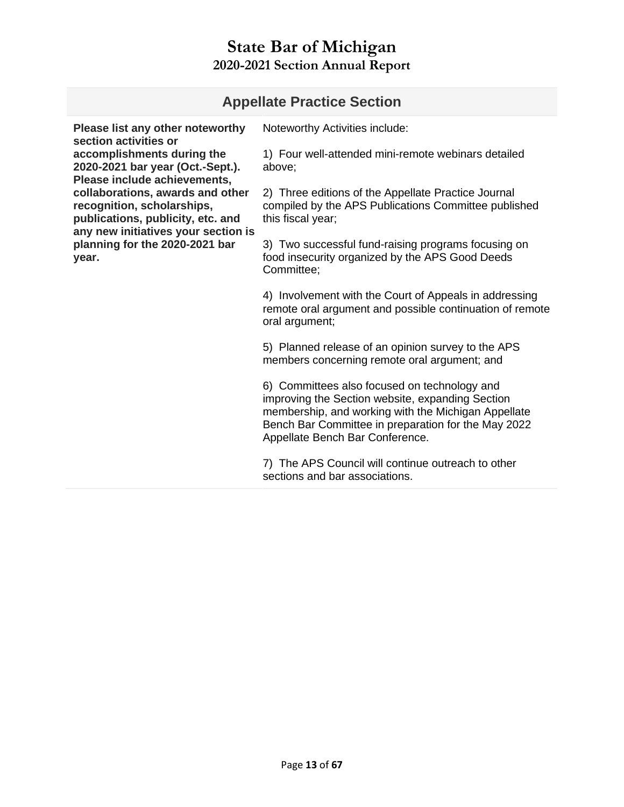#### **Appellate Practice Section**

**Please list any other noteworthy section activities or accomplishments during the 2020-2021 bar year (Oct.-Sept.). Please include achievements, collaborations, awards and other recognition, scholarships, publications, publicity, etc. and any new initiatives your section is planning for the 2020-2021 bar year.** 

Noteworthy Activities include:

1) Four well-attended mini-remote webinars detailed above;

2) Three editions of the Appellate Practice Journal compiled by the APS Publications Committee published this fiscal year;

3) Two successful fund-raising programs focusing on food insecurity organized by the APS Good Deeds Committee;

4) Involvement with the Court of Appeals in addressing remote oral argument and possible continuation of remote oral argument;

5) Planned release of an opinion survey to the APS members concerning remote oral argument; and

6) Committees also focused on technology and improving the Section website, expanding Section membership, and working with the Michigan Appellate Bench Bar Committee in preparation for the May 2022 Appellate Bench Bar Conference.

7) The APS Council will continue outreach to other sections and bar associations.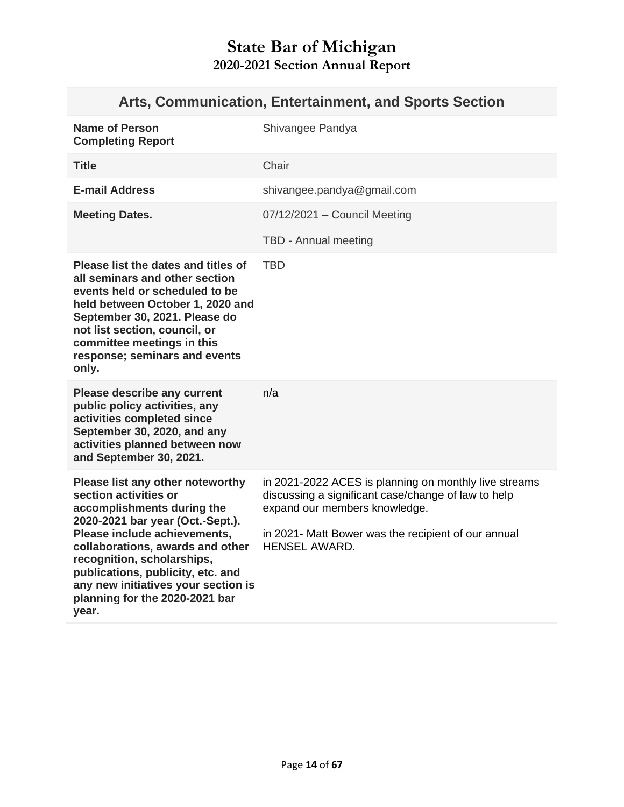# **Arts, Communication, Entertainment, and Sports Section**

<span id="page-13-0"></span>

| <b>Name of Person</b><br><b>Completing Report</b>                                                                                                                                                                                                                                                                                                    | Shivangee Pandya                                                                                                                                                                                                             |
|------------------------------------------------------------------------------------------------------------------------------------------------------------------------------------------------------------------------------------------------------------------------------------------------------------------------------------------------------|------------------------------------------------------------------------------------------------------------------------------------------------------------------------------------------------------------------------------|
| <b>Title</b>                                                                                                                                                                                                                                                                                                                                         | Chair                                                                                                                                                                                                                        |
| <b>E-mail Address</b>                                                                                                                                                                                                                                                                                                                                | shivangee.pandya@gmail.com                                                                                                                                                                                                   |
| <b>Meeting Dates.</b>                                                                                                                                                                                                                                                                                                                                | 07/12/2021 - Council Meeting                                                                                                                                                                                                 |
|                                                                                                                                                                                                                                                                                                                                                      | TBD - Annual meeting                                                                                                                                                                                                         |
| Please list the dates and titles of<br>all seminars and other section<br>events held or scheduled to be<br>held between October 1, 2020 and<br>September 30, 2021. Please do<br>not list section, council, or<br>committee meetings in this<br>response; seminars and events<br>only.                                                                | <b>TBD</b>                                                                                                                                                                                                                   |
| <b>Please describe any current</b><br>public policy activities, any<br>activities completed since<br>September 30, 2020, and any<br>activities planned between now<br>and September 30, 2021.                                                                                                                                                        | n/a                                                                                                                                                                                                                          |
| Please list any other noteworthy<br>section activities or<br>accomplishments during the<br>2020-2021 bar year (Oct.-Sept.).<br>Please include achievements,<br>collaborations, awards and other<br>recognition, scholarships,<br>publications, publicity, etc. and<br>any new initiatives your section is<br>planning for the 2020-2021 bar<br>year. | in 2021-2022 ACES is planning on monthly live streams<br>discussing a significant case/change of law to help<br>expand our members knowledge.<br>in 2021- Matt Bower was the recipient of our annual<br><b>HENSEL AWARD.</b> |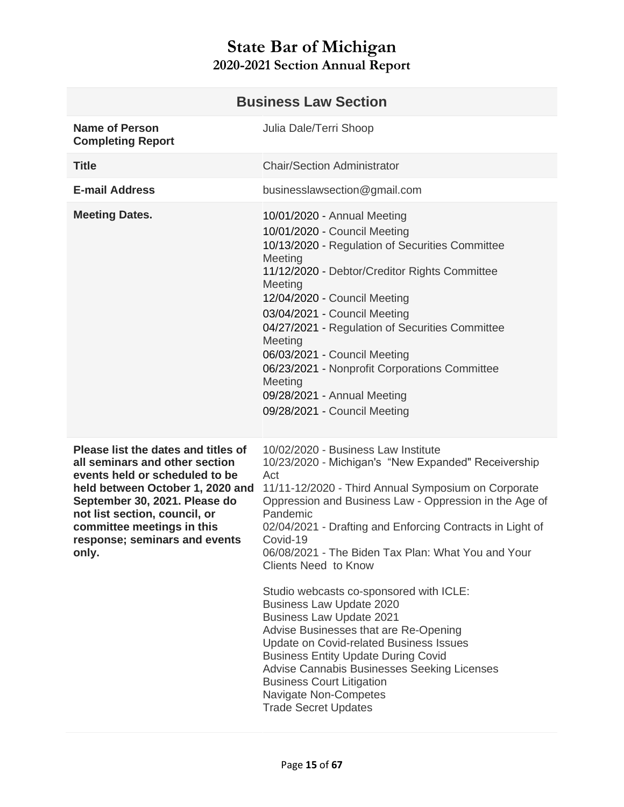<span id="page-14-0"></span>

| <b>Business Law Section</b>                                                                                                                                                                                                                                                           |                                                                                                                                                                                                                                                                                                                                                                                                                                                                                |  |
|---------------------------------------------------------------------------------------------------------------------------------------------------------------------------------------------------------------------------------------------------------------------------------------|--------------------------------------------------------------------------------------------------------------------------------------------------------------------------------------------------------------------------------------------------------------------------------------------------------------------------------------------------------------------------------------------------------------------------------------------------------------------------------|--|
| <b>Name of Person</b><br><b>Completing Report</b>                                                                                                                                                                                                                                     | Julia Dale/Terri Shoop                                                                                                                                                                                                                                                                                                                                                                                                                                                         |  |
| <b>Title</b>                                                                                                                                                                                                                                                                          | <b>Chair/Section Administrator</b>                                                                                                                                                                                                                                                                                                                                                                                                                                             |  |
| <b>E-mail Address</b>                                                                                                                                                                                                                                                                 | businesslawsection@gmail.com                                                                                                                                                                                                                                                                                                                                                                                                                                                   |  |
| <b>Meeting Dates.</b>                                                                                                                                                                                                                                                                 | 10/01/2020 - Annual Meeting<br>10/01/2020 - Council Meeting<br>10/13/2020 - Regulation of Securities Committee<br>Meeting<br>11/12/2020 - Debtor/Creditor Rights Committee<br>Meeting<br>12/04/2020 - Council Meeting<br>03/04/2021 - Council Meeting<br>04/27/2021 - Regulation of Securities Committee<br>Meeting<br>06/03/2021 - Council Meeting<br>06/23/2021 - Nonprofit Corporations Committee<br>Meeting<br>09/28/2021 - Annual Meeting<br>09/28/2021 - Council Meeting |  |
| Please list the dates and titles of<br>all seminars and other section<br>events held or scheduled to be<br>held between October 1, 2020 and<br>September 30, 2021. Please do<br>not list section, council, or<br>committee meetings in this<br>response; seminars and events<br>only. | 10/02/2020 - Business Law Institute<br>10/23/2020 - Michigan's "New Expanded" Receivership<br>Act<br>11/11-12/2020 - Third Annual Symposium on Corporate<br>Oppression and Business Law - Oppression in the Age of<br>Pandemic<br>02/04/2021 - Drafting and Enforcing Contracts in Light of<br>Covid-19<br>06/08/2021 - The Biden Tax Plan: What You and Your<br><b>Clients Need to Know</b><br>Studio webcasts co-sponsored with ICLE:                                        |  |
|                                                                                                                                                                                                                                                                                       | <b>Business Law Update 2020</b><br><b>Business Law Update 2021</b><br>Advise Businesses that are Re-Opening<br>Update on Covid-related Business Issues<br><b>Business Entity Update During Covid</b><br>Advise Cannabis Businesses Seeking Licenses<br><b>Business Court Litigation</b><br>Navigate Non-Competes<br><b>Trade Secret Updates</b>                                                                                                                                |  |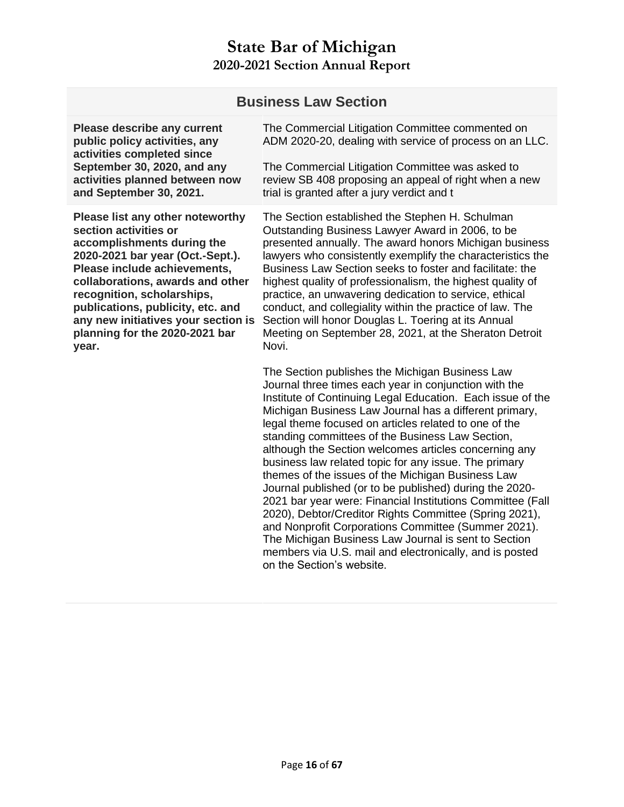|                                                                                                                                                                                                                                                                                                                                                      | <b>Business Law Section</b>                                                                                                                                                                                                                                                                                                                                                                                                                                                                                                                                                                                                                                                                                                                                                                                                                                                                                    |
|------------------------------------------------------------------------------------------------------------------------------------------------------------------------------------------------------------------------------------------------------------------------------------------------------------------------------------------------------|----------------------------------------------------------------------------------------------------------------------------------------------------------------------------------------------------------------------------------------------------------------------------------------------------------------------------------------------------------------------------------------------------------------------------------------------------------------------------------------------------------------------------------------------------------------------------------------------------------------------------------------------------------------------------------------------------------------------------------------------------------------------------------------------------------------------------------------------------------------------------------------------------------------|
| <b>Please describe any current</b><br>public policy activities, any<br>activities completed since<br>September 30, 2020, and any<br>activities planned between now<br>and September 30, 2021.                                                                                                                                                        | The Commercial Litigation Committee commented on<br>ADM 2020-20, dealing with service of process on an LLC.                                                                                                                                                                                                                                                                                                                                                                                                                                                                                                                                                                                                                                                                                                                                                                                                    |
|                                                                                                                                                                                                                                                                                                                                                      | The Commercial Litigation Committee was asked to<br>review SB 408 proposing an appeal of right when a new<br>trial is granted after a jury verdict and t                                                                                                                                                                                                                                                                                                                                                                                                                                                                                                                                                                                                                                                                                                                                                       |
| Please list any other noteworthy<br>section activities or<br>accomplishments during the<br>2020-2021 bar year (Oct.-Sept.).<br>Please include achievements,<br>collaborations, awards and other<br>recognition, scholarships,<br>publications, publicity, etc. and<br>any new initiatives your section is<br>planning for the 2020-2021 bar<br>year. | The Section established the Stephen H. Schulman<br>Outstanding Business Lawyer Award in 2006, to be<br>presented annually. The award honors Michigan business<br>lawyers who consistently exemplify the characteristics the<br>Business Law Section seeks to foster and facilitate: the<br>highest quality of professionalism, the highest quality of<br>practice, an unwavering dedication to service, ethical<br>conduct, and collegiality within the practice of law. The<br>Section will honor Douglas L. Toering at its Annual<br>Meeting on September 28, 2021, at the Sheraton Detroit<br>Novi.                                                                                                                                                                                                                                                                                                         |
|                                                                                                                                                                                                                                                                                                                                                      | The Section publishes the Michigan Business Law<br>Journal three times each year in conjunction with the<br>Institute of Continuing Legal Education. Each issue of the<br>Michigan Business Law Journal has a different primary,<br>legal theme focused on articles related to one of the<br>standing committees of the Business Law Section,<br>although the Section welcomes articles concerning any<br>business law related topic for any issue. The primary<br>themes of the issues of the Michigan Business Law<br>Journal published (or to be published) during the 2020-<br>2021 bar year were: Financial Institutions Committee (Fall<br>2020), Debtor/Creditor Rights Committee (Spring 2021),<br>and Nonprofit Corporations Committee (Summer 2021).<br>The Michigan Business Law Journal is sent to Section<br>members via U.S. mail and electronically, and is posted<br>on the Section's website. |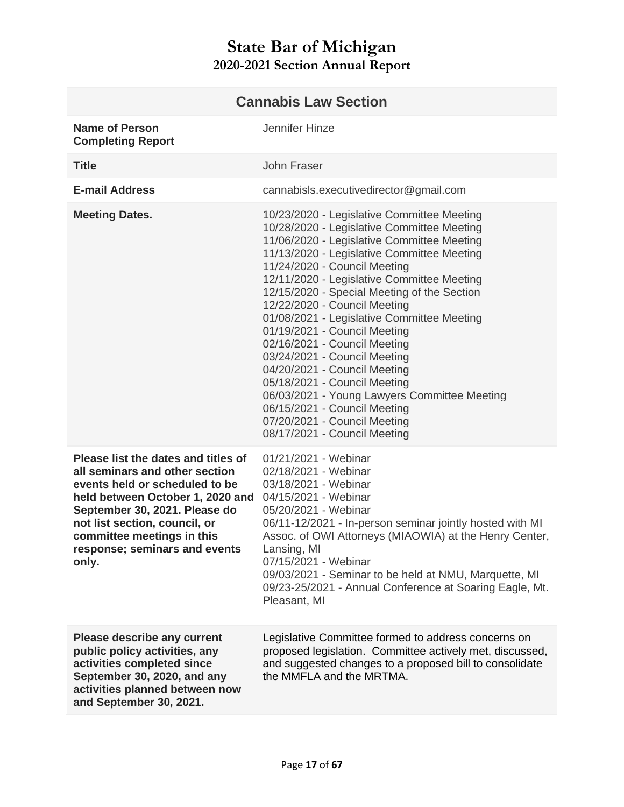<span id="page-16-0"></span>

| <b>Cannabis Law Section</b>                                                                                                                                                                                                                                                           |                                                                                                                                                                                                                                                                                                                                                                                                                                                                                                                                                                                                                                                                                                                 |
|---------------------------------------------------------------------------------------------------------------------------------------------------------------------------------------------------------------------------------------------------------------------------------------|-----------------------------------------------------------------------------------------------------------------------------------------------------------------------------------------------------------------------------------------------------------------------------------------------------------------------------------------------------------------------------------------------------------------------------------------------------------------------------------------------------------------------------------------------------------------------------------------------------------------------------------------------------------------------------------------------------------------|
| <b>Name of Person</b><br><b>Completing Report</b>                                                                                                                                                                                                                                     | Jennifer Hinze                                                                                                                                                                                                                                                                                                                                                                                                                                                                                                                                                                                                                                                                                                  |
| <b>Title</b>                                                                                                                                                                                                                                                                          | John Fraser                                                                                                                                                                                                                                                                                                                                                                                                                                                                                                                                                                                                                                                                                                     |
| <b>E-mail Address</b>                                                                                                                                                                                                                                                                 | cannabisls.executivedirector@gmail.com                                                                                                                                                                                                                                                                                                                                                                                                                                                                                                                                                                                                                                                                          |
| <b>Meeting Dates.</b>                                                                                                                                                                                                                                                                 | 10/23/2020 - Legislative Committee Meeting<br>10/28/2020 - Legislative Committee Meeting<br>11/06/2020 - Legislative Committee Meeting<br>11/13/2020 - Legislative Committee Meeting<br>11/24/2020 - Council Meeting<br>12/11/2020 - Legislative Committee Meeting<br>12/15/2020 - Special Meeting of the Section<br>12/22/2020 - Council Meeting<br>01/08/2021 - Legislative Committee Meeting<br>01/19/2021 - Council Meeting<br>02/16/2021 - Council Meeting<br>03/24/2021 - Council Meeting<br>04/20/2021 - Council Meeting<br>05/18/2021 - Council Meeting<br>06/03/2021 - Young Lawyers Committee Meeting<br>06/15/2021 - Council Meeting<br>07/20/2021 - Council Meeting<br>08/17/2021 - Council Meeting |
| Please list the dates and titles of<br>all seminars and other section<br>events held or scheduled to be<br>held between October 1, 2020 and<br>September 30, 2021. Please do<br>not list section, council, or<br>committee meetings in this<br>response; seminars and events<br>only. | 01/21/2021 - Webinar<br>02/18/2021 - Webinar<br>03/18/2021 - Webinar<br>04/15/2021 - Webinar<br>05/20/2021 - Webinar<br>06/11-12/2021 - In-person seminar jointly hosted with MI<br>Assoc. of OWI Attorneys (MIAOWIA) at the Henry Center,<br>Lansing, MI<br>07/15/2021 - Webinar<br>09/03/2021 - Seminar to be held at NMU, Marquette, MI<br>09/23-25/2021 - Annual Conference at Soaring Eagle, Mt.<br>Pleasant, MI                                                                                                                                                                                                                                                                                           |
| <b>Please describe any current</b><br>public policy activities, any<br>activities completed since<br>September 30, 2020, and any<br>activities planned between now<br>and September 30, 2021.                                                                                         | Legislative Committee formed to address concerns on<br>proposed legislation. Committee actively met, discussed,<br>and suggested changes to a proposed bill to consolidate<br>the MMFLA and the MRTMA.                                                                                                                                                                                                                                                                                                                                                                                                                                                                                                          |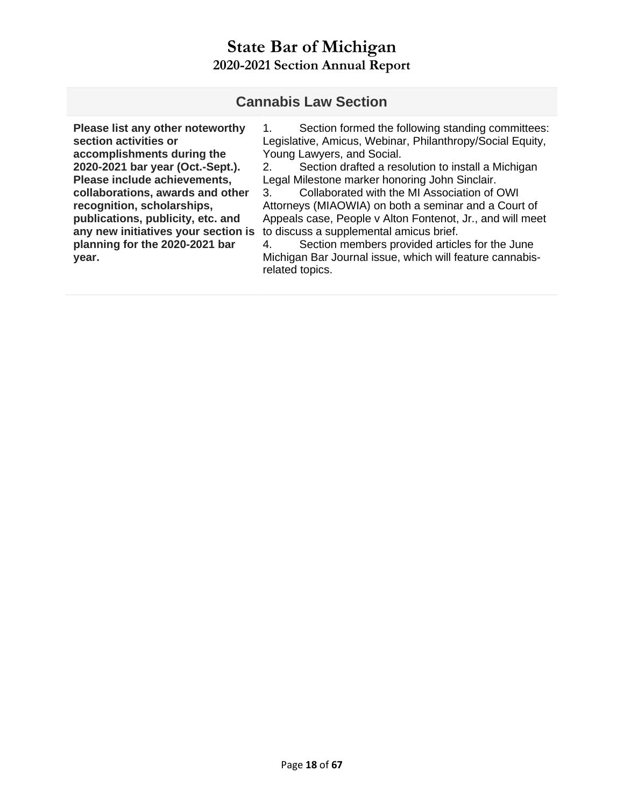#### **Cannabis Law Section**

**Please list any other noteworthy section activities or accomplishments during the 2020-2021 bar year (Oct.-Sept.). Please include achievements, collaborations, awards and other recognition, scholarships, publications, publicity, etc. and any new initiatives your section is planning for the 2020-2021 bar year.** 

1. Section formed the following standing committees: Legislative, Amicus, Webinar, Philanthropy/Social Equity, Young Lawyers, and Social.

2. Section drafted a resolution to install a Michigan Legal Milestone marker honoring John Sinclair.

3. Collaborated with the MI Association of OWI Attorneys (MIAOWIA) on both a seminar and a Court of Appeals case, People v Alton Fontenot, Jr., and will meet to discuss a supplemental amicus brief.

4. Section members provided articles for the June Michigan Bar Journal issue, which will feature cannabisrelated topics.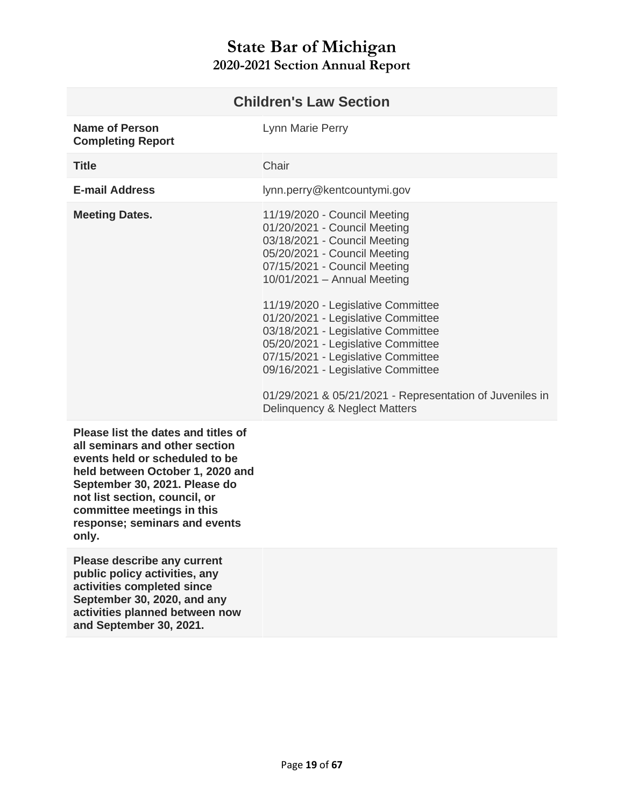<span id="page-18-0"></span>

| <b>Children's Law Section</b>              |                                                                                                                                                                                                                                                                                                                                                                                                                                                                                                                                |
|--------------------------------------------|--------------------------------------------------------------------------------------------------------------------------------------------------------------------------------------------------------------------------------------------------------------------------------------------------------------------------------------------------------------------------------------------------------------------------------------------------------------------------------------------------------------------------------|
| Name of Person<br><b>Completing Report</b> | Lynn Marie Perry                                                                                                                                                                                                                                                                                                                                                                                                                                                                                                               |
| <b>Title</b>                               | Chair                                                                                                                                                                                                                                                                                                                                                                                                                                                                                                                          |
| <b>E-mail Address</b>                      | lynn.perry@kentcountymi.gov                                                                                                                                                                                                                                                                                                                                                                                                                                                                                                    |
| <b>Meeting Dates.</b>                      | 11/19/2020 - Council Meeting<br>01/20/2021 - Council Meeting<br>03/18/2021 - Council Meeting<br>05/20/2021 - Council Meeting<br>07/15/2021 - Council Meeting<br>$10/01/2021 -$ Annual Meeting<br>11/19/2020 - Legislative Committee<br>01/20/2021 - Legislative Committee<br>03/18/2021 - Legislative Committee<br>05/20/2021 - Legislative Committee<br>07/15/2021 - Legislative Committee<br>09/16/2021 - Legislative Committee<br>01/29/2021 & 05/21/2021 - Representation of Juveniles in<br>Delinguency & Neglect Matters |
|                                            |                                                                                                                                                                                                                                                                                                                                                                                                                                                                                                                                |

**Please list the dates and titles of all seminars and other section events held or scheduled to be held between October 1, 2020 and September 30, 2021. Please do not list section, council, or committee meetings in this response; seminars and events only.** 

**Please describe any current public policy activities, any activities completed since September 30, 2020, and any activities planned between now and September 30, 2021.**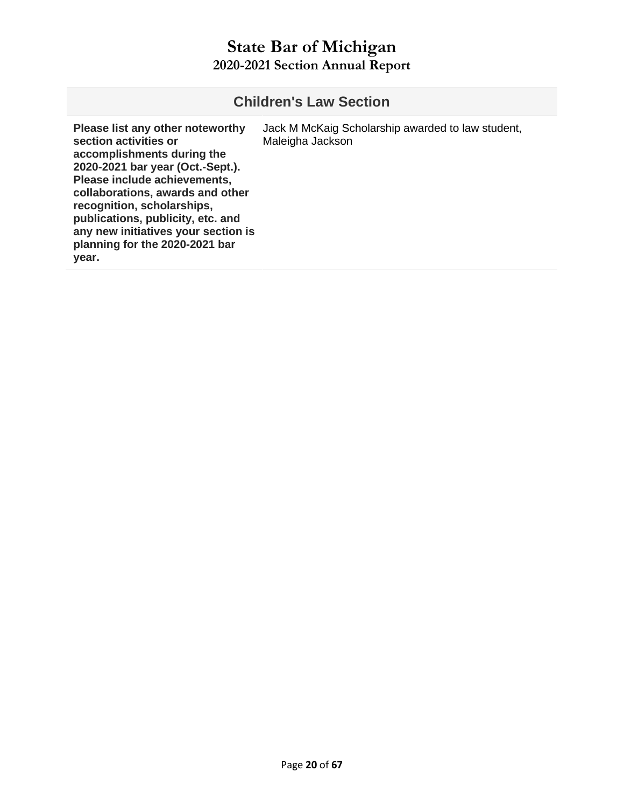## **Children's Law Section**

| Please list any other noteworthy<br>section activities or<br>accomplishments during the<br>2020-2021 bar year (Oct.-Sept.).<br>Please include achievements,<br>collaborations, awards and other<br>recognition, scholarships,<br>publications, publicity, etc. and<br>any new initiatives your section is<br>planning for the 2020-2021 bar<br>year. | Jack M McKaig Scholarship awarded to law student,<br>Maleigha Jackson |
|------------------------------------------------------------------------------------------------------------------------------------------------------------------------------------------------------------------------------------------------------------------------------------------------------------------------------------------------------|-----------------------------------------------------------------------|
|------------------------------------------------------------------------------------------------------------------------------------------------------------------------------------------------------------------------------------------------------------------------------------------------------------------------------------------------------|-----------------------------------------------------------------------|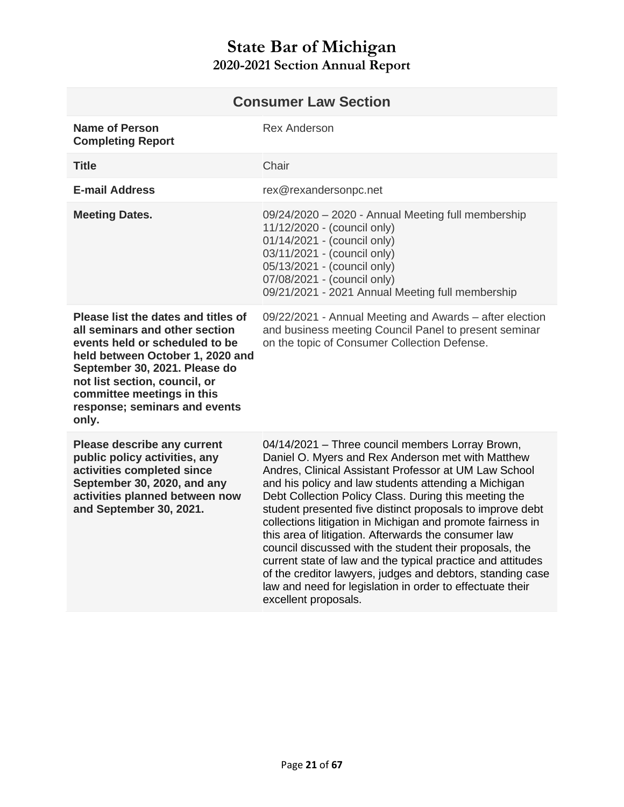<span id="page-20-0"></span>

| <b>Consumer Law Section</b>                                                                                                                                                                                                                                                           |                                                                                                                                                                                                                                                                                                                                                                                                                                                                                                                                                                                                                                                                                                                                                 |
|---------------------------------------------------------------------------------------------------------------------------------------------------------------------------------------------------------------------------------------------------------------------------------------|-------------------------------------------------------------------------------------------------------------------------------------------------------------------------------------------------------------------------------------------------------------------------------------------------------------------------------------------------------------------------------------------------------------------------------------------------------------------------------------------------------------------------------------------------------------------------------------------------------------------------------------------------------------------------------------------------------------------------------------------------|
| <b>Name of Person</b><br><b>Completing Report</b>                                                                                                                                                                                                                                     | <b>Rex Anderson</b>                                                                                                                                                                                                                                                                                                                                                                                                                                                                                                                                                                                                                                                                                                                             |
| <b>Title</b>                                                                                                                                                                                                                                                                          | Chair                                                                                                                                                                                                                                                                                                                                                                                                                                                                                                                                                                                                                                                                                                                                           |
| <b>E-mail Address</b>                                                                                                                                                                                                                                                                 | rex@rexandersonpc.net                                                                                                                                                                                                                                                                                                                                                                                                                                                                                                                                                                                                                                                                                                                           |
| <b>Meeting Dates.</b>                                                                                                                                                                                                                                                                 | 09/24/2020 - 2020 - Annual Meeting full membership<br>11/12/2020 - (council only)<br>01/14/2021 - (council only)<br>03/11/2021 - (council only)<br>05/13/2021 - (council only)<br>07/08/2021 - (council only)<br>09/21/2021 - 2021 Annual Meeting full membership                                                                                                                                                                                                                                                                                                                                                                                                                                                                               |
| Please list the dates and titles of<br>all seminars and other section<br>events held or scheduled to be<br>held between October 1, 2020 and<br>September 30, 2021. Please do<br>not list section, council, or<br>committee meetings in this<br>response; seminars and events<br>only. | 09/22/2021 - Annual Meeting and Awards - after election<br>and business meeting Council Panel to present seminar<br>on the topic of Consumer Collection Defense.                                                                                                                                                                                                                                                                                                                                                                                                                                                                                                                                                                                |
| Please describe any current<br>public policy activities, any<br>activities completed since<br>September 30, 2020, and any<br>activities planned between now<br>and September 30, 2021.                                                                                                | 04/14/2021 - Three council members Lorray Brown,<br>Daniel O. Myers and Rex Anderson met with Matthew<br>Andres, Clinical Assistant Professor at UM Law School<br>and his policy and law students attending a Michigan<br>Debt Collection Policy Class. During this meeting the<br>student presented five distinct proposals to improve debt<br>collections litigation in Michigan and promote fairness in<br>this area of litigation. Afterwards the consumer law<br>council discussed with the student their proposals, the<br>current state of law and the typical practice and attitudes<br>of the creditor lawyers, judges and debtors, standing case<br>law and need for legislation in order to effectuate their<br>excellent proposals. |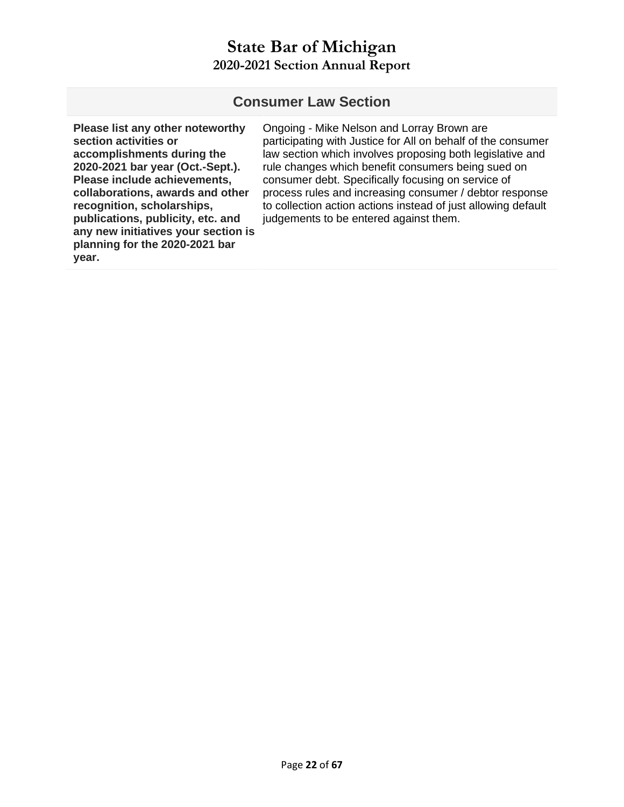#### **Consumer Law Section**

**Please list any other noteworthy section activities or accomplishments during the 2020-2021 bar year (Oct.-Sept.). Please include achievements, collaborations, awards and other recognition, scholarships, publications, publicity, etc. and any new initiatives your section is planning for the 2020-2021 bar year.** 

Ongoing - Mike Nelson and Lorray Brown are participating with Justice for All on behalf of the consumer law section which involves proposing both legislative and rule changes which benefit consumers being sued on consumer debt. Specifically focusing on service of process rules and increasing consumer / debtor response to collection action actions instead of just allowing default judgements to be entered against them.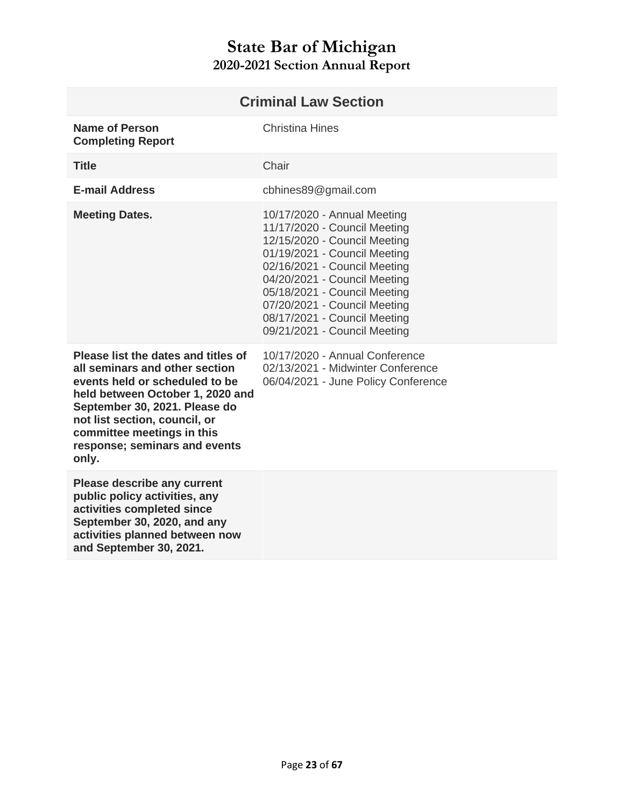<span id="page-22-0"></span>

| <b>Criminal Law Section</b>                                                                                                                                                                                                                                                           |                                                                                                                                                                                                                                                                                                                             |
|---------------------------------------------------------------------------------------------------------------------------------------------------------------------------------------------------------------------------------------------------------------------------------------|-----------------------------------------------------------------------------------------------------------------------------------------------------------------------------------------------------------------------------------------------------------------------------------------------------------------------------|
| <b>Name of Person</b><br><b>Completing Report</b>                                                                                                                                                                                                                                     | <b>Christina Hines</b>                                                                                                                                                                                                                                                                                                      |
| <b>Title</b>                                                                                                                                                                                                                                                                          | Chair                                                                                                                                                                                                                                                                                                                       |
| <b>E-mail Address</b>                                                                                                                                                                                                                                                                 | cbhines89@gmail.com                                                                                                                                                                                                                                                                                                         |
| <b>Meeting Dates.</b>                                                                                                                                                                                                                                                                 | 10/17/2020 - Annual Meeting<br>11/17/2020 - Council Meeting<br>12/15/2020 - Council Meeting<br>01/19/2021 - Council Meeting<br>02/16/2021 - Council Meeting<br>04/20/2021 - Council Meeting<br>05/18/2021 - Council Meeting<br>07/20/2021 - Council Meeting<br>08/17/2021 - Council Meeting<br>09/21/2021 - Council Meeting |
| Please list the dates and titles of<br>all seminars and other section<br>events held or scheduled to be<br>held between October 1, 2020 and<br>September 30, 2021. Please do<br>not list section, council, or<br>committee meetings in this<br>response; seminars and events<br>only. | 10/17/2020 - Annual Conference<br>02/13/2021 - Midwinter Conference<br>06/04/2021 - June Policy Conference                                                                                                                                                                                                                  |
| Please describe any current<br>public policy activities, any<br>activities completed since<br>September 30, 2020, and any<br>activities planned between now<br>and September 30, 2021.                                                                                                |                                                                                                                                                                                                                                                                                                                             |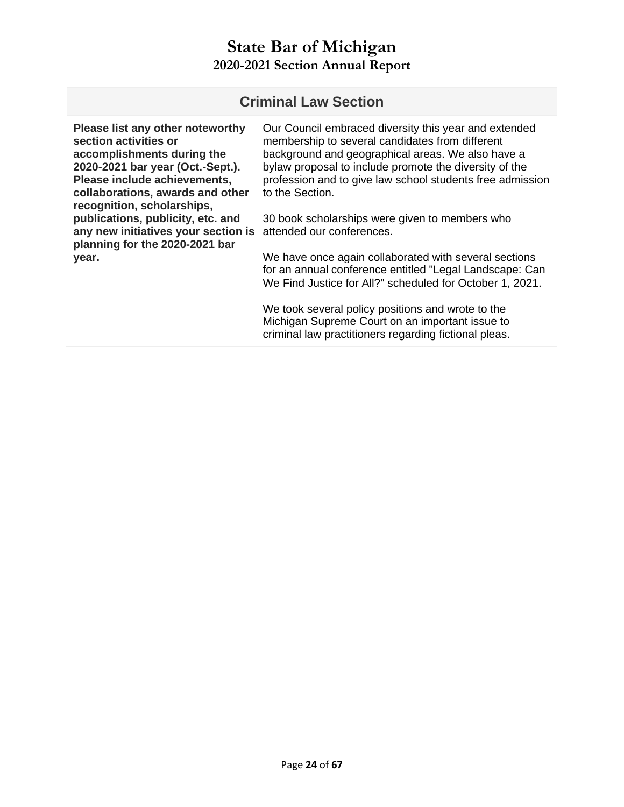#### **Criminal Law Section**

**Please list any other noteworthy section activities or accomplishments during the 2020-2021 bar year (Oct.-Sept.). Please include achievements, collaborations, awards and other recognition, scholarships, publications, publicity, etc. and**  any new initiatives your section is attended our conferences. **planning for the 2020-2021 bar year.**  to the Section.

Our Council embraced diversity this year and extended membership to several candidates from different background and geographical areas. We also have a bylaw proposal to include promote the diversity of the profession and to give law school students free admission

30 book scholarships were given to members who

We have once again collaborated with several sections for an annual conference entitled "Legal Landscape: Can We Find Justice for All?" scheduled for October 1, 2021.

We took several policy positions and wrote to the Michigan Supreme Court on an important issue to criminal law practitioners regarding fictional pleas.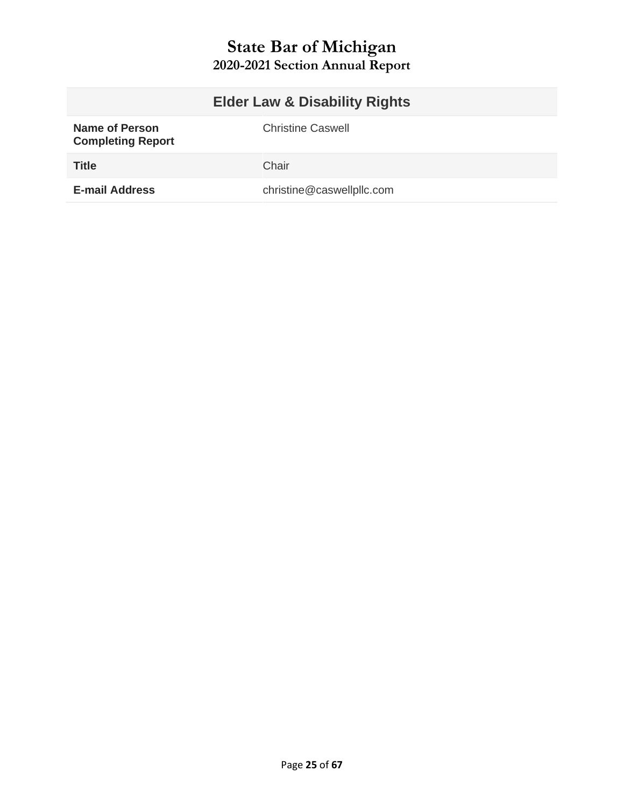<span id="page-24-0"></span>

|                                                   | <b>Elder Law &amp; Disability Rights</b> |
|---------------------------------------------------|------------------------------------------|
| <b>Name of Person</b><br><b>Completing Report</b> | <b>Christine Caswell</b>                 |
| <b>Title</b>                                      | Chair                                    |
| <b>E-mail Address</b>                             | christine@caswellpllc.com                |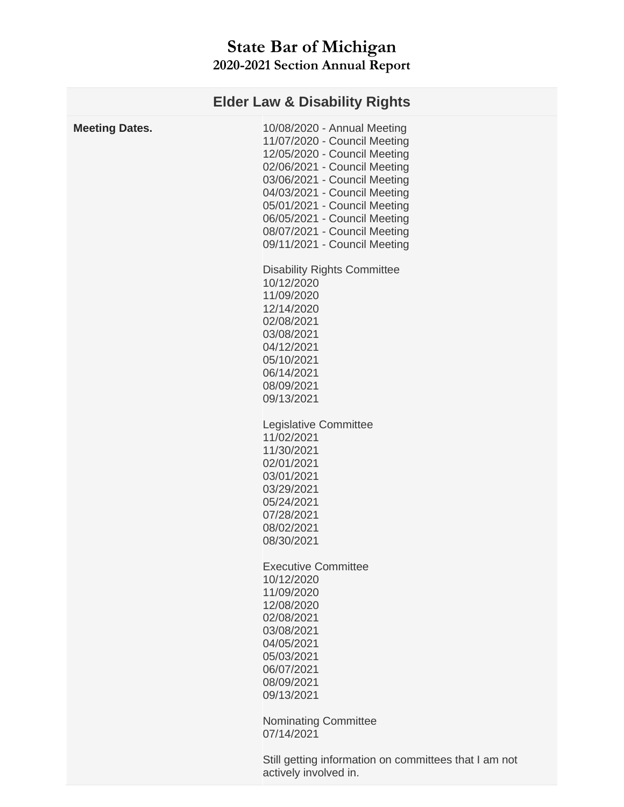| <b>Elder Law &amp; Disability Rights</b> |                                                                                                                                                                                                                                                                                                                             |  |
|------------------------------------------|-----------------------------------------------------------------------------------------------------------------------------------------------------------------------------------------------------------------------------------------------------------------------------------------------------------------------------|--|
| <b>Meeting Dates.</b>                    | 10/08/2020 - Annual Meeting<br>11/07/2020 - Council Meeting<br>12/05/2020 - Council Meeting<br>02/06/2021 - Council Meeting<br>03/06/2021 - Council Meeting<br>04/03/2021 - Council Meeting<br>05/01/2021 - Council Meeting<br>06/05/2021 - Council Meeting<br>08/07/2021 - Council Meeting<br>09/11/2021 - Council Meeting |  |
|                                          | <b>Disability Rights Committee</b><br>10/12/2020<br>11/09/2020<br>12/14/2020<br>02/08/2021<br>03/08/2021<br>04/12/2021<br>05/10/2021<br>06/14/2021<br>08/09/2021<br>09/13/2021                                                                                                                                              |  |
|                                          | Legislative Committee<br>11/02/2021<br>11/30/2021<br>02/01/2021<br>03/01/2021<br>03/29/2021<br>05/24/2021<br>07/28/2021<br>08/02/2021<br>08/30/2021                                                                                                                                                                         |  |
|                                          | <b>Executive Committee</b><br>10/12/2020<br>11/09/2020<br>12/08/2020<br>02/08/2021<br>03/08/2021<br>04/05/2021<br>05/03/2021<br>06/07/2021<br>08/09/2021<br>09/13/2021                                                                                                                                                      |  |
|                                          | <b>Nominating Committee</b><br>07/14/2021<br>Still getting information on committees that I am not                                                                                                                                                                                                                          |  |
|                                          |                                                                                                                                                                                                                                                                                                                             |  |

actively involved in.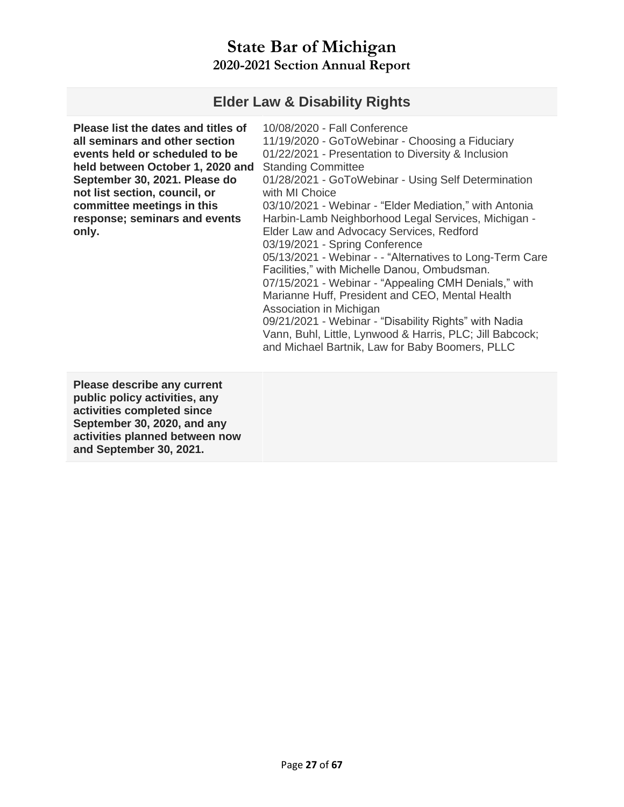#### **Elder Law & Disability Rights**

| Please list the dates and titles of<br>all seminars and other section<br>events held or scheduled to be<br>held between October 1, 2020 and<br>September 30, 2021. Please do<br>not list section, council, or<br>committee meetings in this<br>response; seminars and events<br>only. | 10/08/2020 - Fall Conference<br>11/19/2020 - GoToWebinar - Choosing a Fiduciary<br>01/22/2021 - Presentation to Diversity & Inclusion<br><b>Standing Committee</b><br>01/28/2021 - GoToWebinar - Using Self Determination<br>with MI Choice<br>03/10/2021 - Webinar - "Elder Mediation," with Antonia<br>Harbin-Lamb Neighborhood Legal Services, Michigan -<br>Elder Law and Advocacy Services, Redford<br>03/19/2021 - Spring Conference<br>05/13/2021 - Webinar - - "Alternatives to Long-Term Care<br>Facilities," with Michelle Danou, Ombudsman.<br>07/15/2021 - Webinar - "Appealing CMH Denials," with<br>Marianne Huff, President and CEO, Mental Health<br>Association in Michigan<br>09/21/2021 - Webinar - "Disability Rights" with Nadia<br>Vann, Buhl, Little, Lynwood & Harris, PLC; Jill Babcock;<br>and Michael Bartnik, Law for Baby Boomers, PLLC |
|---------------------------------------------------------------------------------------------------------------------------------------------------------------------------------------------------------------------------------------------------------------------------------------|----------------------------------------------------------------------------------------------------------------------------------------------------------------------------------------------------------------------------------------------------------------------------------------------------------------------------------------------------------------------------------------------------------------------------------------------------------------------------------------------------------------------------------------------------------------------------------------------------------------------------------------------------------------------------------------------------------------------------------------------------------------------------------------------------------------------------------------------------------------------|
|---------------------------------------------------------------------------------------------------------------------------------------------------------------------------------------------------------------------------------------------------------------------------------------|----------------------------------------------------------------------------------------------------------------------------------------------------------------------------------------------------------------------------------------------------------------------------------------------------------------------------------------------------------------------------------------------------------------------------------------------------------------------------------------------------------------------------------------------------------------------------------------------------------------------------------------------------------------------------------------------------------------------------------------------------------------------------------------------------------------------------------------------------------------------|

**Please describe any current public policy activities, any activities completed since September 30, 2020, and any activities planned between now and September 30, 2021.**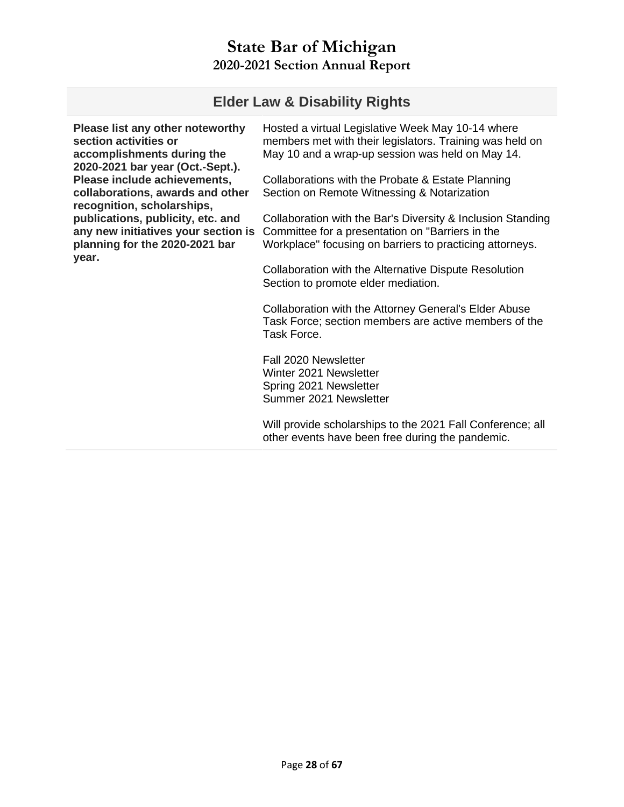#### **Elder Law & Disability Rights**

**Please list any other noteworthy section activities or accomplishments during the 2020-2021 bar year (Oct.-Sept.). Please include achievements, collaborations, awards and other recognition, scholarships, publications, publicity, etc. and any new initiatives your section is planning for the 2020-2021 bar year.** 

Hosted a virtual Legislative Week May 10-14 where members met with their legislators. Training was held on May 10 and a wrap-up session was held on May 14.

Collaborations with the Probate & Estate Planning Section on Remote Witnessing & Notarization

Collaboration with the Bar's Diversity & Inclusion Standing Committee for a presentation on "Barriers in the Workplace" focusing on barriers to practicing attorneys.

Collaboration with the Alternative Dispute Resolution Section to promote elder mediation.

Collaboration with the Attorney General's Elder Abuse Task Force; section members are active members of the Task Force.

Fall 2020 Newsletter Winter 2021 Newsletter Spring 2021 Newsletter Summer 2021 Newsletter

Will provide scholarships to the 2021 Fall Conference; all other events have been free during the pandemic.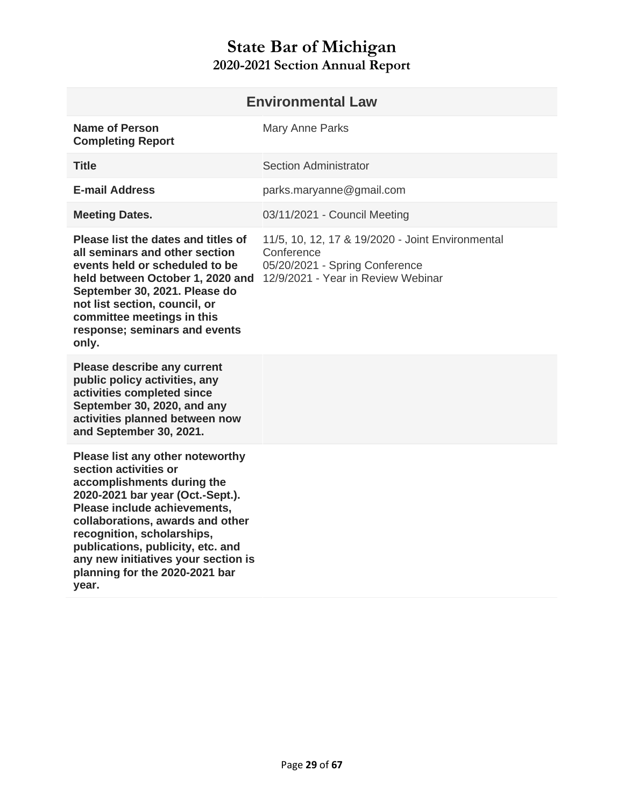<span id="page-28-0"></span>

| <b>Environmental Law</b>                                                                                                                                                                                                                                                                                                                             |                                                                                                                                        |  |
|------------------------------------------------------------------------------------------------------------------------------------------------------------------------------------------------------------------------------------------------------------------------------------------------------------------------------------------------------|----------------------------------------------------------------------------------------------------------------------------------------|--|
| <b>Name of Person</b><br><b>Completing Report</b>                                                                                                                                                                                                                                                                                                    | Mary Anne Parks                                                                                                                        |  |
| <b>Title</b>                                                                                                                                                                                                                                                                                                                                         | <b>Section Administrator</b>                                                                                                           |  |
| <b>E-mail Address</b>                                                                                                                                                                                                                                                                                                                                | parks.maryanne@gmail.com                                                                                                               |  |
| <b>Meeting Dates.</b>                                                                                                                                                                                                                                                                                                                                | 03/11/2021 - Council Meeting                                                                                                           |  |
| Please list the dates and titles of<br>all seminars and other section<br>events held or scheduled to be<br>held between October 1, 2020 and<br>September 30, 2021. Please do<br>not list section, council, or<br>committee meetings in this<br>response; seminars and events<br>only.                                                                | 11/5, 10, 12, 17 & 19/2020 - Joint Environmental<br>Conference<br>05/20/2021 - Spring Conference<br>12/9/2021 - Year in Review Webinar |  |
| Please describe any current<br>public policy activities, any<br>activities completed since<br>September 30, 2020, and any<br>activities planned between now<br>and September 30, 2021.                                                                                                                                                               |                                                                                                                                        |  |
| Please list any other noteworthy<br>section activities or<br>accomplishments during the<br>2020-2021 bar year (Oct.-Sept.).<br>Please include achievements,<br>collaborations, awards and other<br>recognition, scholarships,<br>publications, publicity, etc. and<br>any new initiatives your section is<br>planning for the 2020-2021 bar<br>year. |                                                                                                                                        |  |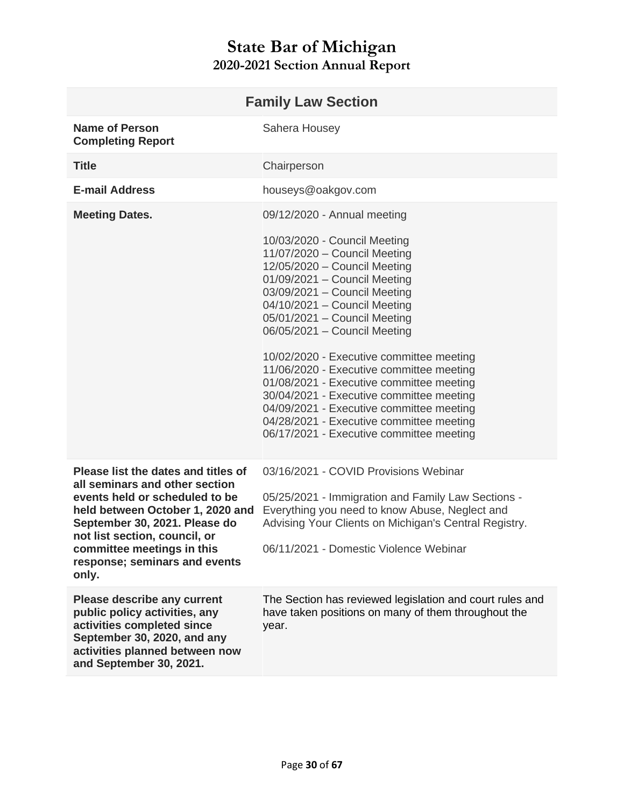<span id="page-29-0"></span>

| <b>Family Law Section</b>                                                                                                                                                                                                                                                             |                                                                                                                                                                                                                                                                                                                                                                                                                                                                                                                                                                                  |  |
|---------------------------------------------------------------------------------------------------------------------------------------------------------------------------------------------------------------------------------------------------------------------------------------|----------------------------------------------------------------------------------------------------------------------------------------------------------------------------------------------------------------------------------------------------------------------------------------------------------------------------------------------------------------------------------------------------------------------------------------------------------------------------------------------------------------------------------------------------------------------------------|--|
| <b>Name of Person</b><br><b>Completing Report</b>                                                                                                                                                                                                                                     | Sahera Housey                                                                                                                                                                                                                                                                                                                                                                                                                                                                                                                                                                    |  |
| <b>Title</b>                                                                                                                                                                                                                                                                          | Chairperson                                                                                                                                                                                                                                                                                                                                                                                                                                                                                                                                                                      |  |
| <b>E-mail Address</b>                                                                                                                                                                                                                                                                 | houseys@oakgov.com                                                                                                                                                                                                                                                                                                                                                                                                                                                                                                                                                               |  |
| <b>Meeting Dates.</b>                                                                                                                                                                                                                                                                 | 09/12/2020 - Annual meeting                                                                                                                                                                                                                                                                                                                                                                                                                                                                                                                                                      |  |
|                                                                                                                                                                                                                                                                                       | 10/03/2020 - Council Meeting<br>11/07/2020 - Council Meeting<br>12/05/2020 - Council Meeting<br>01/09/2021 - Council Meeting<br>03/09/2021 - Council Meeting<br>04/10/2021 - Council Meeting<br>05/01/2021 - Council Meeting<br>06/05/2021 - Council Meeting<br>10/02/2020 - Executive committee meeting<br>11/06/2020 - Executive committee meeting<br>01/08/2021 - Executive committee meeting<br>30/04/2021 - Executive committee meeting<br>04/09/2021 - Executive committee meeting<br>04/28/2021 - Executive committee meeting<br>06/17/2021 - Executive committee meeting |  |
| Please list the dates and titles of<br>all seminars and other section<br>events held or scheduled to be<br>held between October 1, 2020 and<br>September 30, 2021. Please do<br>not list section, council, or<br>committee meetings in this<br>response; seminars and events<br>only. | 03/16/2021 - COVID Provisions Webinar<br>05/25/2021 - Immigration and Family Law Sections -<br>Everything you need to know Abuse, Neglect and<br>Advising Your Clients on Michigan's Central Registry.<br>06/11/2021 - Domestic Violence Webinar                                                                                                                                                                                                                                                                                                                                 |  |
| <b>Please describe any current</b><br>public policy activities, any<br>activities completed since<br>September 30, 2020, and any<br>activities planned between now<br>and September 30, 2021.                                                                                         | The Section has reviewed legislation and court rules and<br>have taken positions on many of them throughout the<br>year.                                                                                                                                                                                                                                                                                                                                                                                                                                                         |  |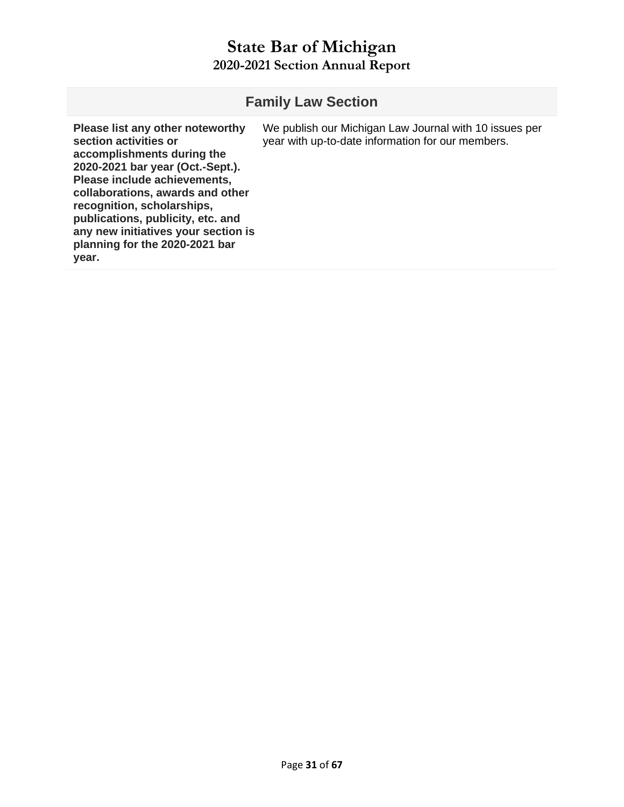| <b>Family Law Section</b>                                                                                                                                                                                                                                                                                                                            |                                                                                                             |  |
|------------------------------------------------------------------------------------------------------------------------------------------------------------------------------------------------------------------------------------------------------------------------------------------------------------------------------------------------------|-------------------------------------------------------------------------------------------------------------|--|
| Please list any other noteworthy<br>section activities or<br>accomplishments during the<br>2020-2021 bar year (Oct.-Sept.).<br>Please include achievements,<br>collaborations, awards and other<br>recognition, scholarships,<br>publications, publicity, etc. and<br>any new initiatives your section is<br>planning for the 2020-2021 bar<br>year. | We publish our Michigan Law Journal with 10 issues per<br>year with up-to-date information for our members. |  |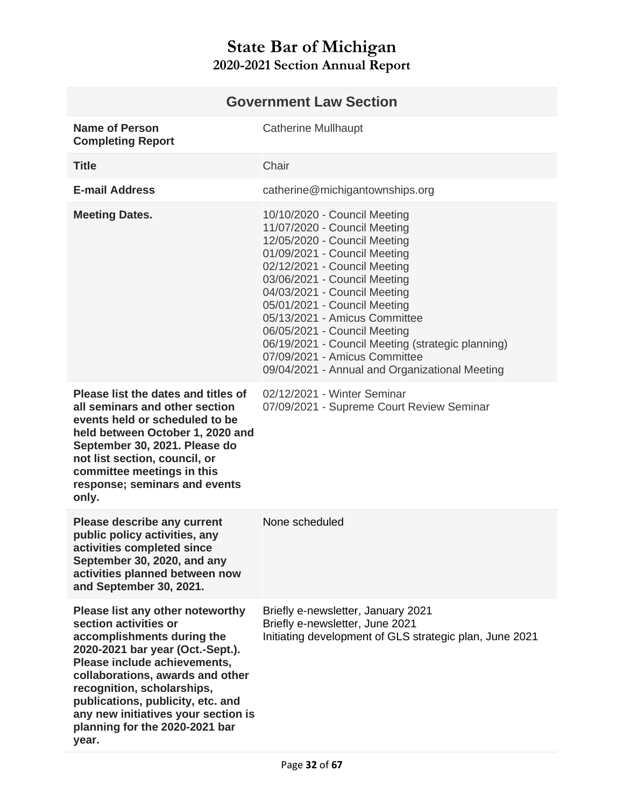<span id="page-31-0"></span>

| <b>Government Law Section</b>                                                                                                                                                                                                                                                                                                                        |                                                                                                                                                                                                                                                                                                                                                                                                                                                                       |
|------------------------------------------------------------------------------------------------------------------------------------------------------------------------------------------------------------------------------------------------------------------------------------------------------------------------------------------------------|-----------------------------------------------------------------------------------------------------------------------------------------------------------------------------------------------------------------------------------------------------------------------------------------------------------------------------------------------------------------------------------------------------------------------------------------------------------------------|
| <b>Name of Person</b><br><b>Completing Report</b>                                                                                                                                                                                                                                                                                                    | <b>Catherine Mullhaupt</b>                                                                                                                                                                                                                                                                                                                                                                                                                                            |
| <b>Title</b>                                                                                                                                                                                                                                                                                                                                         | Chair                                                                                                                                                                                                                                                                                                                                                                                                                                                                 |
| <b>E-mail Address</b>                                                                                                                                                                                                                                                                                                                                | catherine@michigantownships.org                                                                                                                                                                                                                                                                                                                                                                                                                                       |
| <b>Meeting Dates.</b>                                                                                                                                                                                                                                                                                                                                | 10/10/2020 - Council Meeting<br>11/07/2020 - Council Meeting<br>12/05/2020 - Council Meeting<br>01/09/2021 - Council Meeting<br>02/12/2021 - Council Meeting<br>03/06/2021 - Council Meeting<br>04/03/2021 - Council Meeting<br>05/01/2021 - Council Meeting<br>05/13/2021 - Amicus Committee<br>06/05/2021 - Council Meeting<br>06/19/2021 - Council Meeting (strategic planning)<br>07/09/2021 - Amicus Committee<br>09/04/2021 - Annual and Organizational Meeting |
| Please list the dates and titles of<br>all seminars and other section<br>events held or scheduled to be<br>held between October 1, 2020 and<br>September 30, 2021. Please do<br>not list section, council, or<br>committee meetings in this<br>response; seminars and events<br>only.                                                                | 02/12/2021 - Winter Seminar<br>07/09/2021 - Supreme Court Review Seminar                                                                                                                                                                                                                                                                                                                                                                                              |
| <b>Please describe any current</b><br>public policy activities, any<br>activities completed since<br>September 30, 2020, and any<br>activities planned between now<br>and September 30, 2021.                                                                                                                                                        | None scheduled                                                                                                                                                                                                                                                                                                                                                                                                                                                        |
| Please list any other noteworthy<br>section activities or<br>accomplishments during the<br>2020-2021 bar year (Oct.-Sept.).<br>Please include achievements,<br>collaborations, awards and other<br>recognition, scholarships,<br>publications, publicity, etc. and<br>any new initiatives your section is<br>planning for the 2020-2021 bar<br>year. | Briefly e-newsletter, January 2021<br>Briefly e-newsletter, June 2021<br>Initiating development of GLS strategic plan, June 2021                                                                                                                                                                                                                                                                                                                                      |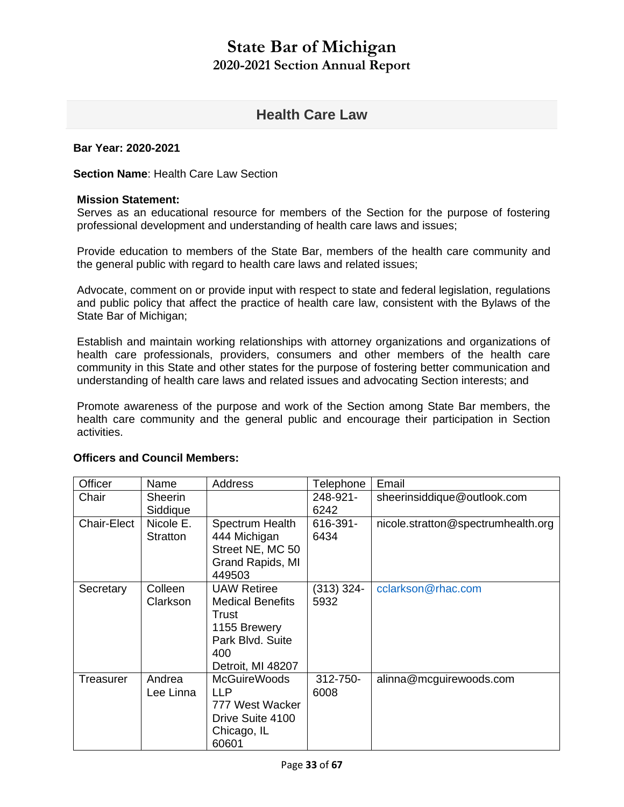#### **Health Care Law**

#### <span id="page-32-0"></span>**Bar Year: 2020-2021**

**Section Name**: Health Care Law Section

#### **Mission Statement:**

Serves as an educational resource for members of the Section for the purpose of fostering professional development and understanding of health care laws and issues;

Provide education to members of the State Bar, members of the health care community and the general public with regard to health care laws and related issues;

Advocate, comment on or provide input with respect to state and federal legislation, regulations and public policy that affect the practice of health care law, consistent with the Bylaws of the State Bar of Michigan;

Establish and maintain working relationships with attorney organizations and organizations of health care professionals, providers, consumers and other members of the health care community in this State and other states for the purpose of fostering better communication and understanding of health care laws and related issues and advocating Section interests; and

Promote awareness of the purpose and work of the Section among State Bar members, the health care community and the general public and encourage their participation in Section activities.

| Officer     | Name                       | Address                                                                                                                | Telephone            | Email                              |
|-------------|----------------------------|------------------------------------------------------------------------------------------------------------------------|----------------------|------------------------------------|
| Chair       | <b>Sheerin</b><br>Siddique |                                                                                                                        | 248-921-<br>6242     | sheerinsiddique@outlook.com        |
| Chair-Elect | Nicole E.<br>Stratton      | Spectrum Health<br>444 Michigan<br>Street NE, MC 50<br>Grand Rapids, MI<br>449503                                      | 616-391-<br>6434     | nicole.stratton@spectrumhealth.org |
| Secretary   | Colleen<br>Clarkson        | <b>UAW Retiree</b><br><b>Medical Benefits</b><br>Trust<br>1155 Brewery<br>Park Blvd. Suite<br>400<br>Detroit, MI 48207 | $(313)$ 324-<br>5932 | cclarkson@rhac.com                 |
| Treasurer   | Andrea<br>Lee Linna        | <b>McGuireWoods</b><br><b>LLP</b><br>777 West Wacker<br>Drive Suite 4100<br>Chicago, IL<br>60601                       | 312-750-<br>6008     | alinna@mcguirewoods.com            |

#### **Officers and Council Members:**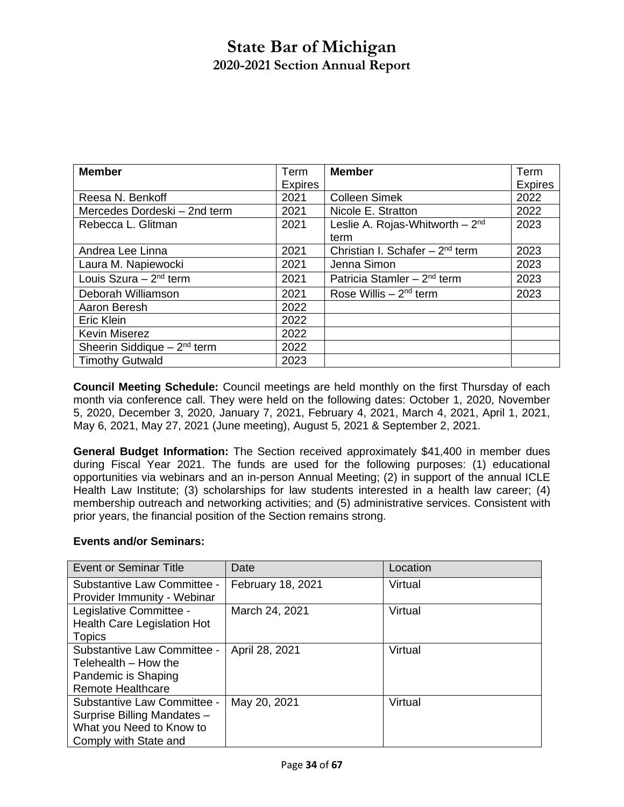| <b>Member</b>                   | Term           | <b>Member</b>                       | Term           |
|---------------------------------|----------------|-------------------------------------|----------------|
|                                 | <b>Expires</b> |                                     | <b>Expires</b> |
| Reesa N. Benkoff                | 2021           | <b>Colleen Simek</b>                | 2022           |
| Mercedes Dordeski - 2nd term    | 2021           | Nicole E. Stratton                  | 2022           |
| Rebecca L. Glitman              | 2021           | Leslie A. Rojas-Whitworth $-2nd$    | 2023           |
|                                 |                | term                                |                |
| Andrea Lee Linna                | 2021           | Christian I. Schafer $-2^{nd}$ term | 2023           |
| Laura M. Napiewocki             | 2021           | Jenna Simon                         | 2023           |
| Louis Szura $-2^{nd}$ term      | 2021           | Patricia Stamler $-2^{nd}$ term     | 2023           |
| Deborah Williamson              | 2021           | Rose Willis $-2nd$ term             | 2023           |
| Aaron Beresh                    | 2022           |                                     |                |
| Eric Klein                      | 2022           |                                     |                |
| <b>Kevin Miserez</b>            | 2022           |                                     |                |
| Sheerin Siddique $-2^{nd}$ term | 2022           |                                     |                |
| <b>Timothy Gutwald</b>          | 2023           |                                     |                |

**Council Meeting Schedule:** Council meetings are held monthly on the first Thursday of each month via conference call. They were held on the following dates: October 1, 2020, November 5, 2020, December 3, 2020, January 7, 2021, February 4, 2021, March 4, 2021, April 1, 2021, May 6, 2021, May 27, 2021 (June meeting), August 5, 2021 & September 2, 2021.

**General Budget Information:** The Section received approximately \$41,400 in member dues during Fiscal Year 2021. The funds are used for the following purposes: (1) educational opportunities via webinars and an in-person Annual Meeting; (2) in support of the annual ICLE Health Law Institute; (3) scholarships for law students interested in a health law career; (4) membership outreach and networking activities; and (5) administrative services. Consistent with prior years, the financial position of the Section remains strong.

#### **Events and/or Seminars:**

| <b>Event or Seminar Title</b>      | Date              | Location |
|------------------------------------|-------------------|----------|
| Substantive Law Committee -        | February 18, 2021 | Virtual  |
| Provider Immunity - Webinar        |                   |          |
| Legislative Committee -            | March 24, 2021    | Virtual  |
| <b>Health Care Legislation Hot</b> |                   |          |
| Topics                             |                   |          |
| Substantive Law Committee -        | April 28, 2021    | Virtual  |
| Telehealth - How the               |                   |          |
| Pandemic is Shaping                |                   |          |
| <b>Remote Healthcare</b>           |                   |          |
| Substantive Law Committee -        | May 20, 2021      | Virtual  |
| Surprise Billing Mandates -        |                   |          |
| What you Need to Know to           |                   |          |
| Comply with State and              |                   |          |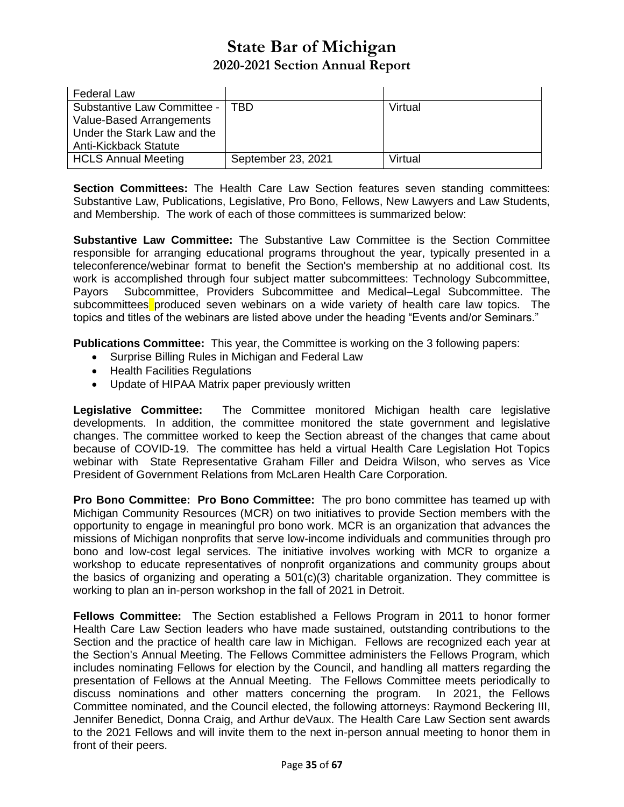| <b>Federal Law</b>          |                    |         |
|-----------------------------|--------------------|---------|
| Substantive Law Committee - | <b>TBD</b>         | Virtual |
| Value-Based Arrangements    |                    |         |
| Under the Stark Law and the |                    |         |
| Anti-Kickback Statute       |                    |         |
| <b>HCLS Annual Meeting</b>  | September 23, 2021 | Virtual |

**Section Committees:** The Health Care Law Section features seven standing committees: Substantive Law, Publications, Legislative, Pro Bono, Fellows, New Lawyers and Law Students, and Membership. The work of each of those committees is summarized below:

**Substantive Law Committee:** The Substantive Law Committee is the Section Committee responsible for arranging educational programs throughout the year, typically presented in a teleconference/webinar format to benefit the Section's membership at no additional cost. Its work is accomplished through four subject matter subcommittees: Technology Subcommittee, Payors Subcommittee, Providers Subcommittee and Medical–Legal Subcommittee. The subcommittees produced seven webinars on a wide variety of health care law topics. The topics and titles of the webinars are listed above under the heading "Events and/or Seminars."

**Publications Committee:** This year, the Committee is working on the 3 following papers:

- Surprise Billing Rules in Michigan and Federal Law
- Health Facilities Regulations
- Update of HIPAA Matrix paper previously written

**Legislative Committee:** The Committee monitored Michigan health care legislative developments. In addition, the committee monitored the state government and legislative changes. The committee worked to keep the Section abreast of the changes that came about because of COVID-19. The committee has held a virtual Health Care Legislation Hot Topics webinar with State Representative Graham Filler and Deidra Wilson, who serves as Vice President of Government Relations from McLaren Health Care Corporation.

**Pro Bono Committee: Pro Bono Committee:** The pro bono committee has teamed up with Michigan Community Resources (MCR) on two initiatives to provide Section members with the opportunity to engage in meaningful pro bono work. MCR is an organization that advances the missions of Michigan nonprofits that serve low-income individuals and communities through pro bono and low-cost legal services. The initiative involves working with MCR to organize a workshop to educate representatives of nonprofit organizations and community groups about the basics of organizing and operating a 501(c)(3) charitable organization. They committee is working to plan an in-person workshop in the fall of 2021 in Detroit.

**Fellows Committee:** The Section established a Fellows Program in 2011 to honor former Health Care Law Section leaders who have made sustained, outstanding contributions to the Section and the practice of health care law in Michigan. Fellows are recognized each year at the Section's Annual Meeting. The Fellows Committee administers the Fellows Program, which includes nominating Fellows for election by the Council, and handling all matters regarding the presentation of Fellows at the Annual Meeting. The Fellows Committee meets periodically to discuss nominations and other matters concerning the program. In 2021, the Fellows Committee nominated, and the Council elected, the following attorneys: Raymond Beckering III, Jennifer Benedict, Donna Craig, and Arthur deVaux. The Health Care Law Section sent awards to the 2021 Fellows and will invite them to the next in-person annual meeting to honor them in front of their peers.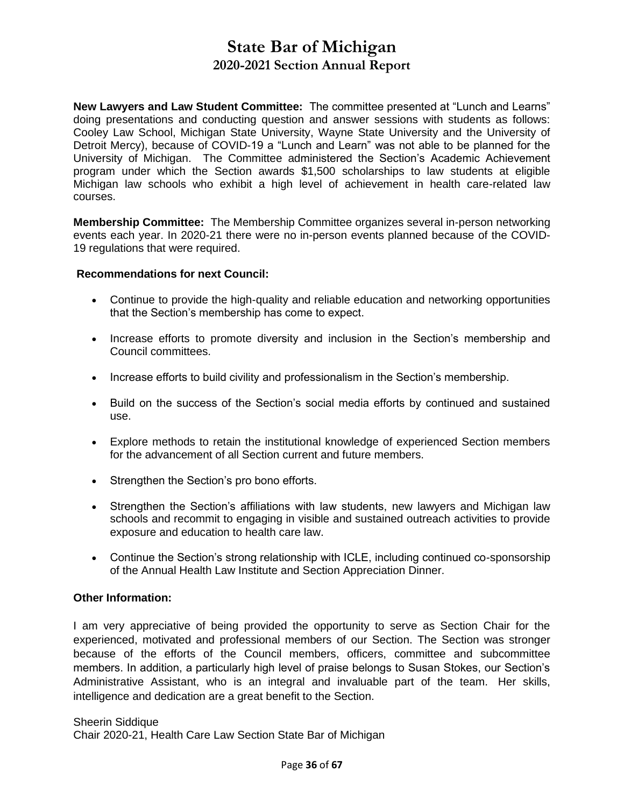**New Lawyers and Law Student Committee:** The committee presented at "Lunch and Learns" doing presentations and conducting question and answer sessions with students as follows: Cooley Law School, Michigan State University, Wayne State University and the University of Detroit Mercy), because of COVID-19 a "Lunch and Learn" was not able to be planned for the University of Michigan. The Committee administered the Section's Academic Achievement program under which the Section awards \$1,500 scholarships to law students at eligible Michigan law schools who exhibit a high level of achievement in health care-related law courses.

**Membership Committee:** The Membership Committee organizes several in-person networking events each year. In 2020-21 there were no in-person events planned because of the COVID-19 regulations that were required.

#### **Recommendations for next Council:**

- Continue to provide the high-quality and reliable education and networking opportunities that the Section's membership has come to expect.
- Increase efforts to promote diversity and inclusion in the Section's membership and Council committees.
- Increase efforts to build civility and professionalism in the Section's membership.
- Build on the success of the Section's social media efforts by continued and sustained use.
- Explore methods to retain the institutional knowledge of experienced Section members for the advancement of all Section current and future members.
- Strengthen the Section's pro bono efforts.
- Strengthen the Section's affiliations with law students, new lawyers and Michigan law schools and recommit to engaging in visible and sustained outreach activities to provide exposure and education to health care law.
- Continue the Section's strong relationship with ICLE, including continued co-sponsorship of the Annual Health Law Institute and Section Appreciation Dinner.

#### **Other Information:**

I am very appreciative of being provided the opportunity to serve as Section Chair for the experienced, motivated and professional members of our Section. The Section was stronger because of the efforts of the Council members, officers, committee and subcommittee members. In addition, a particularly high level of praise belongs to Susan Stokes, our Section's Administrative Assistant, who is an integral and invaluable part of the team. Her skills, intelligence and dedication are a great benefit to the Section.

Sheerin Siddique Chair 2020-21, Health Care Law Section State Bar of Michigan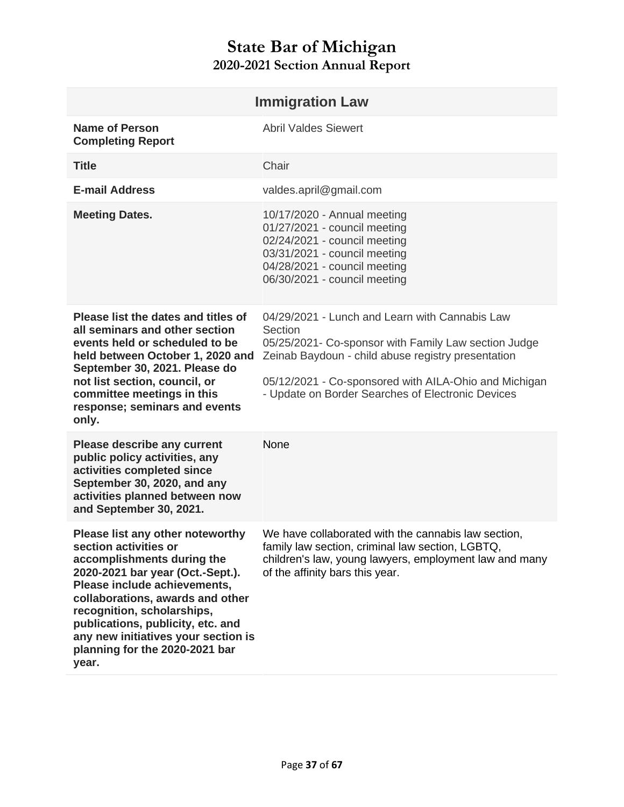<span id="page-36-1"></span><span id="page-36-0"></span>

| <b>Immigration Law</b>                                                                                                                                                                                                                                                                                                                               |                                                                                                                                                                                                                                                                                       |  |
|------------------------------------------------------------------------------------------------------------------------------------------------------------------------------------------------------------------------------------------------------------------------------------------------------------------------------------------------------|---------------------------------------------------------------------------------------------------------------------------------------------------------------------------------------------------------------------------------------------------------------------------------------|--|
| <b>Name of Person</b><br><b>Completing Report</b>                                                                                                                                                                                                                                                                                                    | <b>Abril Valdes Siewert</b>                                                                                                                                                                                                                                                           |  |
| <b>Title</b>                                                                                                                                                                                                                                                                                                                                         | Chair                                                                                                                                                                                                                                                                                 |  |
| <b>E-mail Address</b>                                                                                                                                                                                                                                                                                                                                | valdes.april@gmail.com                                                                                                                                                                                                                                                                |  |
| <b>Meeting Dates.</b>                                                                                                                                                                                                                                                                                                                                | 10/17/2020 - Annual meeting<br>01/27/2021 - council meeting<br>02/24/2021 - council meeting<br>03/31/2021 - council meeting<br>04/28/2021 - council meeting<br>06/30/2021 - council meeting                                                                                           |  |
| Please list the dates and titles of<br>all seminars and other section<br>events held or scheduled to be<br>held between October 1, 2020 and<br>September 30, 2021. Please do<br>not list section, council, or<br>committee meetings in this<br>response; seminars and events<br>only.                                                                | 04/29/2021 - Lunch and Learn with Cannabis Law<br>Section<br>05/25/2021- Co-sponsor with Family Law section Judge<br>Zeinab Baydoun - child abuse registry presentation<br>05/12/2021 - Co-sponsored with AILA-Ohio and Michigan<br>- Update on Border Searches of Electronic Devices |  |
| <b>Please describe any current</b><br>public policy activities, any<br>activities completed since<br>September 30, 2020, and any<br>activities planned between now<br>and September 30, 2021.                                                                                                                                                        | None                                                                                                                                                                                                                                                                                  |  |
| Please list any other noteworthy<br>section activities or<br>accomplishments during the<br>2020-2021 bar year (Oct.-Sept.).<br>Please include achievements,<br>collaborations, awards and other<br>recognition, scholarships,<br>publications, publicity, etc. and<br>any new initiatives your section is<br>planning for the 2020-2021 bar<br>year. | We have collaborated with the cannabis law section,<br>family law section, criminal law section, LGBTQ,<br>children's law, young lawyers, employment law and many<br>of the affinity bars this year.                                                                                  |  |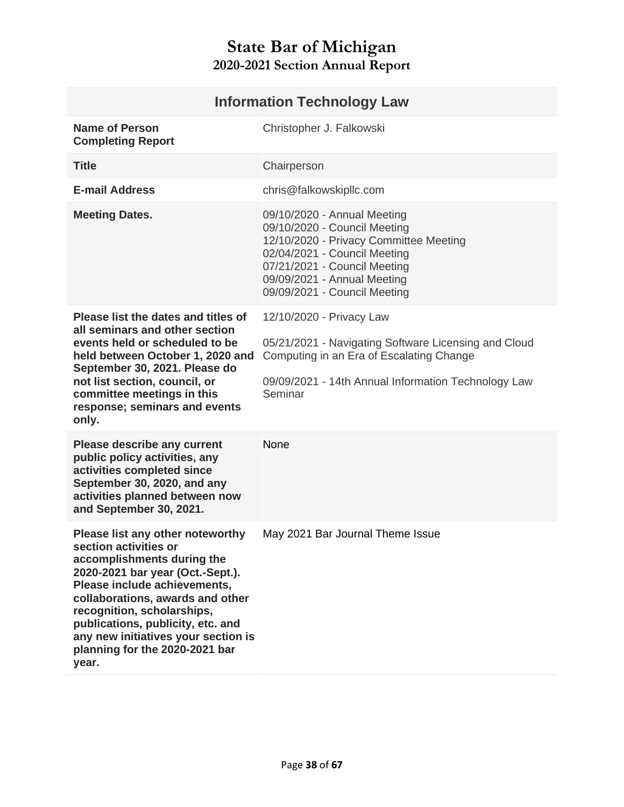<span id="page-37-0"></span>

| <b>Information Technology Law</b>                                                                                                                                                                                                                                                                                                                    |                                                                                                                                                                                                                                      |
|------------------------------------------------------------------------------------------------------------------------------------------------------------------------------------------------------------------------------------------------------------------------------------------------------------------------------------------------------|--------------------------------------------------------------------------------------------------------------------------------------------------------------------------------------------------------------------------------------|
| <b>Name of Person</b><br><b>Completing Report</b>                                                                                                                                                                                                                                                                                                    | Christopher J. Falkowski                                                                                                                                                                                                             |
| <b>Title</b>                                                                                                                                                                                                                                                                                                                                         | Chairperson                                                                                                                                                                                                                          |
| <b>E-mail Address</b>                                                                                                                                                                                                                                                                                                                                | chris@falkowskipllc.com                                                                                                                                                                                                              |
| <b>Meeting Dates.</b>                                                                                                                                                                                                                                                                                                                                | 09/10/2020 - Annual Meeting<br>09/10/2020 - Council Meeting<br>12/10/2020 - Privacy Committee Meeting<br>02/04/2021 - Council Meeting<br>07/21/2021 - Council Meeting<br>09/09/2021 - Annual Meeting<br>09/09/2021 - Council Meeting |
| Please list the dates and titles of<br>all seminars and other section<br>events held or scheduled to be<br>held between October 1, 2020 and<br>September 30, 2021. Please do<br>not list section, council, or<br>committee meetings in this<br>response; seminars and events<br>only.                                                                | 12/10/2020 - Privacy Law<br>05/21/2021 - Navigating Software Licensing and Cloud<br>Computing in an Era of Escalating Change<br>09/09/2021 - 14th Annual Information Technology Law<br>Seminar                                       |
| Please describe any current<br>public policy activities, any<br>activities completed since<br>September 30, 2020, and any<br>activities planned between now<br>and September 30, 2021.                                                                                                                                                               | <b>None</b>                                                                                                                                                                                                                          |
| Please list any other noteworthy<br>section activities or<br>accomplishments during the<br>2020-2021 bar year (Oct.-Sept.).<br>Please include achievements,<br>collaborations, awards and other<br>recognition, scholarships,<br>publications, publicity, etc. and<br>any new initiatives your section is<br>planning for the 2020-2021 bar<br>year. | May 2021 Bar Journal Theme Issue                                                                                                                                                                                                     |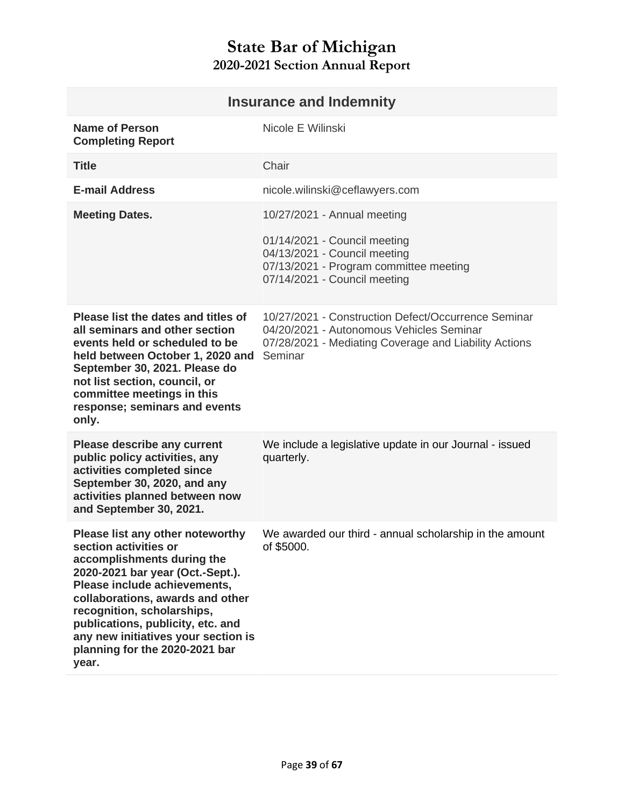|                                                                                                                                                                                                                                                                                                                                                      | <b>Insurance and Indemnity</b>                                                                                                                                      |
|------------------------------------------------------------------------------------------------------------------------------------------------------------------------------------------------------------------------------------------------------------------------------------------------------------------------------------------------------|---------------------------------------------------------------------------------------------------------------------------------------------------------------------|
| <b>Name of Person</b><br><b>Completing Report</b>                                                                                                                                                                                                                                                                                                    | Nicole E Wilinski                                                                                                                                                   |
| <b>Title</b>                                                                                                                                                                                                                                                                                                                                         | Chair                                                                                                                                                               |
| <b>E-mail Address</b>                                                                                                                                                                                                                                                                                                                                | nicole.wilinski@ceflawyers.com                                                                                                                                      |
| <b>Meeting Dates.</b>                                                                                                                                                                                                                                                                                                                                | 10/27/2021 - Annual meeting                                                                                                                                         |
|                                                                                                                                                                                                                                                                                                                                                      | 01/14/2021 - Council meeting<br>04/13/2021 - Council meeting<br>07/13/2021 - Program committee meeting<br>07/14/2021 - Council meeting                              |
| Please list the dates and titles of<br>all seminars and other section<br>events held or scheduled to be<br>held between October 1, 2020 and<br>September 30, 2021. Please do<br>not list section, council, or<br>committee meetings in this<br>response; seminars and events<br>only.                                                                | 10/27/2021 - Construction Defect/Occurrence Seminar<br>04/20/2021 - Autonomous Vehicles Seminar<br>07/28/2021 - Mediating Coverage and Liability Actions<br>Seminar |
| <b>Please describe any current</b><br>public policy activities, any<br>activities completed since<br>September 30, 2020, and any<br>activities planned between now<br>and September 30, 2021.                                                                                                                                                        | We include a legislative update in our Journal - issued<br>quarterly.                                                                                               |
| Please list any other noteworthy<br>section activities or<br>accomplishments during the<br>2020-2021 bar year (Oct.-Sept.).<br>Please include achievements,<br>collaborations, awards and other<br>recognition, scholarships,<br>publications, publicity, etc. and<br>any new initiatives your section is<br>planning for the 2020-2021 bar<br>year. | We awarded our third - annual scholarship in the amount<br>of \$5000.                                                                                               |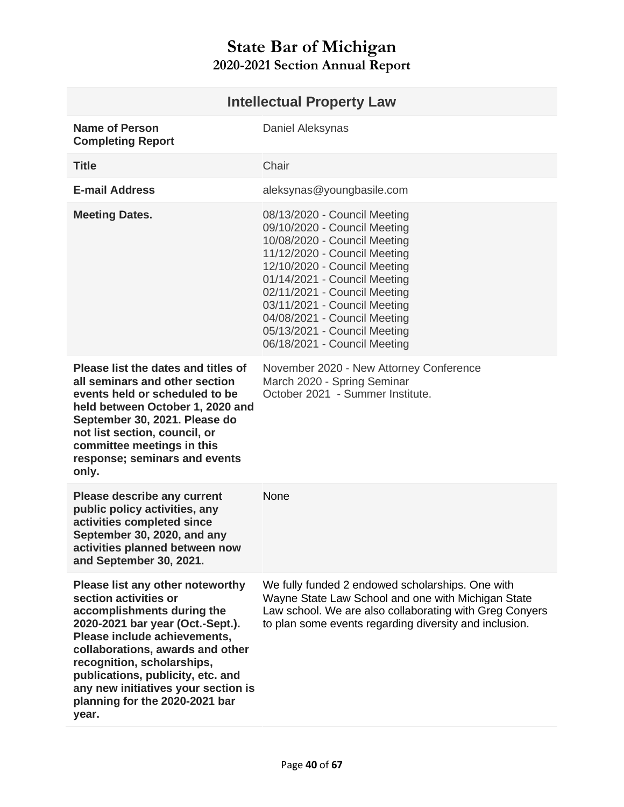<span id="page-39-0"></span>

| <b>Intellectual Property Law</b>                                                                                                                                                                                                                                                                                                                     |                                                                                                                                                                                                                                                                                                                                                              |
|------------------------------------------------------------------------------------------------------------------------------------------------------------------------------------------------------------------------------------------------------------------------------------------------------------------------------------------------------|--------------------------------------------------------------------------------------------------------------------------------------------------------------------------------------------------------------------------------------------------------------------------------------------------------------------------------------------------------------|
| <b>Name of Person</b><br><b>Completing Report</b>                                                                                                                                                                                                                                                                                                    | Daniel Aleksynas                                                                                                                                                                                                                                                                                                                                             |
| <b>Title</b>                                                                                                                                                                                                                                                                                                                                         | Chair                                                                                                                                                                                                                                                                                                                                                        |
| <b>E-mail Address</b>                                                                                                                                                                                                                                                                                                                                | aleksynas@youngbasile.com                                                                                                                                                                                                                                                                                                                                    |
| <b>Meeting Dates.</b>                                                                                                                                                                                                                                                                                                                                | 08/13/2020 - Council Meeting<br>09/10/2020 - Council Meeting<br>10/08/2020 - Council Meeting<br>11/12/2020 - Council Meeting<br>12/10/2020 - Council Meeting<br>01/14/2021 - Council Meeting<br>02/11/2021 - Council Meeting<br>03/11/2021 - Council Meeting<br>04/08/2021 - Council Meeting<br>05/13/2021 - Council Meeting<br>06/18/2021 - Council Meeting |
| Please list the dates and titles of<br>all seminars and other section<br>events held or scheduled to be<br>held between October 1, 2020 and<br>September 30, 2021. Please do<br>not list section, council, or<br>committee meetings in this<br>response; seminars and events<br>only.                                                                | November 2020 - New Attorney Conference<br>March 2020 - Spring Seminar<br>October 2021 - Summer Institute.                                                                                                                                                                                                                                                   |
| Please describe any current<br>public policy activities, any<br>activities completed since<br>September 30, 2020, and any<br>activities planned between now<br>and September 30, 2021.                                                                                                                                                               | None                                                                                                                                                                                                                                                                                                                                                         |
| Please list any other noteworthy<br>section activities or<br>accomplishments during the<br>2020-2021 bar year (Oct.-Sept.).<br>Please include achievements,<br>collaborations, awards and other<br>recognition, scholarships,<br>publications, publicity, etc. and<br>any new initiatives your section is<br>planning for the 2020-2021 bar<br>year. | We fully funded 2 endowed scholarships. One with<br>Wayne State Law School and one with Michigan State<br>Law school. We are also collaborating with Greg Conyers<br>to plan some events regarding diversity and inclusion.                                                                                                                                  |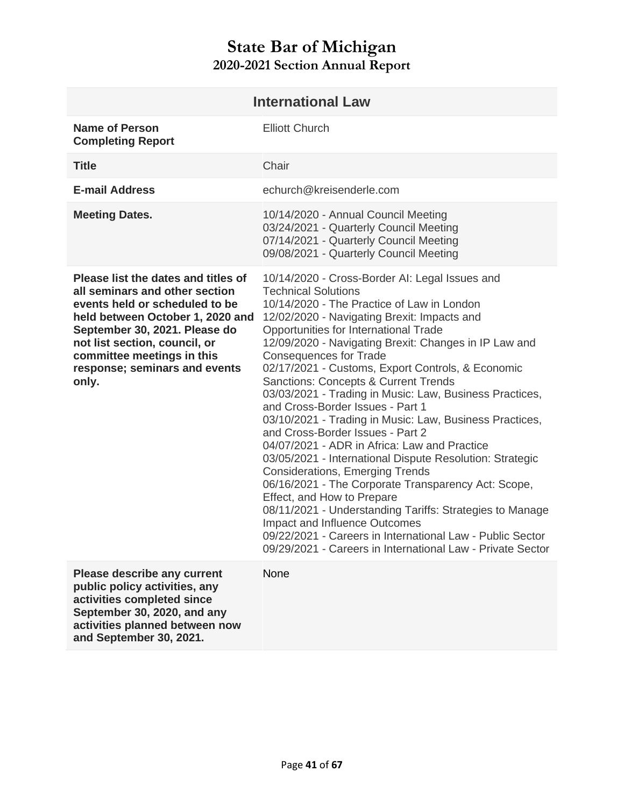<span id="page-40-0"></span>

| <b>International Law</b>                                                                                                                                                                                                                                                              |                                                                                                                                                                                                                                                                                                                                                                                                                                                                                                                                                                                                                                                                                                                                                                                                                                                                                                                                                                                                                                                                                       |
|---------------------------------------------------------------------------------------------------------------------------------------------------------------------------------------------------------------------------------------------------------------------------------------|---------------------------------------------------------------------------------------------------------------------------------------------------------------------------------------------------------------------------------------------------------------------------------------------------------------------------------------------------------------------------------------------------------------------------------------------------------------------------------------------------------------------------------------------------------------------------------------------------------------------------------------------------------------------------------------------------------------------------------------------------------------------------------------------------------------------------------------------------------------------------------------------------------------------------------------------------------------------------------------------------------------------------------------------------------------------------------------|
| <b>Name of Person</b><br><b>Completing Report</b>                                                                                                                                                                                                                                     | <b>Elliott Church</b>                                                                                                                                                                                                                                                                                                                                                                                                                                                                                                                                                                                                                                                                                                                                                                                                                                                                                                                                                                                                                                                                 |
| <b>Title</b>                                                                                                                                                                                                                                                                          | Chair                                                                                                                                                                                                                                                                                                                                                                                                                                                                                                                                                                                                                                                                                                                                                                                                                                                                                                                                                                                                                                                                                 |
| <b>E-mail Address</b>                                                                                                                                                                                                                                                                 | echurch@kreisenderle.com                                                                                                                                                                                                                                                                                                                                                                                                                                                                                                                                                                                                                                                                                                                                                                                                                                                                                                                                                                                                                                                              |
| <b>Meeting Dates.</b>                                                                                                                                                                                                                                                                 | 10/14/2020 - Annual Council Meeting<br>03/24/2021 - Quarterly Council Meeting<br>07/14/2021 - Quarterly Council Meeting<br>09/08/2021 - Quarterly Council Meeting                                                                                                                                                                                                                                                                                                                                                                                                                                                                                                                                                                                                                                                                                                                                                                                                                                                                                                                     |
| Please list the dates and titles of<br>all seminars and other section<br>events held or scheduled to be<br>held between October 1, 2020 and<br>September 30, 2021. Please do<br>not list section, council, or<br>committee meetings in this<br>response; seminars and events<br>only. | 10/14/2020 - Cross-Border AI: Legal Issues and<br><b>Technical Solutions</b><br>10/14/2020 - The Practice of Law in London<br>12/02/2020 - Navigating Brexit: Impacts and<br>Opportunities for International Trade<br>12/09/2020 - Navigating Brexit: Changes in IP Law and<br><b>Consequences for Trade</b><br>02/17/2021 - Customs, Export Controls, & Economic<br><b>Sanctions: Concepts &amp; Current Trends</b><br>03/03/2021 - Trading in Music: Law, Business Practices,<br>and Cross-Border Issues - Part 1<br>03/10/2021 - Trading in Music: Law, Business Practices,<br>and Cross-Border Issues - Part 2<br>04/07/2021 - ADR in Africa: Law and Practice<br>03/05/2021 - International Dispute Resolution: Strategic<br><b>Considerations, Emerging Trends</b><br>06/16/2021 - The Corporate Transparency Act: Scope,<br>Effect, and How to Prepare<br>08/11/2021 - Understanding Tariffs: Strategies to Manage<br>Impact and Influence Outcomes<br>09/22/2021 - Careers in International Law - Public Sector<br>09/29/2021 - Careers in International Law - Private Sector |
| <b>Please describe any current</b><br>public policy activities, any<br>activities completed since<br>September 30, 2020, and any<br>activities planned between now<br>and September 30, 2021.                                                                                         | None                                                                                                                                                                                                                                                                                                                                                                                                                                                                                                                                                                                                                                                                                                                                                                                                                                                                                                                                                                                                                                                                                  |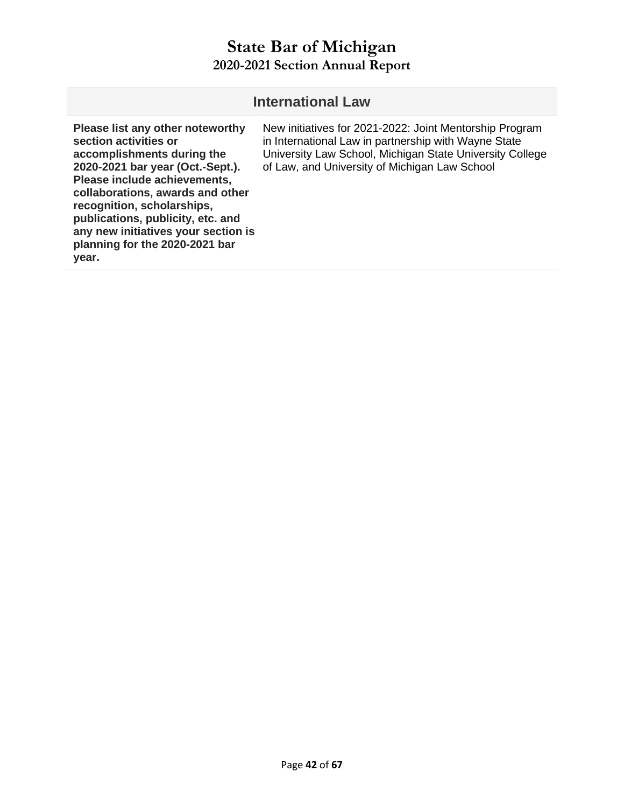| <b>International Law</b>                                                                                                                                                                                                                                                                                                                             |                                                                                                                                                                                                                              |  |
|------------------------------------------------------------------------------------------------------------------------------------------------------------------------------------------------------------------------------------------------------------------------------------------------------------------------------------------------------|------------------------------------------------------------------------------------------------------------------------------------------------------------------------------------------------------------------------------|--|
| Please list any other noteworthy<br>section activities or<br>accomplishments during the<br>2020-2021 bar year (Oct.-Sept.).<br>Please include achievements,<br>collaborations, awards and other<br>recognition, scholarships,<br>publications, publicity, etc. and<br>any new initiatives your section is<br>planning for the 2020-2021 bar<br>year. | New initiatives for 2021-2022: Joint Mentorship Program<br>in International Law in partnership with Wayne State<br>University Law School, Michigan State University College<br>of Law, and University of Michigan Law School |  |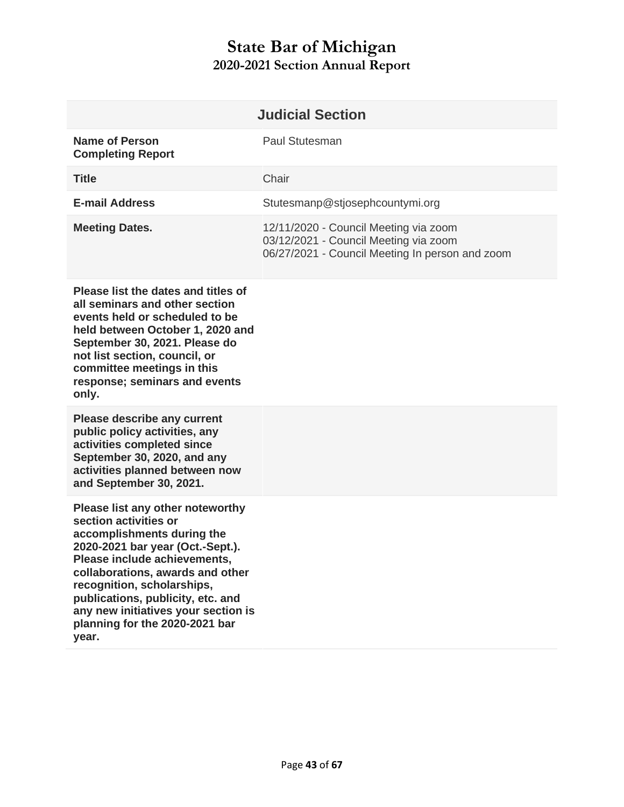<span id="page-42-0"></span>

|                                                   | <b>Judicial Section</b>                                                                                                           |
|---------------------------------------------------|-----------------------------------------------------------------------------------------------------------------------------------|
| <b>Name of Person</b><br><b>Completing Report</b> | Paul Stutesman                                                                                                                    |
| <b>Title</b>                                      | Chair                                                                                                                             |
| <b>E-mail Address</b>                             | Stutesmanp@stjosephcountymi.org                                                                                                   |
| <b>Meeting Dates.</b>                             | 12/11/2020 - Council Meeting via zoom<br>03/12/2021 - Council Meeting via zoom<br>06/27/2021 - Council Meeting In person and zoom |

**Please list the dates and titles of all seminars and other section events held or scheduled to be held between October 1, 2020 and September 30, 2021. Please do not list section, council, or committee meetings in this response; seminars and events only.** 

**Please describe any current public policy activities, any activities completed since September 30, 2020, and any activities planned between now and September 30, 2021.** 

**Please list any other noteworthy section activities or accomplishments during the 2020-2021 bar year (Oct.-Sept.). Please include achievements, collaborations, awards and other recognition, scholarships, publications, publicity, etc. and any new initiatives your section is planning for the 2020-2021 bar year.**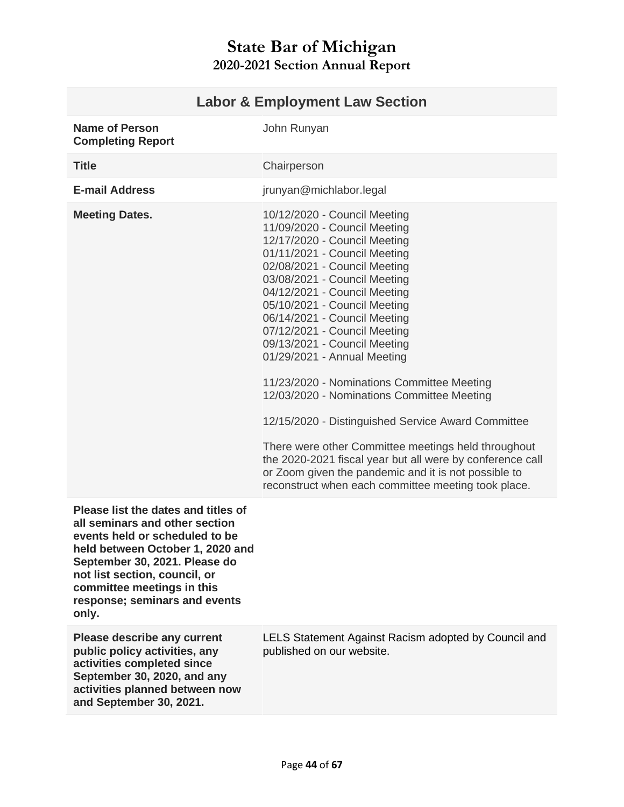<span id="page-43-0"></span>

| <b>Labor &amp; Employment Law Section</b>                                                                                                                                                                                                                                             |                                                                                                                                                                                                                                                                                                                                                                                                                                                                                                                                                                                                                                                                                                                                                                                  |
|---------------------------------------------------------------------------------------------------------------------------------------------------------------------------------------------------------------------------------------------------------------------------------------|----------------------------------------------------------------------------------------------------------------------------------------------------------------------------------------------------------------------------------------------------------------------------------------------------------------------------------------------------------------------------------------------------------------------------------------------------------------------------------------------------------------------------------------------------------------------------------------------------------------------------------------------------------------------------------------------------------------------------------------------------------------------------------|
| <b>Name of Person</b><br><b>Completing Report</b>                                                                                                                                                                                                                                     | John Runyan                                                                                                                                                                                                                                                                                                                                                                                                                                                                                                                                                                                                                                                                                                                                                                      |
| <b>Title</b>                                                                                                                                                                                                                                                                          | Chairperson                                                                                                                                                                                                                                                                                                                                                                                                                                                                                                                                                                                                                                                                                                                                                                      |
| <b>E-mail Address</b>                                                                                                                                                                                                                                                                 | jrunyan@michlabor.legal                                                                                                                                                                                                                                                                                                                                                                                                                                                                                                                                                                                                                                                                                                                                                          |
| <b>Meeting Dates.</b>                                                                                                                                                                                                                                                                 | 10/12/2020 - Council Meeting<br>11/09/2020 - Council Meeting<br>12/17/2020 - Council Meeting<br>01/11/2021 - Council Meeting<br>02/08/2021 - Council Meeting<br>03/08/2021 - Council Meeting<br>04/12/2021 - Council Meeting<br>05/10/2021 - Council Meeting<br>06/14/2021 - Council Meeting<br>07/12/2021 - Council Meeting<br>09/13/2021 - Council Meeting<br>01/29/2021 - Annual Meeting<br>11/23/2020 - Nominations Committee Meeting<br>12/03/2020 - Nominations Committee Meeting<br>12/15/2020 - Distinguished Service Award Committee<br>There were other Committee meetings held throughout<br>the 2020-2021 fiscal year but all were by conference call<br>or Zoom given the pandemic and it is not possible to<br>reconstruct when each committee meeting took place. |
|                                                                                                                                                                                                                                                                                       |                                                                                                                                                                                                                                                                                                                                                                                                                                                                                                                                                                                                                                                                                                                                                                                  |
| Please list the dates and titles of<br>all seminars and other section<br>events held or scheduled to be<br>held between October 1, 2020 and<br>September 30, 2021. Please do<br>not list section, council, or<br>committee meetings in this<br>response; seminars and events<br>only. |                                                                                                                                                                                                                                                                                                                                                                                                                                                                                                                                                                                                                                                                                                                                                                                  |
| <b>Please describe any current</b><br>public policy activities, any<br>activities completed since<br>September 30, 2020, and any<br>activities planned between now<br>and September 30, 2021.                                                                                         | LELS Statement Against Racism adopted by Council and<br>published on our website.                                                                                                                                                                                                                                                                                                                                                                                                                                                                                                                                                                                                                                                                                                |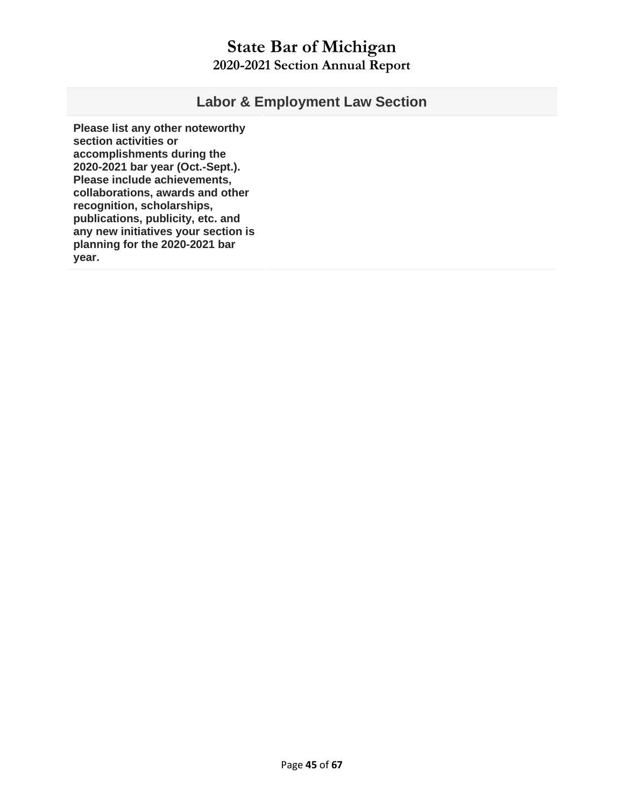#### **Labor & Employment Law Section**

**Please list any other noteworthy section activities or accomplishments during the 2020-2021 bar year (Oct.-Sept.). Please include achievements, collaborations, awards and other recognition, scholarships, publications, publicity, etc. and any new initiatives your section is planning for the 2020-2021 bar year.**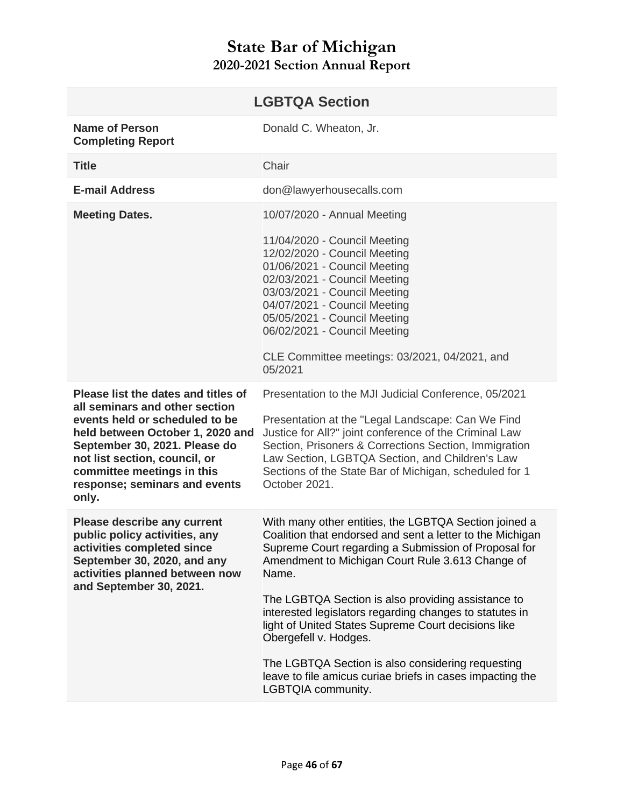<span id="page-45-0"></span>

| <b>LGBTQA Section</b>                                                                                                                                                                                                                                                                 |                                                                                                                                                                                                                                                                                                                                                                                                                                          |
|---------------------------------------------------------------------------------------------------------------------------------------------------------------------------------------------------------------------------------------------------------------------------------------|------------------------------------------------------------------------------------------------------------------------------------------------------------------------------------------------------------------------------------------------------------------------------------------------------------------------------------------------------------------------------------------------------------------------------------------|
| <b>Name of Person</b><br><b>Completing Report</b>                                                                                                                                                                                                                                     | Donald C. Wheaton, Jr.                                                                                                                                                                                                                                                                                                                                                                                                                   |
| <b>Title</b>                                                                                                                                                                                                                                                                          | Chair                                                                                                                                                                                                                                                                                                                                                                                                                                    |
| <b>E-mail Address</b>                                                                                                                                                                                                                                                                 | don@lawyerhousecalls.com                                                                                                                                                                                                                                                                                                                                                                                                                 |
| <b>Meeting Dates.</b>                                                                                                                                                                                                                                                                 | 10/07/2020 - Annual Meeting                                                                                                                                                                                                                                                                                                                                                                                                              |
|                                                                                                                                                                                                                                                                                       | 11/04/2020 - Council Meeting<br>12/02/2020 - Council Meeting<br>01/06/2021 - Council Meeting<br>02/03/2021 - Council Meeting<br>03/03/2021 - Council Meeting<br>04/07/2021 - Council Meeting<br>05/05/2021 - Council Meeting<br>06/02/2021 - Council Meeting<br>CLE Committee meetings: 03/2021, 04/2021, and                                                                                                                            |
|                                                                                                                                                                                                                                                                                       | 05/2021                                                                                                                                                                                                                                                                                                                                                                                                                                  |
| Please list the dates and titles of<br>all seminars and other section<br>events held or scheduled to be<br>held between October 1, 2020 and<br>September 30, 2021. Please do<br>not list section, council, or<br>committee meetings in this<br>response; seminars and events<br>only. | Presentation to the MJI Judicial Conference, 05/2021<br>Presentation at the "Legal Landscape: Can We Find<br>Justice for All?" joint conference of the Criminal Law<br>Section, Prisoners & Corrections Section, Immigration<br>Law Section, LGBTQA Section, and Children's Law<br>Sections of the State Bar of Michigan, scheduled for 1<br>October 2021.                                                                               |
| Please describe any current<br>public policy activities, any<br>activities completed since<br>September 30, 2020, and any<br>activities planned between now<br>and September 30, 2021.                                                                                                | With many other entities, the LGBTQA Section joined a<br>Coalition that endorsed and sent a letter to the Michigan<br>Supreme Court regarding a Submission of Proposal for<br>Amendment to Michigan Court Rule 3.613 Change of<br>Name.<br>The LGBTQA Section is also providing assistance to<br>interested legislators regarding changes to statutes in<br>light of United States Supreme Court decisions like<br>Obergefell v. Hodges. |
|                                                                                                                                                                                                                                                                                       | The LGBTQA Section is also considering requesting<br>leave to file amicus curiae briefs in cases impacting the<br>LGBTQIA community.                                                                                                                                                                                                                                                                                                     |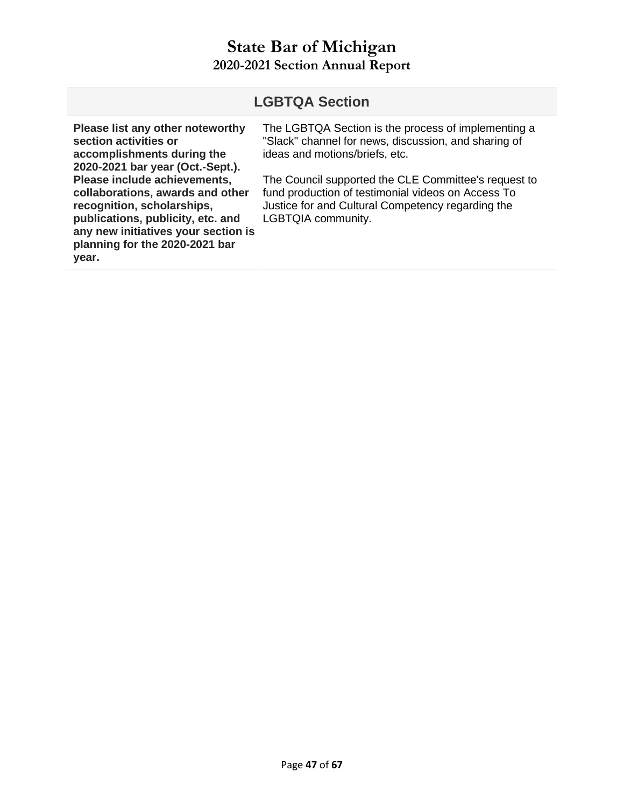#### **LGBTQA Section Please list any other noteworthy section activities or accomplishments during the 2020-2021 bar year (Oct.-Sept.). Please include achievements, collaborations, awards and other recognition, scholarships, publications, publicity, etc. and any new initiatives your section is planning for the 2020-2021 bar year.**  The LGBTQA Section is the process of implementing a "Slack" channel for news, discussion, and sharing of ideas and motions/briefs, etc. The Council supported the CLE Committee's request to fund production of testimonial videos on Access To Justice for and Cultural Competency regarding the LGBTQIA community.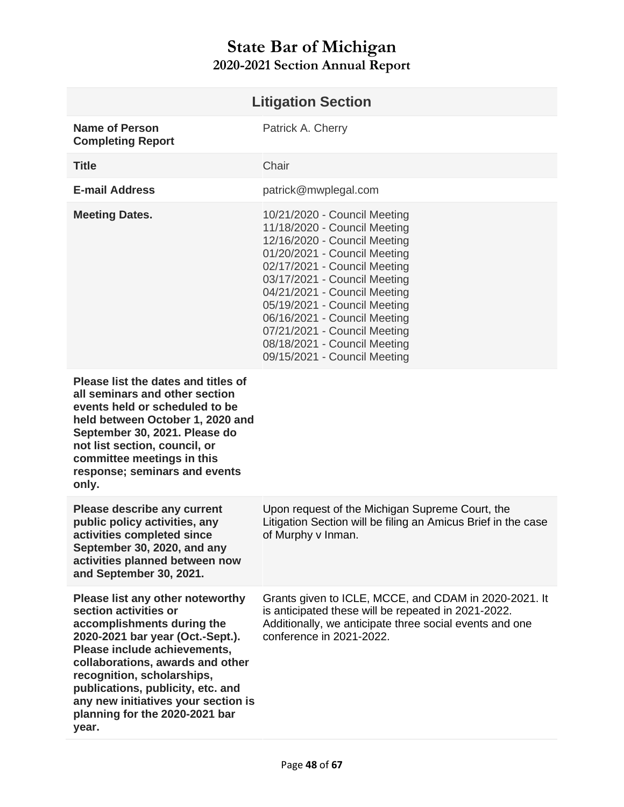<span id="page-47-0"></span>

| <b>Litigation Section</b>                                                                                                                                                                                                                                                                                                                            |                                                                                                                                                                                                                                                                                                                                                                                              |
|------------------------------------------------------------------------------------------------------------------------------------------------------------------------------------------------------------------------------------------------------------------------------------------------------------------------------------------------------|----------------------------------------------------------------------------------------------------------------------------------------------------------------------------------------------------------------------------------------------------------------------------------------------------------------------------------------------------------------------------------------------|
| <b>Name of Person</b><br><b>Completing Report</b>                                                                                                                                                                                                                                                                                                    | Patrick A. Cherry                                                                                                                                                                                                                                                                                                                                                                            |
| <b>Title</b>                                                                                                                                                                                                                                                                                                                                         | Chair                                                                                                                                                                                                                                                                                                                                                                                        |
| <b>E-mail Address</b>                                                                                                                                                                                                                                                                                                                                | patrick@mwplegal.com                                                                                                                                                                                                                                                                                                                                                                         |
| <b>Meeting Dates.</b>                                                                                                                                                                                                                                                                                                                                | 10/21/2020 - Council Meeting<br>11/18/2020 - Council Meeting<br>12/16/2020 - Council Meeting<br>01/20/2021 - Council Meeting<br>02/17/2021 - Council Meeting<br>03/17/2021 - Council Meeting<br>04/21/2021 - Council Meeting<br>05/19/2021 - Council Meeting<br>06/16/2021 - Council Meeting<br>07/21/2021 - Council Meeting<br>08/18/2021 - Council Meeting<br>09/15/2021 - Council Meeting |
| Please list the dates and titles of<br>all seminars and other section<br>events held or scheduled to be<br>held between October 1, 2020 and<br>September 30, 2021. Please do<br>not list section, council, or<br>committee meetings in this<br>response; seminars and events<br>only.                                                                |                                                                                                                                                                                                                                                                                                                                                                                              |
| <b>Please describe any current</b><br>public policy activities, any<br>activities completed since<br>September 30, 2020, and any<br>activities planned between now<br>and September 30, 2021.                                                                                                                                                        | Upon request of the Michigan Supreme Court, the<br>Litigation Section will be filing an Amicus Brief in the case<br>of Murphy v Inman.                                                                                                                                                                                                                                                       |
| Please list any other noteworthy<br>section activities or<br>accomplishments during the<br>2020-2021 bar year (Oct.-Sept.).<br>Please include achievements,<br>collaborations, awards and other<br>recognition, scholarships,<br>publications, publicity, etc. and<br>any new initiatives your section is<br>planning for the 2020-2021 bar<br>year. | Grants given to ICLE, MCCE, and CDAM in 2020-2021. It<br>is anticipated these will be repeated in 2021-2022.<br>Additionally, we anticipate three social events and one<br>conference in 2021-2022.                                                                                                                                                                                          |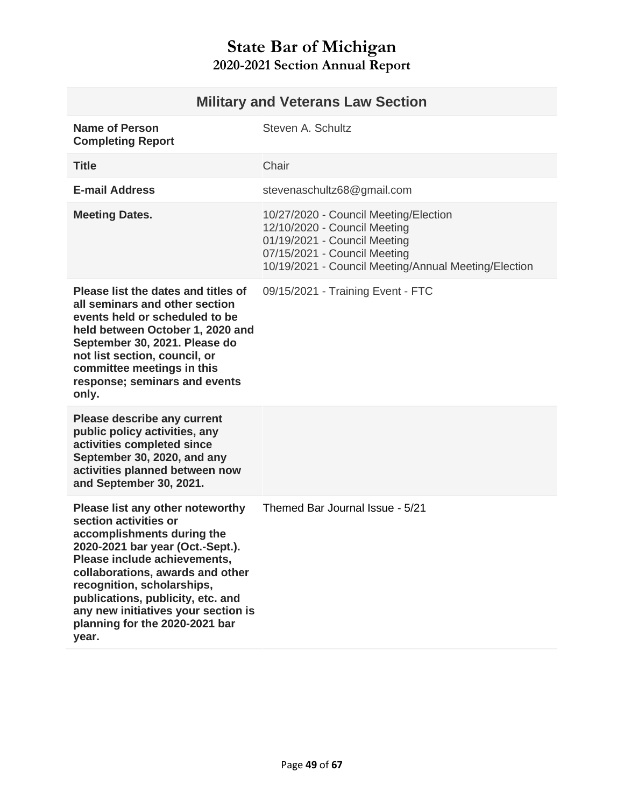<span id="page-48-0"></span>

| <b>Military and Veterans Law Section</b>                                                                                                                                                                                                                                                                                                             |                                                                                                                                                                                               |
|------------------------------------------------------------------------------------------------------------------------------------------------------------------------------------------------------------------------------------------------------------------------------------------------------------------------------------------------------|-----------------------------------------------------------------------------------------------------------------------------------------------------------------------------------------------|
| <b>Name of Person</b><br><b>Completing Report</b>                                                                                                                                                                                                                                                                                                    | Steven A. Schultz                                                                                                                                                                             |
| <b>Title</b>                                                                                                                                                                                                                                                                                                                                         | Chair                                                                                                                                                                                         |
| <b>E-mail Address</b>                                                                                                                                                                                                                                                                                                                                | stevenaschultz68@gmail.com                                                                                                                                                                    |
| <b>Meeting Dates.</b>                                                                                                                                                                                                                                                                                                                                | 10/27/2020 - Council Meeting/Election<br>12/10/2020 - Council Meeting<br>01/19/2021 - Council Meeting<br>07/15/2021 - Council Meeting<br>10/19/2021 - Council Meeting/Annual Meeting/Election |
| Please list the dates and titles of<br>all seminars and other section<br>events held or scheduled to be<br>held between October 1, 2020 and<br>September 30, 2021. Please do<br>not list section, council, or<br>committee meetings in this<br>response; seminars and events<br>only.                                                                | 09/15/2021 - Training Event - FTC                                                                                                                                                             |
| <b>Please describe any current</b><br>public policy activities, any<br>activities completed since<br>September 30, 2020, and any<br>activities planned between now<br>and September 30, 2021.                                                                                                                                                        |                                                                                                                                                                                               |
| Please list any other noteworthy<br>section activities or<br>accomplishments during the<br>2020-2021 bar year (Oct.-Sept.).<br>Please include achievements,<br>collaborations, awards and other<br>recognition, scholarships,<br>publications, publicity, etc. and<br>any new initiatives your section is<br>planning for the 2020-2021 bar<br>year. | Themed Bar Journal Issue - 5/21                                                                                                                                                               |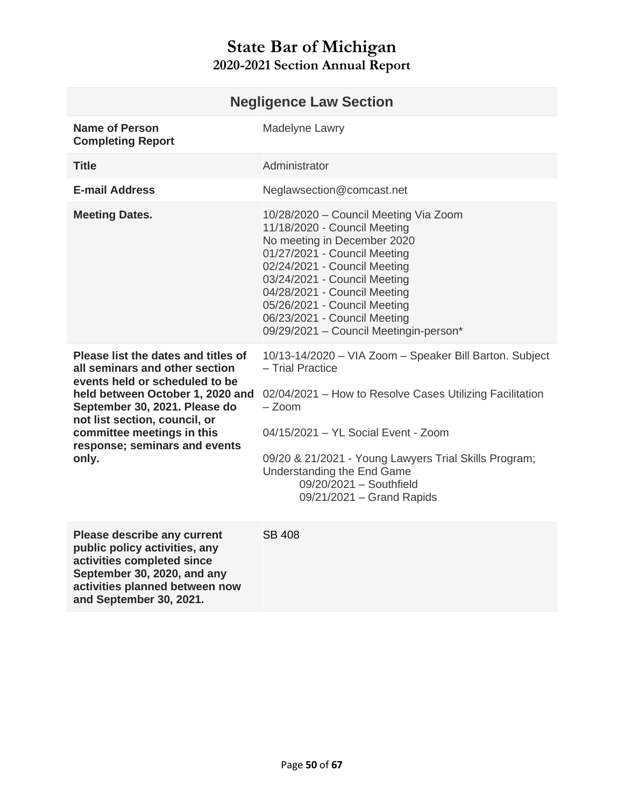<span id="page-49-0"></span>

| <b>Negligence Law Section</b>                                                                                                                                                                                                                                                         |                                                                                                                                                                                                                                                                                                                                                |
|---------------------------------------------------------------------------------------------------------------------------------------------------------------------------------------------------------------------------------------------------------------------------------------|------------------------------------------------------------------------------------------------------------------------------------------------------------------------------------------------------------------------------------------------------------------------------------------------------------------------------------------------|
| <b>Name of Person</b><br><b>Completing Report</b>                                                                                                                                                                                                                                     | Madelyne Lawry                                                                                                                                                                                                                                                                                                                                 |
| <b>Title</b>                                                                                                                                                                                                                                                                          | Administrator                                                                                                                                                                                                                                                                                                                                  |
| <b>E-mail Address</b>                                                                                                                                                                                                                                                                 | Neglawsection@comcast.net                                                                                                                                                                                                                                                                                                                      |
| <b>Meeting Dates.</b>                                                                                                                                                                                                                                                                 | 10/28/2020 - Council Meeting Via Zoom<br>11/18/2020 - Council Meeting<br>No meeting in December 2020<br>01/27/2021 - Council Meeting<br>02/24/2021 - Council Meeting<br>03/24/2021 - Council Meeting<br>04/28/2021 - Council Meeting<br>05/26/2021 - Council Meeting<br>06/23/2021 - Council Meeting<br>09/29/2021 - Council Meetingin-person* |
| Please list the dates and titles of<br>all seminars and other section<br>events held or scheduled to be<br>held between October 1, 2020 and<br>September 30, 2021. Please do<br>not list section, council, or<br>committee meetings in this<br>response; seminars and events<br>only. | 10/13-14/2020 - VIA Zoom - Speaker Bill Barton. Subject<br>- Trial Practice<br>02/04/2021 - How to Resolve Cases Utilizing Facilitation<br>$-$ Zoom<br>04/15/2021 - YL Social Event - Zoom<br>09/20 & 21/2021 - Young Lawyers Trial Skills Program;<br>Understanding the End Game<br>09/20/2021 - Southfield<br>09/21/2021 - Grand Rapids      |
| Please describe any current<br>public policy activities, any<br>activities completed since<br>September 30, 2020, and any<br>activities planned between now<br>and September 30, 2021.                                                                                                | SB 408                                                                                                                                                                                                                                                                                                                                         |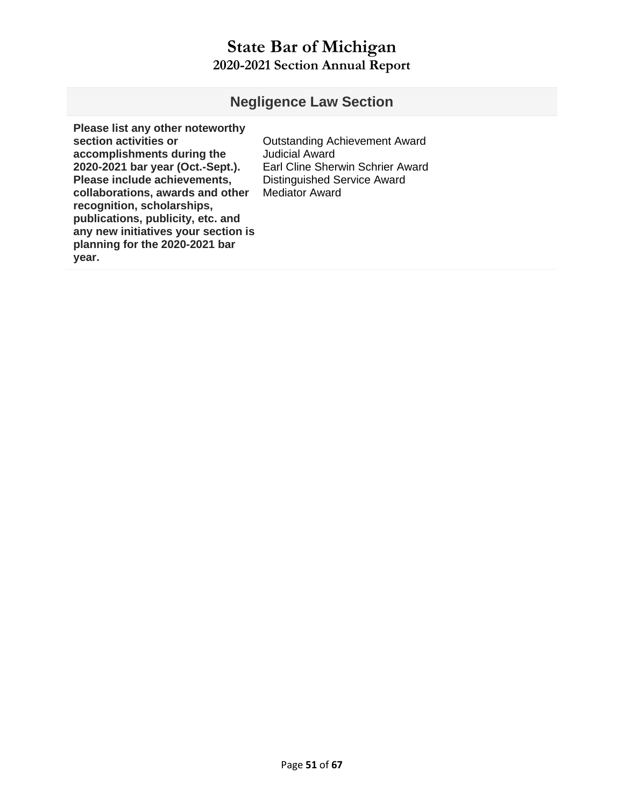#### **Negligence Law Section**

**Please list any other noteworthy section activities or accomplishments during the 2020-2021 bar year (Oct.-Sept.). Please include achievements, collaborations, awards and other recognition, scholarships, publications, publicity, etc. and any new initiatives your section is planning for the 2020-2021 bar year.** 

Outstanding Achievement Award Judicial Award Earl Cline Sherwin Schrier Award Distinguished Service Award Mediator Award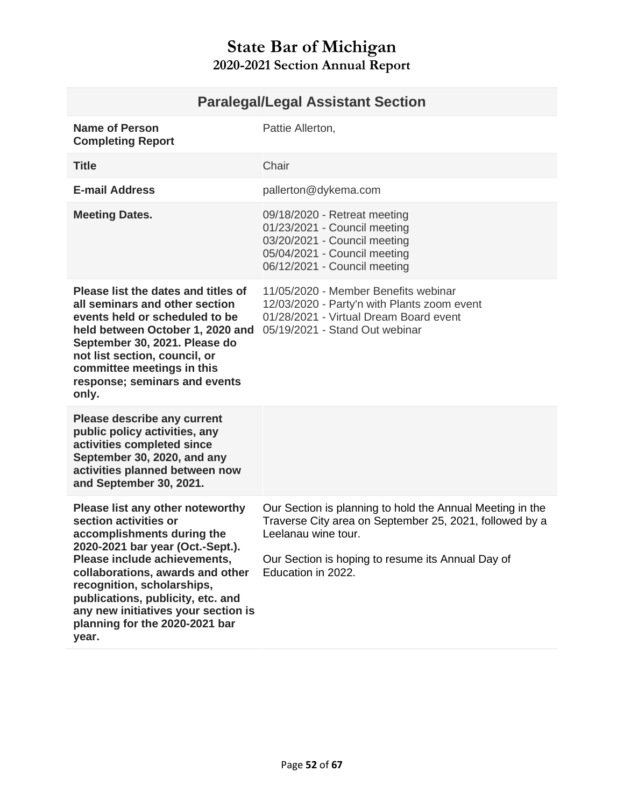<span id="page-51-0"></span>

| Name of Person<br><b>Completing Report</b>                                                                                                                                                                                                                                                                                                           | Pattie Allerton,                                                                                                                                                                                                       |
|------------------------------------------------------------------------------------------------------------------------------------------------------------------------------------------------------------------------------------------------------------------------------------------------------------------------------------------------------|------------------------------------------------------------------------------------------------------------------------------------------------------------------------------------------------------------------------|
| <b>Title</b>                                                                                                                                                                                                                                                                                                                                         | Chair                                                                                                                                                                                                                  |
| <b>E-mail Address</b>                                                                                                                                                                                                                                                                                                                                | pallerton@dykema.com                                                                                                                                                                                                   |
| <b>Meeting Dates.</b>                                                                                                                                                                                                                                                                                                                                | 09/18/2020 - Retreat meeting<br>01/23/2021 - Council meeting<br>03/20/2021 - Council meeting<br>05/04/2021 - Council meeting<br>06/12/2021 - Council meeting                                                           |
| Please list the dates and titles of<br>all seminars and other section<br>events held or scheduled to be<br>held between October 1, 2020 and<br>September 30, 2021. Please do<br>not list section, council, or<br>committee meetings in this<br>response; seminars and events<br>only.                                                                | 11/05/2020 - Member Benefits webinar<br>12/03/2020 - Party'n with Plants zoom event<br>01/28/2021 - Virtual Dream Board event<br>05/19/2021 - Stand Out webinar                                                        |
| <b>Please describe any current</b><br>public policy activities, any<br>activities completed since<br>September 30, 2020, and any<br>activities planned between now<br>and September 30, 2021.                                                                                                                                                        |                                                                                                                                                                                                                        |
| Please list any other noteworthy<br>section activities or<br>accomplishments during the<br>2020-2021 bar year (Oct.-Sept.).<br>Please include achievements,<br>collaborations, awards and other<br>recognition, scholarships,<br>publications, publicity, etc. and<br>any new initiatives your section is<br>planning for the 2020-2021 bar<br>year. | Our Section is planning to hold the Annual Meeting in the<br>Traverse City area on September 25, 2021, followed by a<br>Leelanau wine tour.<br>Our Section is hoping to resume its Annual Day of<br>Education in 2022. |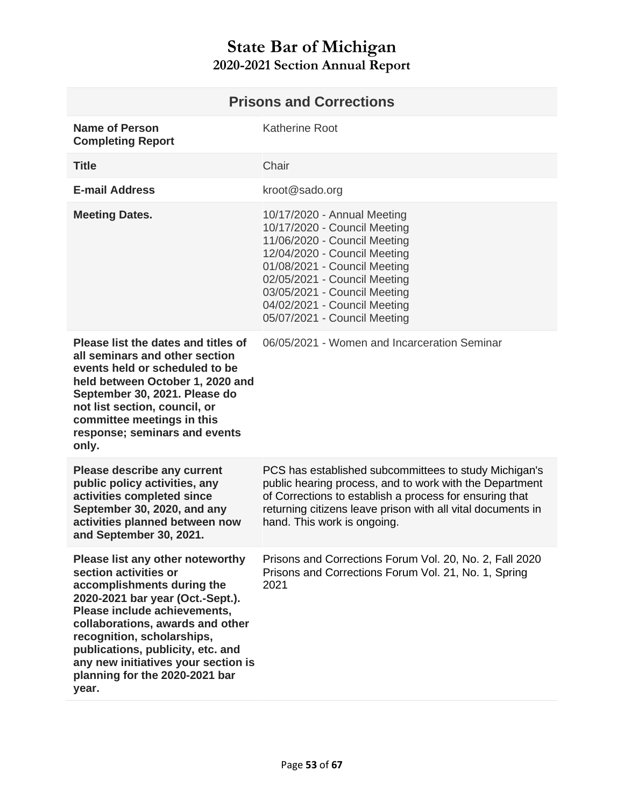<span id="page-52-0"></span>

| <b>Prisons and Corrections</b>                                                                                                                                                                                                                                                                                                                       |                                                                                                                                                                                                                                                                                             |
|------------------------------------------------------------------------------------------------------------------------------------------------------------------------------------------------------------------------------------------------------------------------------------------------------------------------------------------------------|---------------------------------------------------------------------------------------------------------------------------------------------------------------------------------------------------------------------------------------------------------------------------------------------|
| <b>Name of Person</b><br><b>Completing Report</b>                                                                                                                                                                                                                                                                                                    | <b>Katherine Root</b>                                                                                                                                                                                                                                                                       |
| <b>Title</b>                                                                                                                                                                                                                                                                                                                                         | Chair                                                                                                                                                                                                                                                                                       |
| <b>E-mail Address</b>                                                                                                                                                                                                                                                                                                                                | kroot@sado.org                                                                                                                                                                                                                                                                              |
| <b>Meeting Dates.</b>                                                                                                                                                                                                                                                                                                                                | 10/17/2020 - Annual Meeting<br>10/17/2020 - Council Meeting<br>11/06/2020 - Council Meeting<br>12/04/2020 - Council Meeting<br>01/08/2021 - Council Meeting<br>02/05/2021 - Council Meeting<br>03/05/2021 - Council Meeting<br>04/02/2021 - Council Meeting<br>05/07/2021 - Council Meeting |
| Please list the dates and titles of<br>all seminars and other section<br>events held or scheduled to be<br>held between October 1, 2020 and<br>September 30, 2021. Please do<br>not list section, council, or<br>committee meetings in this<br>response; seminars and events<br>only.                                                                | 06/05/2021 - Women and Incarceration Seminar                                                                                                                                                                                                                                                |
| <b>Please describe any current</b><br>public policy activities, any<br>activities completed since<br>September 30, 2020, and any<br>activities planned between now<br>and September 30, 2021.                                                                                                                                                        | PCS has established subcommittees to study Michigan's<br>public hearing process, and to work with the Department<br>of Corrections to establish a process for ensuring that<br>returning citizens leave prison with all vital documents in<br>hand. This work is ongoing.                   |
| Please list any other noteworthy<br>section activities or<br>accomplishments during the<br>2020-2021 bar year (Oct.-Sept.).<br>Please include achievements,<br>collaborations, awards and other<br>recognition, scholarships,<br>publications, publicity, etc. and<br>any new initiatives your section is<br>planning for the 2020-2021 bar<br>year. | Prisons and Corrections Forum Vol. 20, No. 2, Fall 2020<br>Prisons and Corrections Forum Vol. 21, No. 1, Spring<br>2021                                                                                                                                                                     |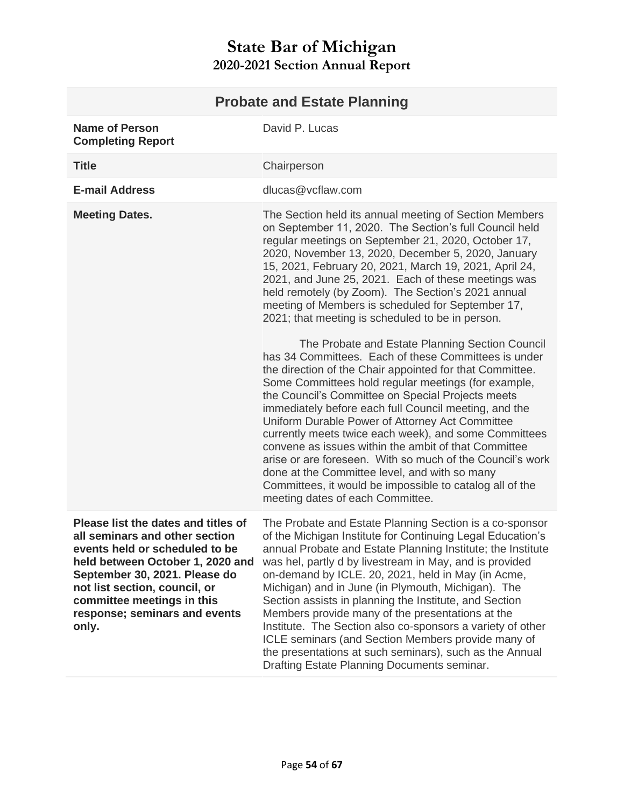<span id="page-53-0"></span>

| <b>Probate and Estate Planning</b>                                                                                                                                                                                                                                                    |                                                                                                                                                                                                                                                                                                                                                                                                                                                                                                                                                                                                                                                                                                                            |
|---------------------------------------------------------------------------------------------------------------------------------------------------------------------------------------------------------------------------------------------------------------------------------------|----------------------------------------------------------------------------------------------------------------------------------------------------------------------------------------------------------------------------------------------------------------------------------------------------------------------------------------------------------------------------------------------------------------------------------------------------------------------------------------------------------------------------------------------------------------------------------------------------------------------------------------------------------------------------------------------------------------------------|
| <b>Name of Person</b><br><b>Completing Report</b>                                                                                                                                                                                                                                     | David P. Lucas                                                                                                                                                                                                                                                                                                                                                                                                                                                                                                                                                                                                                                                                                                             |
| <b>Title</b>                                                                                                                                                                                                                                                                          | Chairperson                                                                                                                                                                                                                                                                                                                                                                                                                                                                                                                                                                                                                                                                                                                |
| <b>E-mail Address</b>                                                                                                                                                                                                                                                                 | dlucas@vcflaw.com                                                                                                                                                                                                                                                                                                                                                                                                                                                                                                                                                                                                                                                                                                          |
| <b>Meeting Dates.</b>                                                                                                                                                                                                                                                                 | The Section held its annual meeting of Section Members<br>on September 11, 2020. The Section's full Council held<br>regular meetings on September 21, 2020, October 17,<br>2020, November 13, 2020, December 5, 2020, January<br>15, 2021, February 20, 2021, March 19, 2021, April 24,<br>2021, and June 25, 2021. Each of these meetings was<br>held remotely (by Zoom). The Section's 2021 annual<br>meeting of Members is scheduled for September 17,<br>2021; that meeting is scheduled to be in person.                                                                                                                                                                                                              |
|                                                                                                                                                                                                                                                                                       | The Probate and Estate Planning Section Council<br>has 34 Committees. Each of these Committees is under<br>the direction of the Chair appointed for that Committee.<br>Some Committees hold regular meetings (for example,<br>the Council's Committee on Special Projects meets<br>immediately before each full Council meeting, and the<br>Uniform Durable Power of Attorney Act Committee<br>currently meets twice each week), and some Committees<br>convene as issues within the ambit of that Committee<br>arise or are foreseen. With so much of the Council's work<br>done at the Committee level, and with so many<br>Committees, it would be impossible to catalog all of the<br>meeting dates of each Committee. |
| Please list the dates and titles of<br>all seminars and other section<br>events held or scheduled to be<br>held between October 1, 2020 and<br>September 30, 2021. Please do<br>not list section, council, or<br>committee meetings in this<br>response; seminars and events<br>only. | The Probate and Estate Planning Section is a co-sponsor<br>of the Michigan Institute for Continuing Legal Education's<br>annual Probate and Estate Planning Institute; the Institute<br>was hel, partly d by livestream in May, and is provided<br>on-demand by ICLE. 20, 2021, held in May (in Acme,<br>Michigan) and in June (in Plymouth, Michigan). The<br>Section assists in planning the Institute, and Section<br>Members provide many of the presentations at the<br>Institute. The Section also co-sponsors a variety of other<br>ICLE seminars (and Section Members provide many of<br>the presentations at such seminars), such as the Annual<br>Drafting Estate Planning Documents seminar.                    |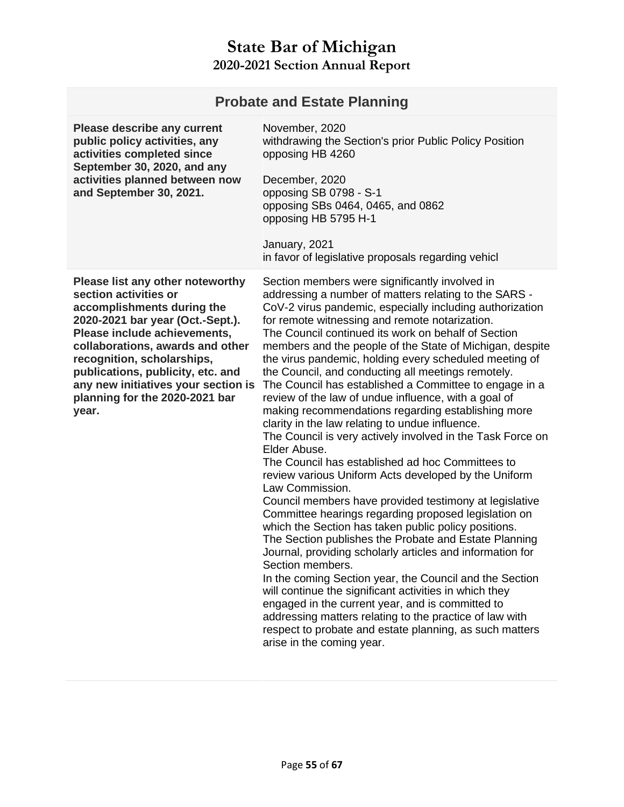| <b>Probate and Estate Planning</b>                                                                                                                                                                                                                                                                                                                   |                                                                                                                                                                                                                                                                                                                                                                                                                                                                                                                                                                                                                                                                                                                                                                                                                                                                                                                                                                                                                                                                                                                                                                                                                                                                                                                                                                                                                                                                                                                                                  |
|------------------------------------------------------------------------------------------------------------------------------------------------------------------------------------------------------------------------------------------------------------------------------------------------------------------------------------------------------|--------------------------------------------------------------------------------------------------------------------------------------------------------------------------------------------------------------------------------------------------------------------------------------------------------------------------------------------------------------------------------------------------------------------------------------------------------------------------------------------------------------------------------------------------------------------------------------------------------------------------------------------------------------------------------------------------------------------------------------------------------------------------------------------------------------------------------------------------------------------------------------------------------------------------------------------------------------------------------------------------------------------------------------------------------------------------------------------------------------------------------------------------------------------------------------------------------------------------------------------------------------------------------------------------------------------------------------------------------------------------------------------------------------------------------------------------------------------------------------------------------------------------------------------------|
| Please describe any current<br>public policy activities, any<br>activities completed since<br>September 30, 2020, and any<br>activities planned between now<br>and September 30, 2021.                                                                                                                                                               | November, 2020<br>withdrawing the Section's prior Public Policy Position<br>opposing HB 4260<br>December, 2020<br>opposing SB 0798 - S-1<br>opposing SBs 0464, 0465, and 0862<br>opposing HB 5795 H-1<br>January, 2021<br>in favor of legislative proposals regarding vehicl                                                                                                                                                                                                                                                                                                                                                                                                                                                                                                                                                                                                                                                                                                                                                                                                                                                                                                                                                                                                                                                                                                                                                                                                                                                                     |
| Please list any other noteworthy<br>section activities or<br>accomplishments during the<br>2020-2021 bar year (Oct.-Sept.).<br>Please include achievements,<br>collaborations, awards and other<br>recognition, scholarships,<br>publications, publicity, etc. and<br>any new initiatives your section is<br>planning for the 2020-2021 bar<br>year. | Section members were significantly involved in<br>addressing a number of matters relating to the SARS -<br>CoV-2 virus pandemic, especially including authorization<br>for remote witnessing and remote notarization.<br>The Council continued its work on behalf of Section<br>members and the people of the State of Michigan, despite<br>the virus pandemic, holding every scheduled meeting of<br>the Council, and conducting all meetings remotely.<br>The Council has established a Committee to engage in a<br>review of the law of undue influence, with a goal of<br>making recommendations regarding establishing more<br>clarity in the law relating to undue influence.<br>The Council is very actively involved in the Task Force on<br>Elder Abuse.<br>The Council has established ad hoc Committees to<br>review various Uniform Acts developed by the Uniform<br>Law Commission.<br>Council members have provided testimony at legislative<br>Committee hearings regarding proposed legislation on<br>which the Section has taken public policy positions.<br>The Section publishes the Probate and Estate Planning<br>Journal, providing scholarly articles and information for<br>Section members.<br>In the coming Section year, the Council and the Section<br>will continue the significant activities in which they<br>engaged in the current year, and is committed to<br>addressing matters relating to the practice of law with<br>respect to probate and estate planning, as such matters<br>arise in the coming year. |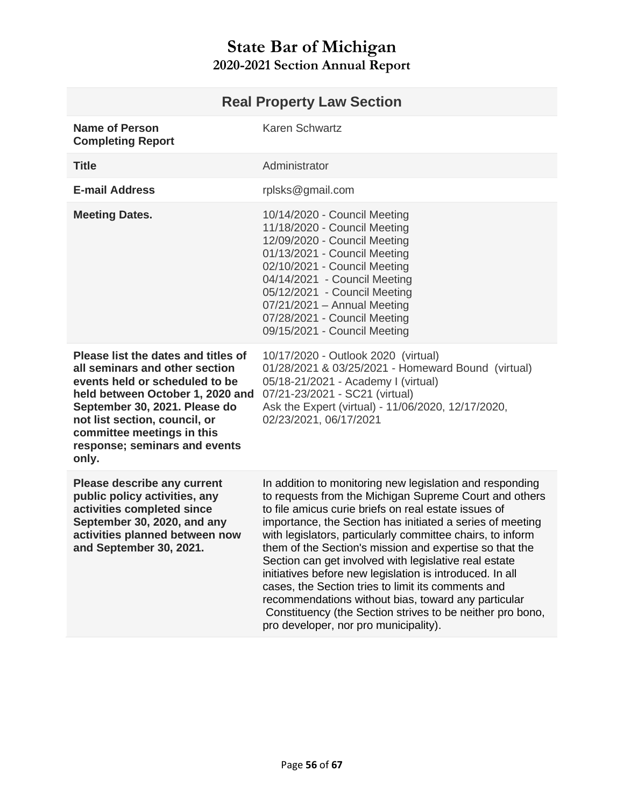<span id="page-55-0"></span>

| <b>Real Property Law Section</b>                                                                                                                                                                                                                                                      |                                                                                                                                                                                                                                                                                                                                                                                                                                                                                                                                                                                                                                                                                                          |
|---------------------------------------------------------------------------------------------------------------------------------------------------------------------------------------------------------------------------------------------------------------------------------------|----------------------------------------------------------------------------------------------------------------------------------------------------------------------------------------------------------------------------------------------------------------------------------------------------------------------------------------------------------------------------------------------------------------------------------------------------------------------------------------------------------------------------------------------------------------------------------------------------------------------------------------------------------------------------------------------------------|
| <b>Name of Person</b><br><b>Completing Report</b>                                                                                                                                                                                                                                     | Karen Schwartz                                                                                                                                                                                                                                                                                                                                                                                                                                                                                                                                                                                                                                                                                           |
| <b>Title</b>                                                                                                                                                                                                                                                                          | Administrator                                                                                                                                                                                                                                                                                                                                                                                                                                                                                                                                                                                                                                                                                            |
| <b>E-mail Address</b>                                                                                                                                                                                                                                                                 | rplsks@gmail.com                                                                                                                                                                                                                                                                                                                                                                                                                                                                                                                                                                                                                                                                                         |
| <b>Meeting Dates.</b>                                                                                                                                                                                                                                                                 | 10/14/2020 - Council Meeting<br>11/18/2020 - Council Meeting<br>12/09/2020 - Council Meeting<br>01/13/2021 - Council Meeting<br>02/10/2021 - Council Meeting<br>04/14/2021 - Council Meeting<br>05/12/2021 - Council Meeting<br>$07/21/2021 -$ Annual Meeting<br>07/28/2021 - Council Meeting<br>09/15/2021 - Council Meeting                                                                                                                                                                                                                                                                                                                                                                            |
| Please list the dates and titles of<br>all seminars and other section<br>events held or scheduled to be<br>held between October 1, 2020 and<br>September 30, 2021. Please do<br>not list section, council, or<br>committee meetings in this<br>response; seminars and events<br>only. | 10/17/2020 - Outlook 2020 (virtual)<br>01/28/2021 & 03/25/2021 - Homeward Bound (virtual)<br>05/18-21/2021 - Academy I (virtual)<br>07/21-23/2021 - SC21 (virtual)<br>Ask the Expert (virtual) - 11/06/2020, 12/17/2020,<br>02/23/2021, 06/17/2021                                                                                                                                                                                                                                                                                                                                                                                                                                                       |
| <b>Please describe any current</b><br>public policy activities, any<br>activities completed since<br>September 30, 2020, and any<br>activities planned between now<br>and September 30, 2021.                                                                                         | In addition to monitoring new legislation and responding<br>to requests from the Michigan Supreme Court and others<br>to file amicus curie briefs on real estate issues of<br>importance, the Section has initiated a series of meeting<br>with legislators, particularly committee chairs, to inform<br>them of the Section's mission and expertise so that the<br>Section can get involved with legislative real estate<br>initiatives before new legislation is introduced. In all<br>cases, the Section tries to limit its comments and<br>recommendations without bias, toward any particular<br>Constituency (the Section strives to be neither pro bono,<br>pro developer, nor pro municipality). |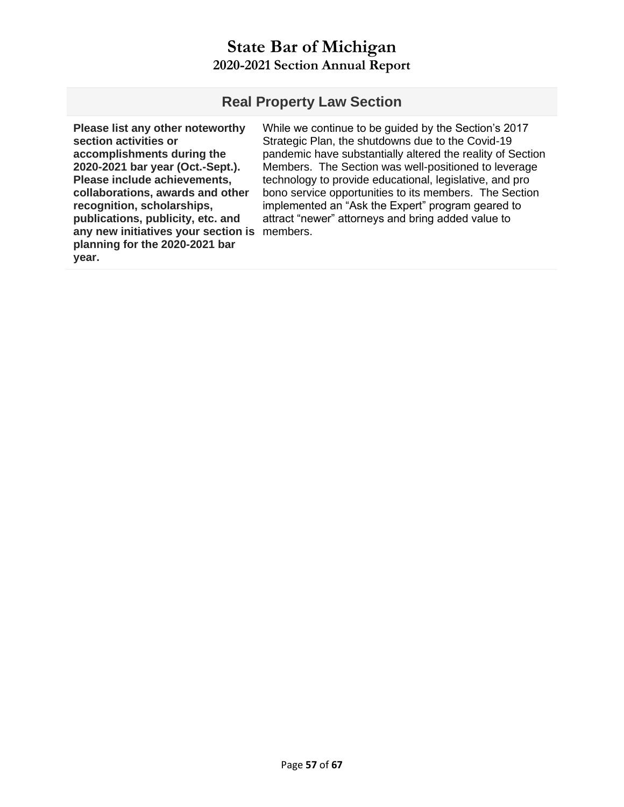#### **Real Property Law Section**

**Please list any other noteworthy section activities or accomplishments during the 2020-2021 bar year (Oct.-Sept.). Please include achievements, collaborations, awards and other recognition, scholarships, publications, publicity, etc. and any new initiatives your section is**  members.**planning for the 2020-2021 bar year.**

While we continue to be guided by the Section's 2017 Strategic Plan, the shutdowns due to the Covid-19 pandemic have substantially altered the reality of Section Members. The Section was well-positioned to leverage technology to provide educational, legislative, and pro bono service opportunities to its members. The Section implemented an "Ask the Expert" program geared to attract "newer" attorneys and bring added value to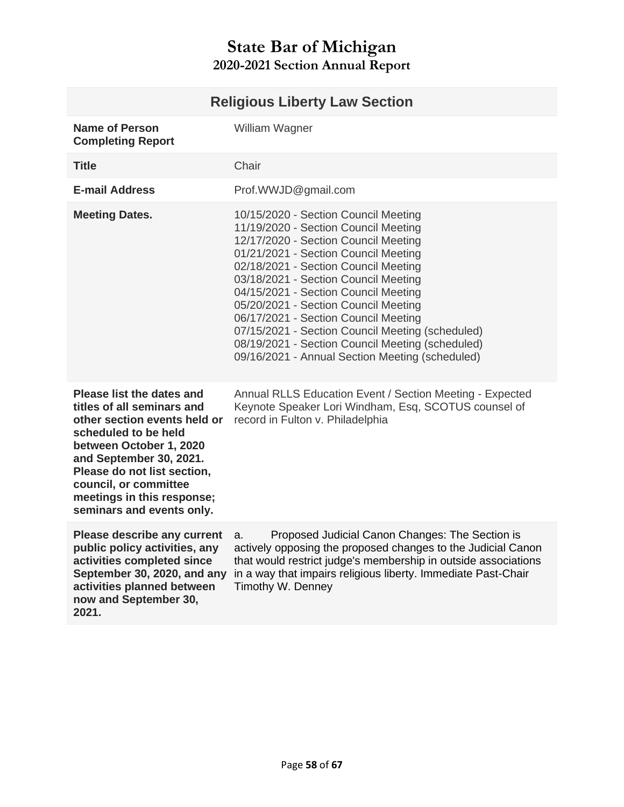# **Religious Liberty Law Section**

<span id="page-57-0"></span>

| <b>Name of Person</b><br><b>Completing Report</b>                                                                                                                                                                                                                                               | William Wagner                                                                                                                                                                                                                                                                                                                                                                                                                                                                                                                  |
|-------------------------------------------------------------------------------------------------------------------------------------------------------------------------------------------------------------------------------------------------------------------------------------------------|---------------------------------------------------------------------------------------------------------------------------------------------------------------------------------------------------------------------------------------------------------------------------------------------------------------------------------------------------------------------------------------------------------------------------------------------------------------------------------------------------------------------------------|
| <b>Title</b>                                                                                                                                                                                                                                                                                    | Chair                                                                                                                                                                                                                                                                                                                                                                                                                                                                                                                           |
| <b>E-mail Address</b>                                                                                                                                                                                                                                                                           | Prof.WWJD@gmail.com                                                                                                                                                                                                                                                                                                                                                                                                                                                                                                             |
| <b>Meeting Dates.</b>                                                                                                                                                                                                                                                                           | 10/15/2020 - Section Council Meeting<br>11/19/2020 - Section Council Meeting<br>12/17/2020 - Section Council Meeting<br>01/21/2021 - Section Council Meeting<br>02/18/2021 - Section Council Meeting<br>03/18/2021 - Section Council Meeting<br>04/15/2021 - Section Council Meeting<br>05/20/2021 - Section Council Meeting<br>06/17/2021 - Section Council Meeting<br>07/15/2021 - Section Council Meeting (scheduled)<br>08/19/2021 - Section Council Meeting (scheduled)<br>09/16/2021 - Annual Section Meeting (scheduled) |
| <b>Please list the dates and</b><br>titles of all seminars and<br>other section events held or<br>scheduled to be held<br>between October 1, 2020<br>and September 30, 2021.<br>Please do not list section,<br>council, or committee<br>meetings in this response;<br>seminars and events only. | Annual RLLS Education Event / Section Meeting - Expected<br>Keynote Speaker Lori Windham, Esq, SCOTUS counsel of<br>record in Fulton v. Philadelphia                                                                                                                                                                                                                                                                                                                                                                            |
| Please describe any current<br>public policy activities, any<br>activities completed since<br>September 30, 2020, and any<br>activities planned between<br>now and September 30,<br>2021.                                                                                                       | Proposed Judicial Canon Changes: The Section is<br>a.<br>actively opposing the proposed changes to the Judicial Canon<br>that would restrict judge's membership in outside associations<br>in a way that impairs religious liberty. Immediate Past-Chair<br>Timothy W. Denney                                                                                                                                                                                                                                                   |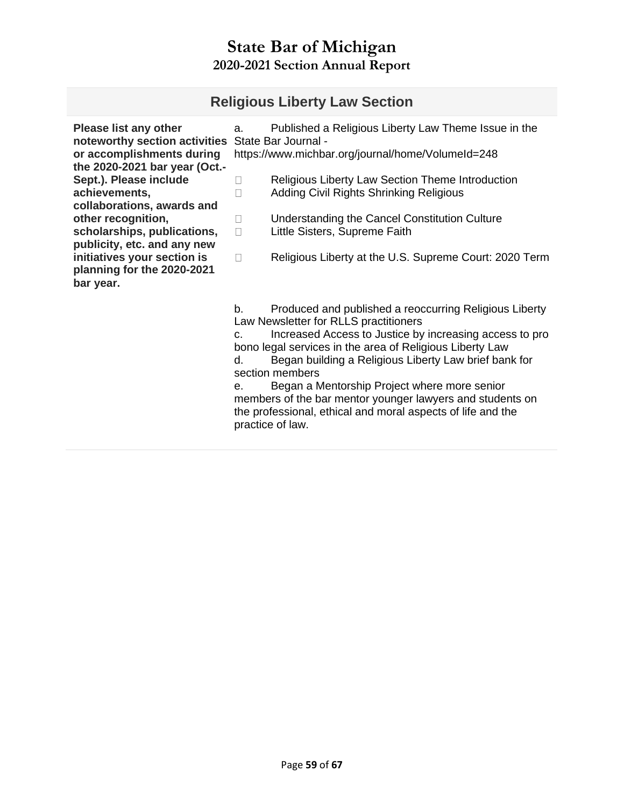## **Religious Liberty Law Section**

| <b>Please list any other</b><br>noteworthy section activities<br>or accomplishments during<br>the 2020-2021 bar year (Oct.- | a.                | Published a Religious Liberty Law Theme Issue in the<br>State Bar Journal -<br>https://www.michbar.org/journal/home/VolumeId=248                                                                                                                                                                   |
|-----------------------------------------------------------------------------------------------------------------------------|-------------------|----------------------------------------------------------------------------------------------------------------------------------------------------------------------------------------------------------------------------------------------------------------------------------------------------|
| Sept.). Please include<br>achievements,<br>collaborations, awards and                                                       | $\vert \ \ \vert$ | Religious Liberty Law Section Theme Introduction<br>Adding Civil Rights Shrinking Religious                                                                                                                                                                                                        |
| other recognition,<br>scholarships, publications,<br>publicity, etc. and any new                                            | П<br>П            | Understanding the Cancel Constitution Culture<br>Little Sisters, Supreme Faith                                                                                                                                                                                                                     |
| initiatives your section is<br>planning for the 2020-2021<br>bar year.                                                      | П                 | Religious Liberty at the U.S. Supreme Court: 2020 Term                                                                                                                                                                                                                                             |
|                                                                                                                             | b.<br>C.<br>d.    | Produced and published a reoccurring Religious Liberty<br>Law Newsletter for RLLS practitioners<br>Increased Access to Justice by increasing access to pro<br>bono legal services in the area of Religious Liberty Law<br>Began building a Religious Liberty Law brief bank for<br>section members |

e. Began a Mentorship Project where more senior members of the bar mentor younger lawyers and students on the professional, ethical and moral aspects of life and the practice of law.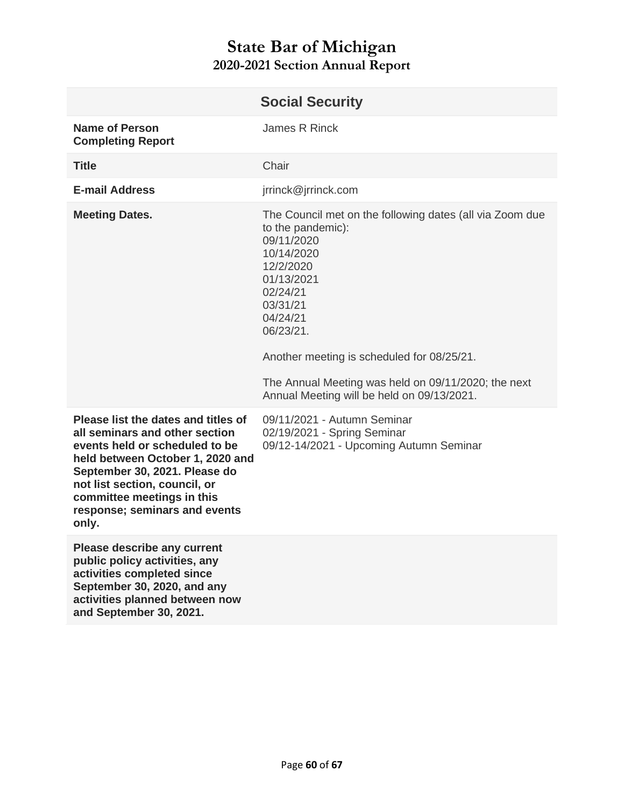<span id="page-59-0"></span>

|                                                                                                                                                                                                                                                                                       | <b>Social Security</b>                                                                                                                                                                                                                                                                                                                   |
|---------------------------------------------------------------------------------------------------------------------------------------------------------------------------------------------------------------------------------------------------------------------------------------|------------------------------------------------------------------------------------------------------------------------------------------------------------------------------------------------------------------------------------------------------------------------------------------------------------------------------------------|
| <b>Name of Person</b><br><b>Completing Report</b>                                                                                                                                                                                                                                     | James R Rinck                                                                                                                                                                                                                                                                                                                            |
| <b>Title</b>                                                                                                                                                                                                                                                                          | Chair                                                                                                                                                                                                                                                                                                                                    |
| <b>E-mail Address</b>                                                                                                                                                                                                                                                                 | jrrinck@jrrinck.com                                                                                                                                                                                                                                                                                                                      |
| <b>Meeting Dates.</b>                                                                                                                                                                                                                                                                 | The Council met on the following dates (all via Zoom due<br>to the pandemic):<br>09/11/2020<br>10/14/2020<br>12/2/2020<br>01/13/2021<br>02/24/21<br>03/31/21<br>04/24/21<br>06/23/21.<br>Another meeting is scheduled for 08/25/21.<br>The Annual Meeting was held on 09/11/2020; the next<br>Annual Meeting will be held on 09/13/2021. |
| Please list the dates and titles of<br>all seminars and other section<br>events held or scheduled to be<br>held between October 1, 2020 and<br>September 30, 2021. Please do<br>not list section, council, or<br>committee meetings in this<br>response; seminars and events<br>only. | 09/11/2021 - Autumn Seminar<br>02/19/2021 - Spring Seminar<br>09/12-14/2021 - Upcoming Autumn Seminar                                                                                                                                                                                                                                    |
| <b>Please describe any current</b><br>public policy activities, any<br>activities completed since<br>September 30, 2020, and any<br>activities planned between now<br>and September 30, 2021.                                                                                         |                                                                                                                                                                                                                                                                                                                                          |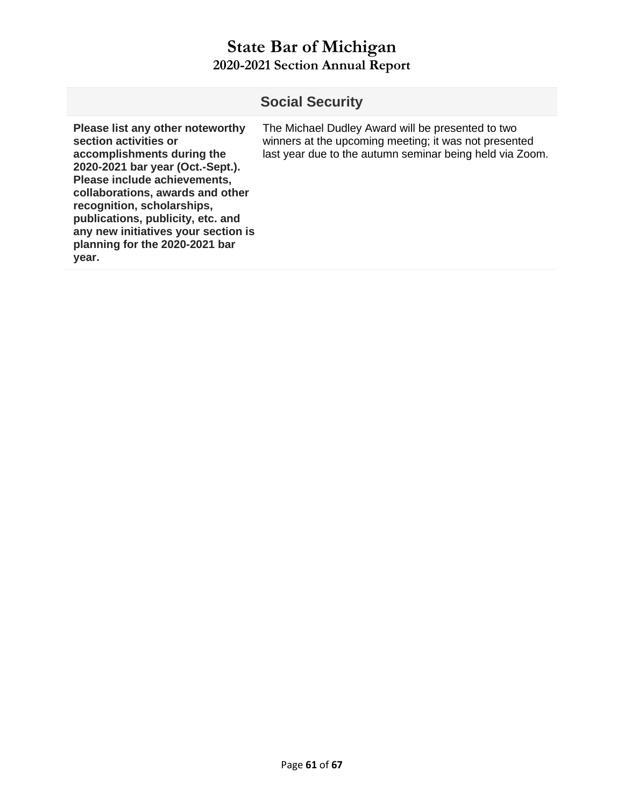|                                                                                                                                                                                                                                                                                                                                                      | <b>Social Security</b>                                                                                                                                                 |
|------------------------------------------------------------------------------------------------------------------------------------------------------------------------------------------------------------------------------------------------------------------------------------------------------------------------------------------------------|------------------------------------------------------------------------------------------------------------------------------------------------------------------------|
| Please list any other noteworthy<br>section activities or<br>accomplishments during the<br>2020-2021 bar year (Oct.-Sept.).<br>Please include achievements,<br>collaborations, awards and other<br>recognition, scholarships,<br>publications, publicity, etc. and<br>any new initiatives your section is<br>planning for the 2020-2021 bar<br>year. | The Michael Dudley Award will be presented to two<br>winners at the upcoming meeting; it was not presented<br>last year due to the autumn seminar being held via Zoom. |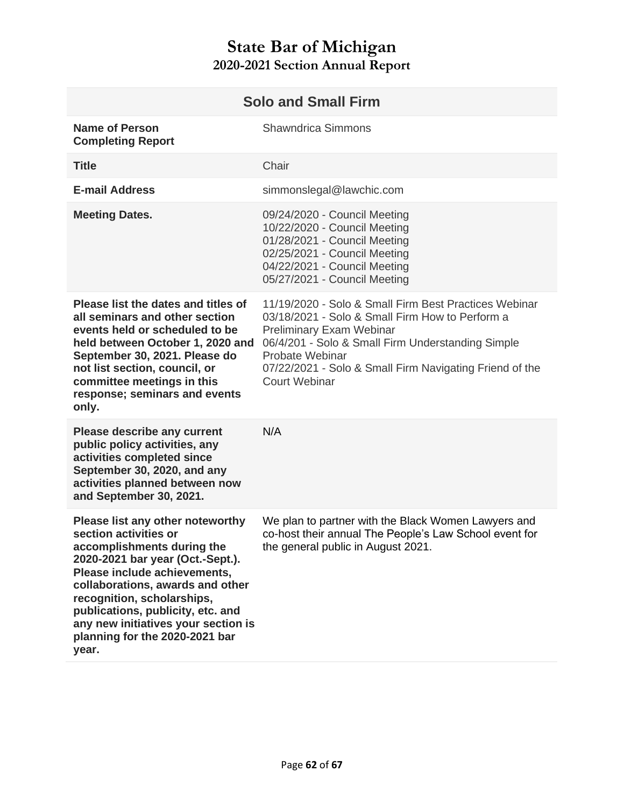<span id="page-61-0"></span>

| <b>Solo and Small Firm</b>                                                                                                                                                                                                                                                                                                                           |                                                                                                                                                                                                                                                                                                 |
|------------------------------------------------------------------------------------------------------------------------------------------------------------------------------------------------------------------------------------------------------------------------------------------------------------------------------------------------------|-------------------------------------------------------------------------------------------------------------------------------------------------------------------------------------------------------------------------------------------------------------------------------------------------|
| <b>Name of Person</b><br><b>Completing Report</b>                                                                                                                                                                                                                                                                                                    | <b>Shawndrica Simmons</b>                                                                                                                                                                                                                                                                       |
| <b>Title</b>                                                                                                                                                                                                                                                                                                                                         | Chair                                                                                                                                                                                                                                                                                           |
| <b>E-mail Address</b>                                                                                                                                                                                                                                                                                                                                | simmonslegal@lawchic.com                                                                                                                                                                                                                                                                        |
| <b>Meeting Dates.</b>                                                                                                                                                                                                                                                                                                                                | 09/24/2020 - Council Meeting<br>10/22/2020 - Council Meeting<br>01/28/2021 - Council Meeting<br>02/25/2021 - Council Meeting<br>04/22/2021 - Council Meeting<br>05/27/2021 - Council Meeting                                                                                                    |
| Please list the dates and titles of<br>all seminars and other section<br>events held or scheduled to be<br>held between October 1, 2020 and<br>September 30, 2021. Please do<br>not list section, council, or<br>committee meetings in this<br>response; seminars and events<br>only.                                                                | 11/19/2020 - Solo & Small Firm Best Practices Webinar<br>03/18/2021 - Solo & Small Firm How to Perform a<br>Preliminary Exam Webinar<br>06/4/201 - Solo & Small Firm Understanding Simple<br>Probate Webinar<br>07/22/2021 - Solo & Small Firm Navigating Friend of the<br><b>Court Webinar</b> |
| <b>Please describe any current</b><br>public policy activities, any<br>activities completed since<br>September 30, 2020, and any<br>activities planned between now<br>and September 30, 2021.                                                                                                                                                        | N/A                                                                                                                                                                                                                                                                                             |
| Please list any other noteworthy<br>section activities or<br>accomplishments during the<br>2020-2021 bar year (Oct.-Sept.).<br>Please include achievements,<br>collaborations, awards and other<br>recognition, scholarships,<br>publications, publicity, etc. and<br>any new initiatives your section is<br>planning for the 2020-2021 bar<br>year. | We plan to partner with the Black Women Lawyers and<br>co-host their annual The People's Law School event for<br>the general public in August 2021.                                                                                                                                             |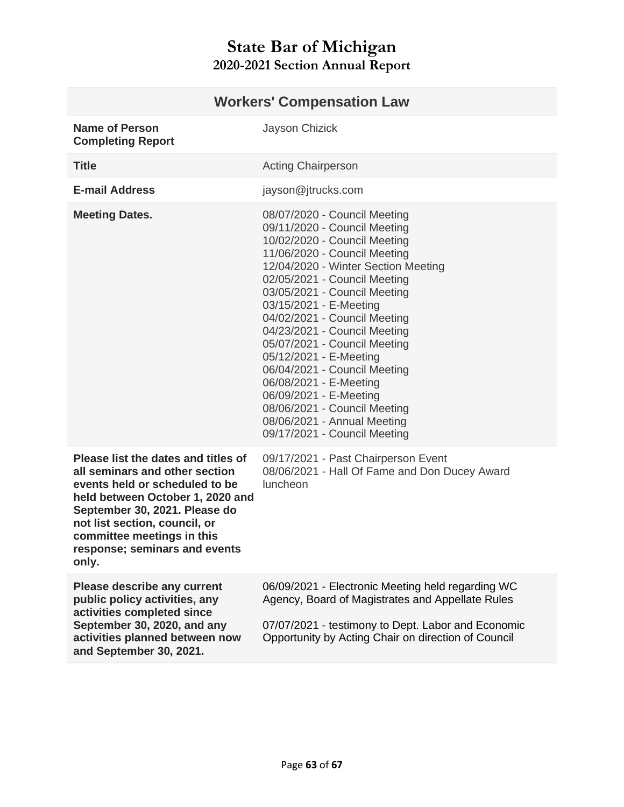<span id="page-62-0"></span>

| <b>Workers' Compensation Law</b>                                                                                                                                                                                                                                                      |                                                                                                                                                                                                                                                                                                                                                                                                                                                                                                                                                                            |
|---------------------------------------------------------------------------------------------------------------------------------------------------------------------------------------------------------------------------------------------------------------------------------------|----------------------------------------------------------------------------------------------------------------------------------------------------------------------------------------------------------------------------------------------------------------------------------------------------------------------------------------------------------------------------------------------------------------------------------------------------------------------------------------------------------------------------------------------------------------------------|
| <b>Name of Person</b><br><b>Completing Report</b>                                                                                                                                                                                                                                     | Jayson Chizick                                                                                                                                                                                                                                                                                                                                                                                                                                                                                                                                                             |
| <b>Title</b>                                                                                                                                                                                                                                                                          | <b>Acting Chairperson</b>                                                                                                                                                                                                                                                                                                                                                                                                                                                                                                                                                  |
| <b>E-mail Address</b>                                                                                                                                                                                                                                                                 | jayson@jtrucks.com                                                                                                                                                                                                                                                                                                                                                                                                                                                                                                                                                         |
| <b>Meeting Dates.</b>                                                                                                                                                                                                                                                                 | 08/07/2020 - Council Meeting<br>09/11/2020 - Council Meeting<br>10/02/2020 - Council Meeting<br>11/06/2020 - Council Meeting<br>12/04/2020 - Winter Section Meeting<br>02/05/2021 - Council Meeting<br>03/05/2021 - Council Meeting<br>03/15/2021 - E-Meeting<br>04/02/2021 - Council Meeting<br>04/23/2021 - Council Meeting<br>05/07/2021 - Council Meeting<br>05/12/2021 - E-Meeting<br>06/04/2021 - Council Meeting<br>06/08/2021 - E-Meeting<br>06/09/2021 - E-Meeting<br>08/06/2021 - Council Meeting<br>08/06/2021 - Annual Meeting<br>09/17/2021 - Council Meeting |
| Please list the dates and titles of<br>all seminars and other section<br>events held or scheduled to be<br>held between October 1, 2020 and<br>September 30, 2021. Please do<br>not list section, council, or<br>committee meetings in this<br>response; seminars and events<br>only. | 09/17/2021 - Past Chairperson Event<br>08/06/2021 - Hall Of Fame and Don Ducey Award<br>luncheon                                                                                                                                                                                                                                                                                                                                                                                                                                                                           |
| <b>Please describe any current</b><br>public policy activities, any<br>activities completed since<br>September 30, 2020, and any<br>activities planned between now<br>and September 30, 2021.                                                                                         | 06/09/2021 - Electronic Meeting held regarding WC<br>Agency, Board of Magistrates and Appellate Rules<br>07/07/2021 - testimony to Dept. Labor and Economic<br>Opportunity by Acting Chair on direction of Council                                                                                                                                                                                                                                                                                                                                                         |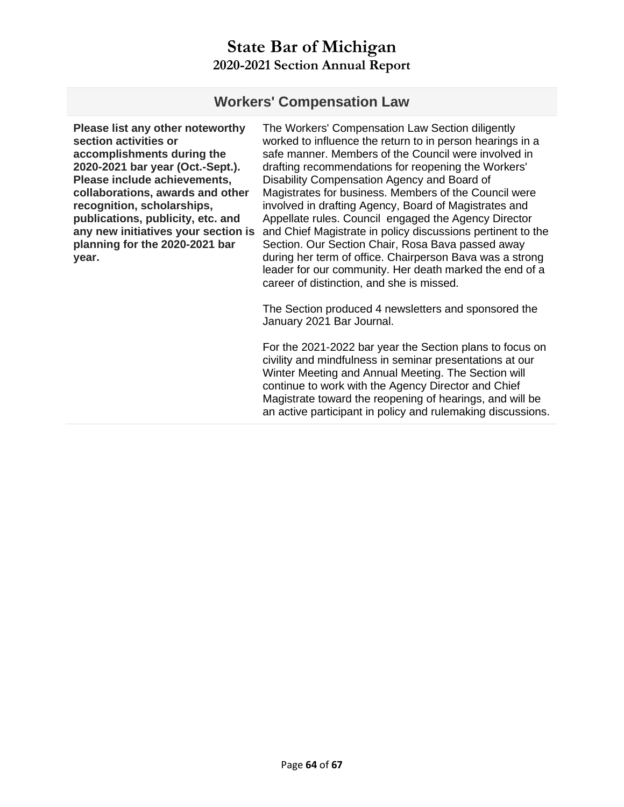#### **Workers' Compensation Law**

**Please list any other noteworthy section activities or accomplishments during the 2020-2021 bar year (Oct.-Sept.). Please include achievements, collaborations, awards and other recognition, scholarships, publications, publicity, etc. and any new initiatives your section is planning for the 2020-2021 bar year.** 

The Workers' Compensation Law Section diligently worked to influence the return to in person hearings in a safe manner. Members of the Council were involved in drafting recommendations for reopening the Workers' Disability Compensation Agency and Board of Magistrates for business. Members of the Council were involved in drafting Agency, Board of Magistrates and Appellate rules. Council engaged the Agency Director and Chief Magistrate in policy discussions pertinent to the Section. Our Section Chair, Rosa Bava passed away during her term of office. Chairperson Bava was a strong leader for our community. Her death marked the end of a career of distinction, and she is missed.

The Section produced 4 newsletters and sponsored the January 2021 Bar Journal.

For the 2021-2022 bar year the Section plans to focus on civility and mindfulness in seminar presentations at our Winter Meeting and Annual Meeting. The Section will continue to work with the Agency Director and Chief Magistrate toward the reopening of hearings, and will be an active participant in policy and rulemaking discussions.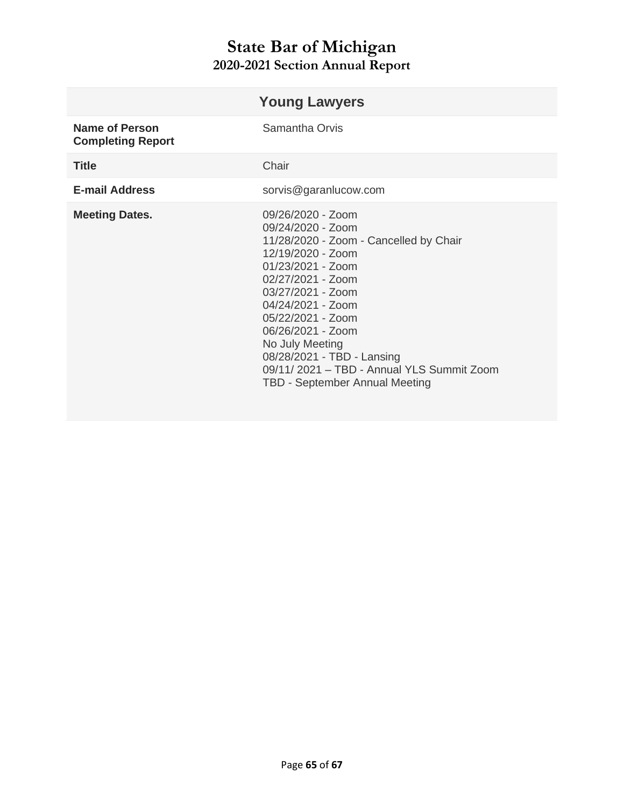<span id="page-64-0"></span>

|                                                   | <b>Young Lawyers</b>                                                                                                                                                                                                                                                                                                                                                       |
|---------------------------------------------------|----------------------------------------------------------------------------------------------------------------------------------------------------------------------------------------------------------------------------------------------------------------------------------------------------------------------------------------------------------------------------|
| <b>Name of Person</b><br><b>Completing Report</b> | Samantha Orvis                                                                                                                                                                                                                                                                                                                                                             |
| <b>Title</b>                                      | Chair                                                                                                                                                                                                                                                                                                                                                                      |
| <b>E-mail Address</b>                             | sorvis@garanlucow.com                                                                                                                                                                                                                                                                                                                                                      |
| <b>Meeting Dates.</b>                             | $09/26/2020 - Z0$<br>09/24/2020 - Zoom<br>11/28/2020 - Zoom - Cancelled by Chair<br>12/19/2020 - Zoom<br>01/23/2021 - Zoom<br>02/27/2021 - Zoom<br>03/27/2021 - Zoom<br>04/24/2021 - Zoom<br>05/22/2021 - Zoom<br>06/26/2021 - Zoom<br>No July Meeting<br>08/28/2021 - TBD - Lansing<br>09/11/2021 - TBD - Annual YLS Summit Zoom<br><b>TBD - September Annual Meeting</b> |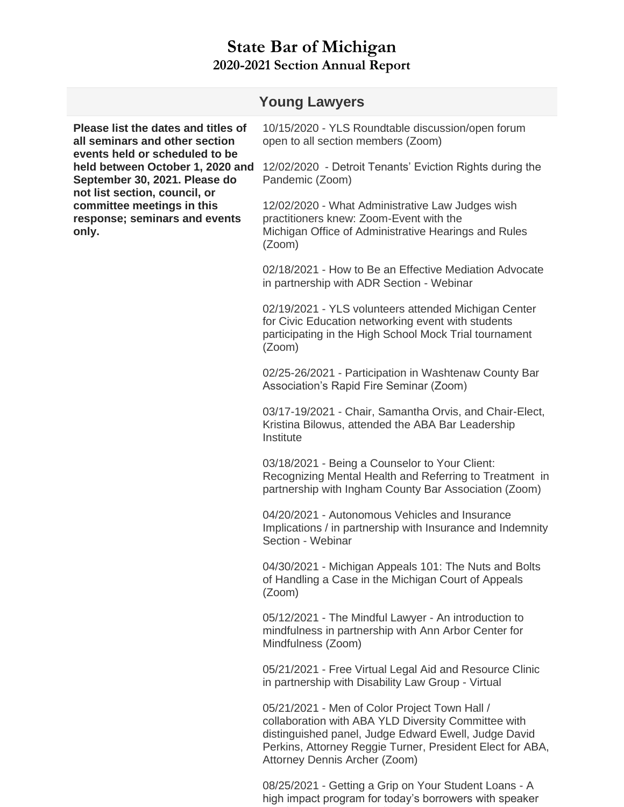|                                                                                                                                                                                                                                                                                       | <b>Young Lawyers</b>                                                                                                                                                           |
|---------------------------------------------------------------------------------------------------------------------------------------------------------------------------------------------------------------------------------------------------------------------------------------|--------------------------------------------------------------------------------------------------------------------------------------------------------------------------------|
| Please list the dates and titles of<br>all seminars and other section<br>events held or scheduled to be<br>held between October 1, 2020 and<br>September 30, 2021. Please do<br>not list section, council, or<br>committee meetings in this<br>response; seminars and events<br>only. | 10/15/2020 - YLS Roundtable discussion/open forum<br>open to all section members (Zoom)                                                                                        |
|                                                                                                                                                                                                                                                                                       | 12/02/2020 - Detroit Tenants' Eviction Rights during the<br>Pandemic (Zoom)                                                                                                    |
|                                                                                                                                                                                                                                                                                       | 12/02/2020 - What Administrative Law Judges wish<br>practitioners knew: Zoom-Event with the<br>Michigan Office of Administrative Hearings and Rules<br>(Zoom)                  |
|                                                                                                                                                                                                                                                                                       | 02/18/2021 - How to Be an Effective Mediation Advocate<br>in partnership with ADR Section - Webinar                                                                            |
|                                                                                                                                                                                                                                                                                       | 02/19/2021 - YLS volunteers attended Michigan Center<br>for Civic Education networking event with students<br>participating in the High School Mock Trial tournament<br>(Zoom) |
|                                                                                                                                                                                                                                                                                       | 02/25-26/2021 - Participation in Washtenaw County Bar<br>Association's Rapid Fire Seminar (Zoom)                                                                               |
|                                                                                                                                                                                                                                                                                       | 03/17-19/2021 - Chair, Samantha Orvis, and Chair-Elect,<br>Kristina Bilowus, attended the ABA Bar Leadership<br>Institute                                                      |
|                                                                                                                                                                                                                                                                                       | 03/18/2021 - Being a Counselor to Your Client:<br>Recognizing Mental Health and Referring to Treatment in<br>partnership with Ingham County Bar Association (Zoom)             |
|                                                                                                                                                                                                                                                                                       | 04/20/2021 - Autonomous Vehicles and Insurance<br>Implications / in partnership with Insurance and Indemnity<br>Section - Webinar                                              |
|                                                                                                                                                                                                                                                                                       | 04/30/2021 - Michigan Appeals 101: The Nuts and Bolts<br>of Handling a Case in the Michigan Court of Appeals<br>(Zoom)                                                         |
|                                                                                                                                                                                                                                                                                       | 05/12/2021 - The Mindful Lawyer - An introduction to<br>mindfulness in partnership with Ann Arbor Center for<br>Mindfulness (Zoom)                                             |
|                                                                                                                                                                                                                                                                                       | 05/21/2021 - Free Virtual Legal Aid and Resource Clinic<br>in partnership with Disability Law Group - Virtual                                                                  |
|                                                                                                                                                                                                                                                                                       | 05/21/2021 - Men of Color Project Town Hall /                                                                                                                                  |

Attorney Dennis Archer (Zoom) 05/21/2021 - Men of Color Project Town Hall / collaboration with ABA YLD Diversity Committee with distinguished panel, Judge Edward Ewell, Judge David Perkins, Attorney Reggie Turner, President Elect for ABA,

08/25/2021 - Getting a Grip on Your Student Loans - A high impact program for today's borrowers with speaker